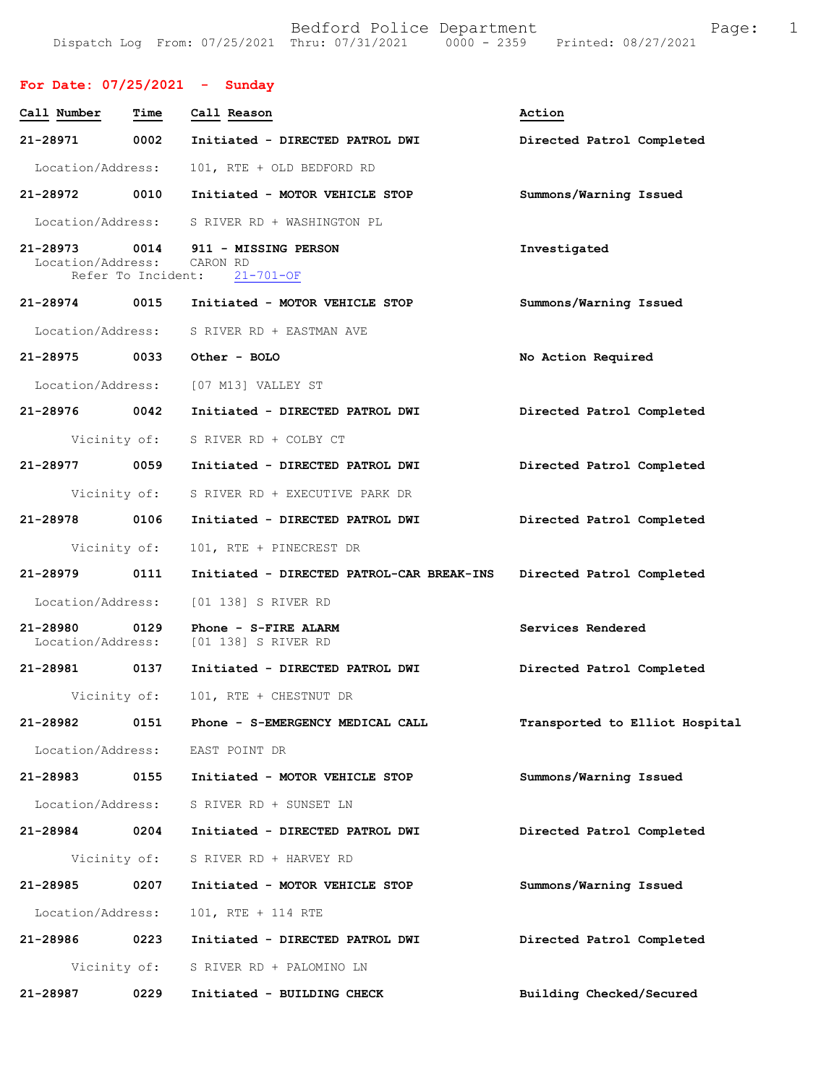# **For Date: 07/25/2021 - Sunday**

| Call Number                   | Time                       | Call Reason                                                   | Action                         |
|-------------------------------|----------------------------|---------------------------------------------------------------|--------------------------------|
| 21-28971                      | 0002                       | Initiated - DIRECTED PATROL DWI                               | Directed Patrol Completed      |
| Location/Address:             |                            | 101, RTE + OLD BEDFORD RD                                     |                                |
| 21-28972 0010                 |                            | Initiated - MOTOR VEHICLE STOP                                | Summons/Warning Issued         |
|                               |                            | Location/Address: S RIVER RD + WASHINGTON PL                  |                                |
| 21-28973<br>Location/Address: | 0014<br>Refer To Incident: | 911 - MISSING PERSON<br>CARON RD<br>$21 - 701 - OF$           | Investigated                   |
| 21-28974 0015                 |                            | Initiated - MOTOR VEHICLE STOP                                | Summons/Warning Issued         |
| Location/Address:             |                            | S RIVER RD + EASTMAN AVE                                      |                                |
| 21-28975 0033                 |                            | Other - BOLO                                                  | No Action Required             |
|                               |                            | Location/Address: [07 M13] VALLEY ST                          |                                |
| 21-28976 0042                 |                            | Initiated - DIRECTED PATROL DWI                               | Directed Patrol Completed      |
|                               | Vicinity of:               | S RIVER RD + COLBY CT                                         |                                |
| 21-28977                      | 0059                       | Initiated - DIRECTED PATROL DWI                               | Directed Patrol Completed      |
|                               | Vicinity of:               | S RIVER RD + EXECUTIVE PARK DR                                |                                |
| 21-28978                      | 0106                       | Initiated - DIRECTED PATROL DWI                               | Directed Patrol Completed      |
|                               | Vicinity of:               | 101, RTE + PINECREST DR                                       |                                |
| 21-28979                      | 0111                       | Initiated - DIRECTED PATROL-CAR BREAK-INS                     | Directed Patrol Completed      |
| Location/Address:             |                            | [01 138] S RIVER RD                                           |                                |
| 21-28980 0129                 |                            | Phone - S-FIRE ALARM<br>Location/Address: [01 138] S RIVER RD | Services Rendered              |
| 21-28981 0137                 |                            | Initiated - DIRECTED PATROL DWI                               | Directed Patrol Completed      |
|                               | Vicinity of:               | 101, RTE + CHESTNUT DR                                        |                                |
| 21-28982                      | 0151                       | Phone - S-EMERGENCY MEDICAL CALL                              | Transported to Elliot Hospital |
| Location/Address:             |                            | EAST POINT DR                                                 |                                |
| 21-28983                      | 0155                       | Initiated - MOTOR VEHICLE STOP                                | Summons/Warning Issued         |
| Location/Address:             |                            | S RIVER RD + SUNSET LN                                        |                                |
| 21-28984                      | 0204                       | Initiated - DIRECTED PATROL DWI                               | Directed Patrol Completed      |
|                               | Vicinity of:               | S RIVER RD + HARVEY RD                                        |                                |
| 21-28985                      | 0207                       | Initiated - MOTOR VEHICLE STOP                                | Summons/Warning Issued         |
| Location/Address:             |                            | 101, RTE + 114 RTE                                            |                                |
| 21-28986                      | 0223                       | Initiated - DIRECTED PATROL DWI                               | Directed Patrol Completed      |
|                               |                            | Vicinity of: S RIVER RD + PALOMINO LN                         |                                |
| 21-28987                      | 0229                       | Initiated - BUILDING CHECK                                    | Building Checked/Secured       |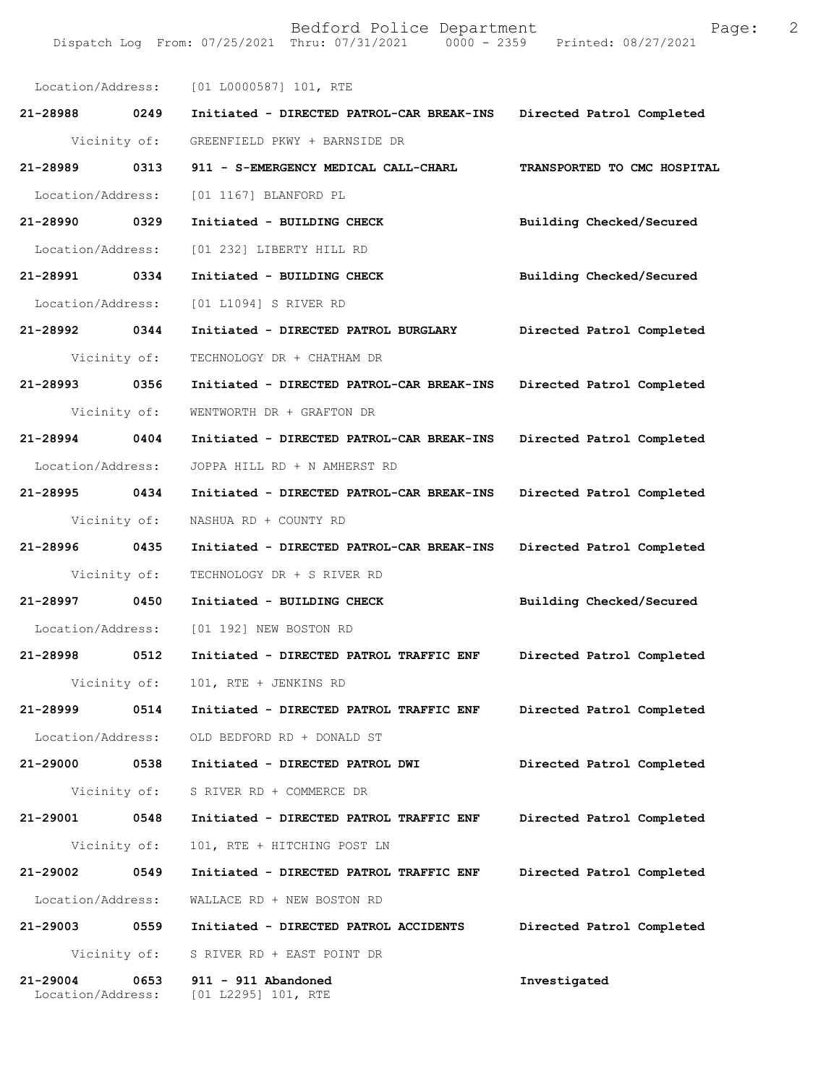|                   |              | Location/Address: [01 L0000587] 101, RTE  |                             |
|-------------------|--------------|-------------------------------------------|-----------------------------|
| 21-28988 0249     |              | Initiated - DIRECTED PATROL-CAR BREAK-INS | Directed Patrol Completed   |
| Vicinity of:      |              | GREENFIELD PKWY + BARNSIDE DR             |                             |
| 21-28989 0313     |              | 911 - S-EMERGENCY MEDICAL CALL-CHARL      | TRANSPORTED TO CMC HOSPITAL |
| Location/Address: |              | [01 1167] BLANFORD PL                     |                             |
| 21-28990 0329     |              | Initiated - BUILDING CHECK                | Building Checked/Secured    |
| Location/Address: |              | [01 232] LIBERTY HILL RD                  |                             |
| 21-28991 0334     |              | Initiated - BUILDING CHECK                | Building Checked/Secured    |
| Location/Address: |              | [01 L1094] S RIVER RD                     |                             |
| 21-28992 0344     |              | Initiated - DIRECTED PATROL BURGLARY      | Directed Patrol Completed   |
| Vicinity of:      |              | TECHNOLOGY DR + CHATHAM DR                |                             |
| 21-28993 0356     |              | Initiated - DIRECTED PATROL-CAR BREAK-INS | Directed Patrol Completed   |
| Vicinity of:      |              | WENTWORTH DR + GRAFTON DR                 |                             |
| 21-28994 0404     |              | Initiated - DIRECTED PATROL-CAR BREAK-INS | Directed Patrol Completed   |
| Location/Address: |              | JOPPA HILL RD + N AMHERST RD              |                             |
| 21-28995 0434     |              | Initiated - DIRECTED PATROL-CAR BREAK-INS | Directed Patrol Completed   |
| Vicinity of:      |              | NASHUA RD + COUNTY RD                     |                             |
| 21-28996 0435     |              | Initiated - DIRECTED PATROL-CAR BREAK-INS | Directed Patrol Completed   |
| Vicinity of:      |              | TECHNOLOGY DR + S RIVER RD                |                             |
| 21-28997          | 0450         | Initiated - BUILDING CHECK                | Building Checked/Secured    |
| Location/Address: |              | [01 192] NEW BOSTON RD                    |                             |
| 21-28998 0512     |              | Initiated - DIRECTED PATROL TRAFFIC ENF   | Directed Patrol Completed   |
| Vicinity of:      |              | 101, RTE + JENKINS RD                     |                             |
| 21-28999          | 0514         | Initiated - DIRECTED PATROL TRAFFIC ENF   | Directed Patrol Completed   |
| Location/Address: |              | OLD BEDFORD RD + DONALD ST                |                             |
| 21-29000          | 0538         | Initiated - DIRECTED PATROL DWI           | Directed Patrol Completed   |
| Vicinity of:      |              | S RIVER RD + COMMERCE DR                  |                             |
| 21-29001          | 0548         | Initiated - DIRECTED PATROL TRAFFIC ENF   | Directed Patrol Completed   |
| Vicinity of:      |              | 101, RTE + HITCHING POST LN               |                             |
| 21-29002          | 0549         | Initiated - DIRECTED PATROL TRAFFIC ENF   | Directed Patrol Completed   |
| Location/Address: |              | WALLACE RD + NEW BOSTON RD                |                             |
| 21-29003          | 0559         | Initiated - DIRECTED PATROL ACCIDENTS     | Directed Patrol Completed   |
|                   | Vicinity of: | S RIVER RD + EAST POINT DR                |                             |
| 21-29004          |              |                                           |                             |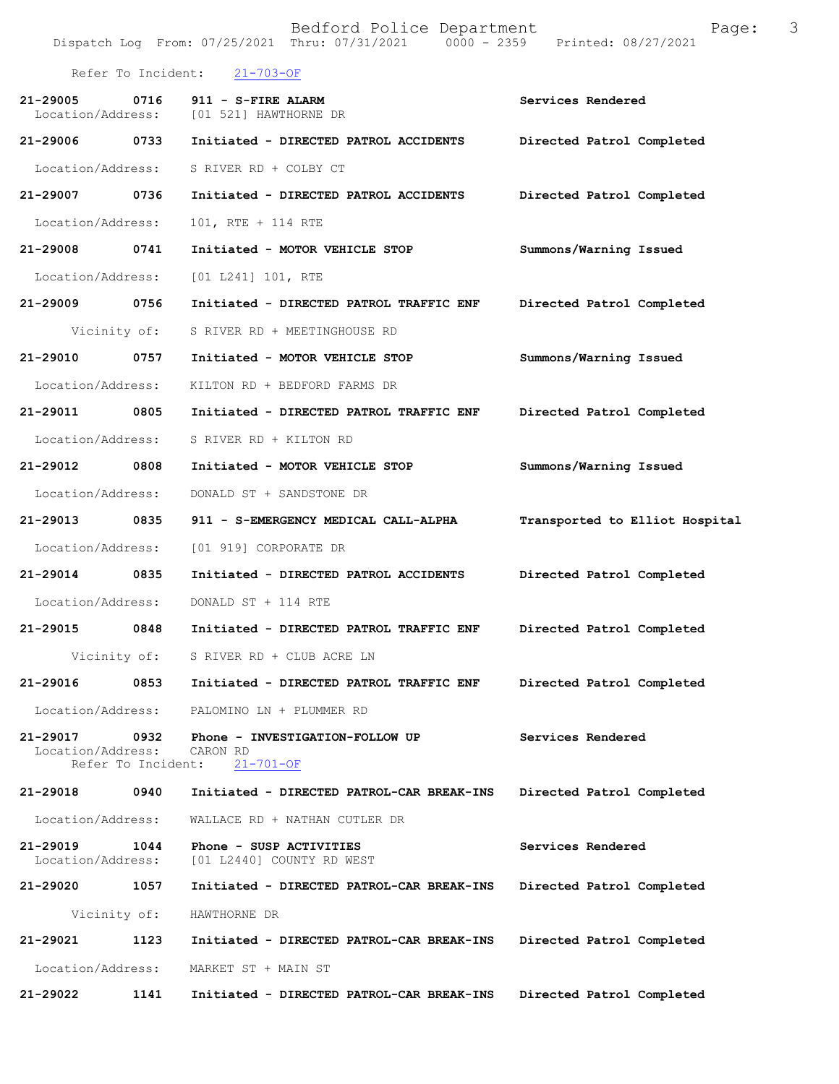Bedford Police Department Page: 3 Dispatch Log From: 07/25/2021 Thru: 07/31/2021 Refer To Incident: 21-703-OF 21-29005 0716 911 - S-FIRE ALARM **Department Constrainer Services Rendered** Location/Address: [01 521] HAWTHORNE DR [01 521] HAWTHORNE DR **21-29006 0733 Initiated - DIRECTED PATROL ACCIDENTS Directed Patrol Completed**  Location/Address: S RIVER RD + COLBY CT **21-29007 0736 Initiated - DIRECTED PATROL ACCIDENTS Directed Patrol Completed**  Location/Address: 101, RTE + 114 RTE **21-29008 0741 Initiated - MOTOR VEHICLE STOP Summons/Warning Issued**  Location/Address: [01 L241] 101, RTE **21-29009 0756 Initiated - DIRECTED PATROL TRAFFIC ENF Directed Patrol Completed**  Vicinity of: S RIVER RD + MEETINGHOUSE RD **21-29010 0757 Initiated - MOTOR VEHICLE STOP Summons/Warning Issued**  Location/Address: KILTON RD + BEDFORD FARMS DR **21-29011 0805 Initiated - DIRECTED PATROL TRAFFIC ENF Directed Patrol Completed**  Location/Address: S RIVER RD + KILTON RD **21-29012 0808 Initiated - MOTOR VEHICLE STOP Summons/Warning Issued**  Location/Address: DONALD ST + SANDSTONE DR **21-29013 0835 911 - S-EMERGENCY MEDICAL CALL-ALPHA Transported to Elliot Hospital** Location/Address: [01 919] CORPORATE DR **21-29014 0835 Initiated - DIRECTED PATROL ACCIDENTS Directed Patrol Completed**  Location/Address: DONALD ST + 114 RTE **21-29015 0848 Initiated - DIRECTED PATROL TRAFFIC ENF Directed Patrol Completed**  Vicinity of: S RIVER RD + CLUB ACRE LN **21-29016 0853 Initiated - DIRECTED PATROL TRAFFIC ENF Directed Patrol Completed**  Location/Address: PALOMINO LN + PLUMMER RD **21-29017 0932 Phone - INVESTIGATION-FOLLOW UP Services Rendered**  Location/Address: CARON RD<br>Refer To Incident: 21-701-OF Refer To Incident: **21-29018 0940 Initiated - DIRECTED PATROL-CAR BREAK-INS Directed Patrol Completed**  Location/Address: WALLACE RD + NATHAN CUTLER DR **21-29019 1044 Phone - SUSP ACTIVITIES Services Rendered**  Location/Address: [01 L2440] COUNTY RD WEST **21-29020 1057 Initiated - DIRECTED PATROL-CAR BREAK-INS Directed Patrol Completed**  Vicinity of: HAWTHORNE DR **21-29021 1123 Initiated - DIRECTED PATROL-CAR BREAK-INS Directed Patrol Completed**  Location/Address: MARKET ST + MAIN ST **21-29022 1141 Initiated - DIRECTED PATROL-CAR BREAK-INS Directed Patrol Completed**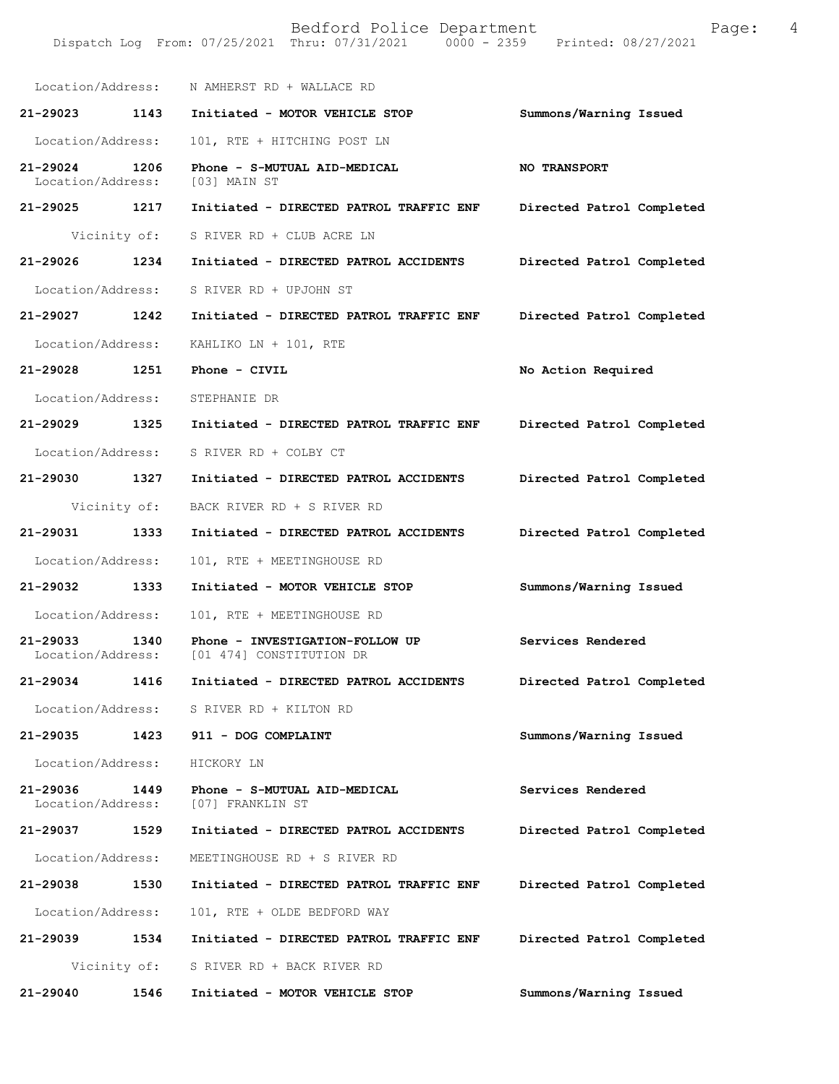|                                   |              | Location/Address: N AMHERST RD + WALLACE RD                 |                           |
|-----------------------------------|--------------|-------------------------------------------------------------|---------------------------|
| 21-29023 1143                     |              | Initiated - MOTOR VEHICLE STOP                              | Summons/Warning Issued    |
| Location/Address:                 |              | 101, RTE + HITCHING POST LN                                 |                           |
| 21-29024<br>Location/Address:     | 1206         | Phone - S-MUTUAL AID-MEDICAL<br>[03] MAIN ST                | <b>NO TRANSPORT</b>       |
| 21-29025 1217                     |              | Initiated - DIRECTED PATROL TRAFFIC ENF                     | Directed Patrol Completed |
|                                   | Vicinity of: | S RIVER RD + CLUB ACRE LN                                   |                           |
| 21-29026 1234                     |              | Initiated - DIRECTED PATROL ACCIDENTS                       | Directed Patrol Completed |
| Location/Address:                 |              | S RIVER RD + UPJOHN ST                                      |                           |
| 21-29027 1242                     |              | Initiated - DIRECTED PATROL TRAFFIC ENF                     | Directed Patrol Completed |
| Location/Address:                 |              | KAHLIKO LN + 101, RTE                                       |                           |
| 21-29028 1251                     |              | Phone - CIVIL                                               | No Action Required        |
| Location/Address:                 |              | STEPHANIE DR                                                |                           |
| 21-29029 1325                     |              | Initiated - DIRECTED PATROL TRAFFIC ENF                     | Directed Patrol Completed |
| Location/Address:                 |              | S RIVER RD + COLBY CT                                       |                           |
| 21-29030 1327                     |              | Initiated - DIRECTED PATROL ACCIDENTS                       | Directed Patrol Completed |
|                                   | Vicinity of: | BACK RIVER RD + S RIVER RD                                  |                           |
| 21-29031 1333                     |              | Initiated - DIRECTED PATROL ACCIDENTS                       | Directed Patrol Completed |
| Location/Address:                 |              | 101, RTE + MEETINGHOUSE RD                                  |                           |
| 21-29032 1333                     |              | Initiated - MOTOR VEHICLE STOP                              | Summons/Warning Issued    |
| Location/Address:                 |              | 101, RTE + MEETINGHOUSE RD                                  |                           |
| $21 - 29033$<br>Location/Address: | 1340         | Phone - INVESTIGATION-FOLLOW UP<br>[01 474] CONSTITUTION DR | Services Rendered         |
| 21-29034                          | 1416         | Initiated - DIRECTED PATROL ACCIDENTS                       | Directed Patrol Completed |
|                                   |              | Location/Address: S RIVER RD + KILTON RD                    |                           |
| 21-29035                          |              | 1423 911 - DOG COMPLAINT                                    | Summons/Warning Issued    |
| Location/Address:                 |              | HICKORY LN                                                  |                           |
| 21-29036<br>Location/Address:     | 1449         | Phone - S-MUTUAL AID-MEDICAL<br>[07] FRANKLIN ST            | Services Rendered         |
| 21-29037                          | 1529         | Initiated - DIRECTED PATROL ACCIDENTS                       | Directed Patrol Completed |
| Location/Address:                 |              | MEETINGHOUSE RD + S RIVER RD                                |                           |
| 21-29038                          | 1530         | Initiated - DIRECTED PATROL TRAFFIC ENF                     | Directed Patrol Completed |
| Location/Address:                 |              | 101, RTE + OLDE BEDFORD WAY                                 |                           |
| 21-29039                          | 1534         | Initiated - DIRECTED PATROL TRAFFIC ENF                     | Directed Patrol Completed |
|                                   | Vicinity of: | S RIVER RD + BACK RIVER RD                                  |                           |
| 21-29040                          | 1546         | Initiated - MOTOR VEHICLE STOP                              | Summons/Warning Issued    |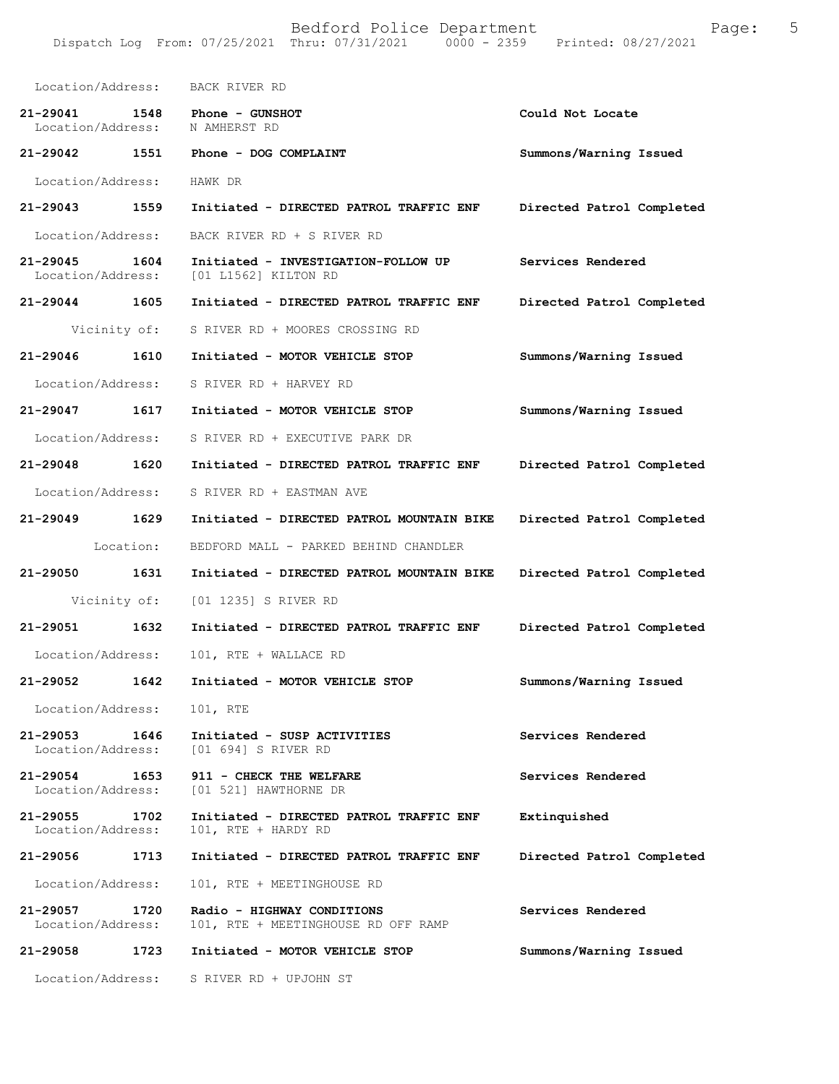| Location/Address:                         | BACK RIVER RD                                                      |                           |  |
|-------------------------------------------|--------------------------------------------------------------------|---------------------------|--|
| $21 - 29041$<br>1548<br>Location/Address: | Phone - GUNSHOT<br>N AMHERST RD                                    | Could Not Locate          |  |
| 21-29042 1551                             | Phone - DOG COMPLAINT                                              | Summons/Warning Issued    |  |
| Location/Address:                         | HAWK DR                                                            |                           |  |
| 21-29043 1559                             | Initiated - DIRECTED PATROL TRAFFIC ENF                            | Directed Patrol Completed |  |
| Location/Address:                         | BACK RIVER RD + S RIVER RD                                         |                           |  |
| 21-29045<br>1604<br>Location/Address:     | Initiated - INVESTIGATION-FOLLOW UP<br>[01 L1562] KILTON RD        | Services Rendered         |  |
| 21-29044 1605                             | Initiated - DIRECTED PATROL TRAFFIC ENF                            | Directed Patrol Completed |  |
| Vicinity of:                              | S RIVER RD + MOORES CROSSING RD                                    |                           |  |
| 21-29046 1610                             | Initiated - MOTOR VEHICLE STOP                                     | Summons/Warning Issued    |  |
| Location/Address:                         | S RIVER RD + HARVEY RD                                             |                           |  |
| 21-29047 1617                             | Initiated - MOTOR VEHICLE STOP                                     | Summons/Warning Issued    |  |
| Location/Address:                         | S RIVER RD + EXECUTIVE PARK DR                                     |                           |  |
| 21-29048 1620                             | Initiated - DIRECTED PATROL TRAFFIC ENF                            | Directed Patrol Completed |  |
| Location/Address:                         | S RIVER RD + EASTMAN AVE                                           |                           |  |
| 21-29049 1629                             | Initiated - DIRECTED PATROL MOUNTAIN BIKE                          | Directed Patrol Completed |  |
| Location:                                 | BEDFORD MALL - PARKED BEHIND CHANDLER                              |                           |  |
| 21-29050<br>1631                          | Initiated - DIRECTED PATROL MOUNTAIN BIKE                          | Directed Patrol Completed |  |
| Vicinity of:                              | [01 1235] S RIVER RD                                               |                           |  |
| 21-29051 1632                             | Initiated - DIRECTED PATROL TRAFFIC ENF                            | Directed Patrol Completed |  |
| Location/Address:                         | 101, RTE + WALLACE RD                                              |                           |  |
| 21-29052<br>1642                          | Initiated - MOTOR VEHICLE STOP                                     | Summons/Warning Issued    |  |
| Location/Address:                         | 101, RTE                                                           |                           |  |
| 21-29053<br>1646<br>Location/Address:     | Initiated - SUSP ACTIVITIES<br>[01 694] S RIVER RD                 | Services Rendered         |  |
| 21-29054<br>1653                          | 911 - CHECK THE WELFARE<br>Location/Address: [01 521] HAWTHORNE DR | Services Rendered         |  |
| 21-29055<br>1702<br>Location/Address:     | Initiated - DIRECTED PATROL TRAFFIC ENF<br>101, RTE + HARDY RD     | Extinquished              |  |
| 21-29056<br>1713                          | Initiated - DIRECTED PATROL TRAFFIC ENF                            | Directed Patrol Completed |  |
| Location/Address:                         | 101, RTE + MEETINGHOUSE RD                                         |                           |  |
| 21-29057<br>1720<br>Location/Address:     | Radio - HIGHWAY CONDITIONS<br>101, RTE + MEETINGHOUSE RD OFF RAMP  | Services Rendered         |  |
| 21-29058<br>1723                          | Initiated - MOTOR VEHICLE STOP                                     | Summons/Warning Issued    |  |
| Location/Address:                         | S RIVER RD + UPJOHN ST                                             |                           |  |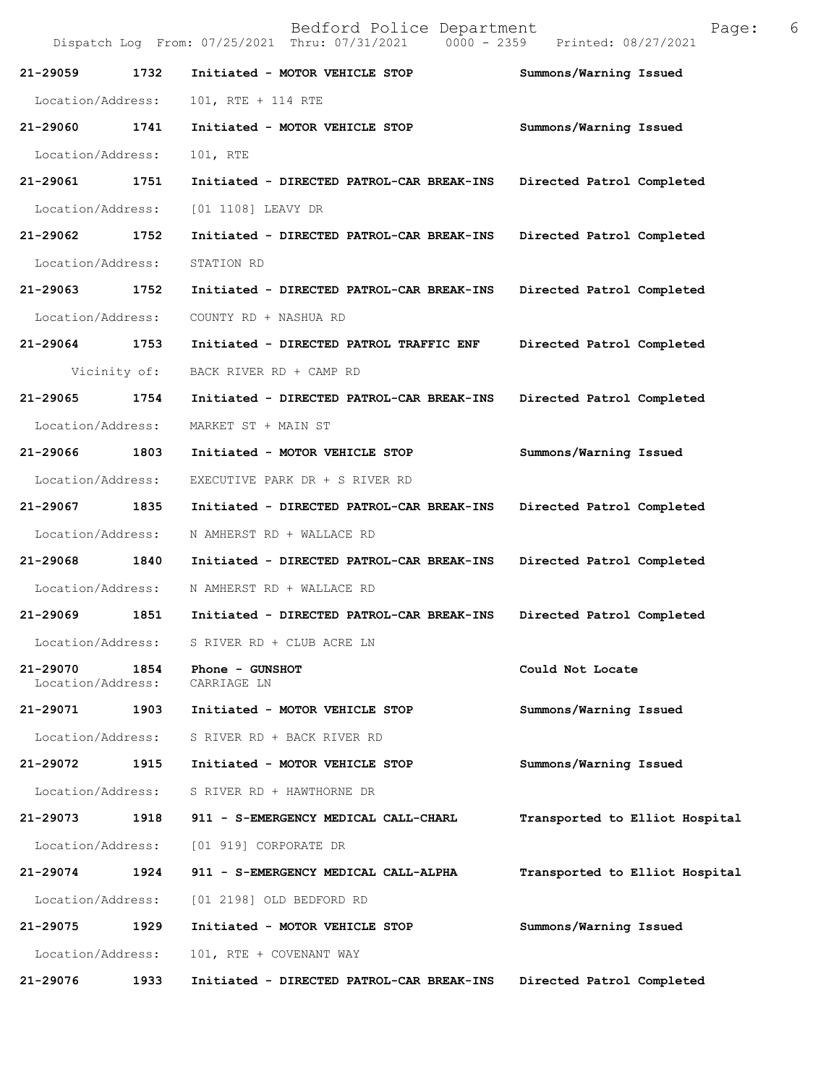|                               |      | Dispatch Log From: 07/25/2021 Thru: 07/31/2021<br>$0000 - 2359$ | Printed: 08/27/2021            |
|-------------------------------|------|-----------------------------------------------------------------|--------------------------------|
| 21-29059                      | 1732 | Initiated - MOTOR VEHICLE STOP                                  | Summons/Warning Issued         |
| Location/Address:             |      | 101, RTE + 114 RTE                                              |                                |
| $21 - 29060$                  | 1741 | Initiated - MOTOR VEHICLE STOP                                  | Summons/Warning Issued         |
| Location/Address:             |      | 101, RTE                                                        |                                |
| 21-29061                      | 1751 | Initiated - DIRECTED PATROL-CAR BREAK-INS                       | Directed Patrol Completed      |
| Location/Address:             |      | [01 1108] LEAVY DR                                              |                                |
| 21-29062                      | 1752 | Initiated - DIRECTED PATROL-CAR BREAK-INS                       | Directed Patrol Completed      |
| Location/Address:             |      | STATION RD                                                      |                                |
| 21-29063                      | 1752 | Initiated - DIRECTED PATROL-CAR BREAK-INS                       | Directed Patrol Completed      |
| Location/Address:             |      | COUNTY RD + NASHUA RD                                           |                                |
| 21-29064                      | 1753 | Initiated - DIRECTED PATROL TRAFFIC ENF                         | Directed Patrol Completed      |
| Vicinity of:                  |      | BACK RIVER RD + CAMP RD                                         |                                |
| $21 - 29065$                  | 1754 | Initiated - DIRECTED PATROL-CAR BREAK-INS                       | Directed Patrol Completed      |
| Location/Address:             |      | MARKET ST + MAIN ST                                             |                                |
| 21-29066                      | 1803 | Initiated - MOTOR VEHICLE STOP                                  | Summons/Warning Issued         |
| Location/Address:             |      | EXECUTIVE PARK DR + S RIVER RD                                  |                                |
| 21-29067                      | 1835 | Initiated - DIRECTED PATROL-CAR BREAK-INS                       | Directed Patrol Completed      |
| Location/Address:             |      | N AMHERST RD + WALLACE RD                                       |                                |
| 21-29068                      | 1840 | Initiated - DIRECTED PATROL-CAR BREAK-INS                       | Directed Patrol Completed      |
| Location/Address:             |      | N AMHERST RD + WALLACE RD                                       |                                |
| 21-29069                      | 1851 | Initiated - DIRECTED PATROL-CAR BREAK-INS                       | Directed Patrol Completed      |
| Location/Address:             |      | S RIVER RD + CLUB ACRE LN                                       |                                |
| 21-29070<br>Location/Address: | 1854 | Phone - GUNSHOT<br>CARRIAGE LN                                  | Could Not Locate               |
| 21-29071                      | 1903 | Initiated - MOTOR VEHICLE STOP                                  | Summons/Warning Issued         |
| Location/Address:             |      | S RIVER RD + BACK RIVER RD                                      |                                |
| 21-29072                      | 1915 | Initiated - MOTOR VEHICLE STOP                                  | Summons/Warning Issued         |
| Location/Address:             |      | S RIVER RD + HAWTHORNE DR                                       |                                |
| 21-29073                      | 1918 | 911 - S-EMERGENCY MEDICAL CALL-CHARL                            | Transported to Elliot Hospital |
| Location/Address:             |      | [01 919] CORPORATE DR                                           |                                |
| 21-29074                      | 1924 | 911 - S-EMERGENCY MEDICAL CALL-ALPHA                            | Transported to Elliot Hospital |
| Location/Address:             |      | [01 2198] OLD BEDFORD RD                                        |                                |
| 21-29075                      | 1929 | Initiated - MOTOR VEHICLE STOP                                  | Summons/Warning Issued         |
| Location/Address:             |      | 101, RTE + COVENANT WAY                                         |                                |
| 21-29076                      | 1933 | Initiated - DIRECTED PATROL-CAR BREAK-INS                       | Directed Patrol Completed      |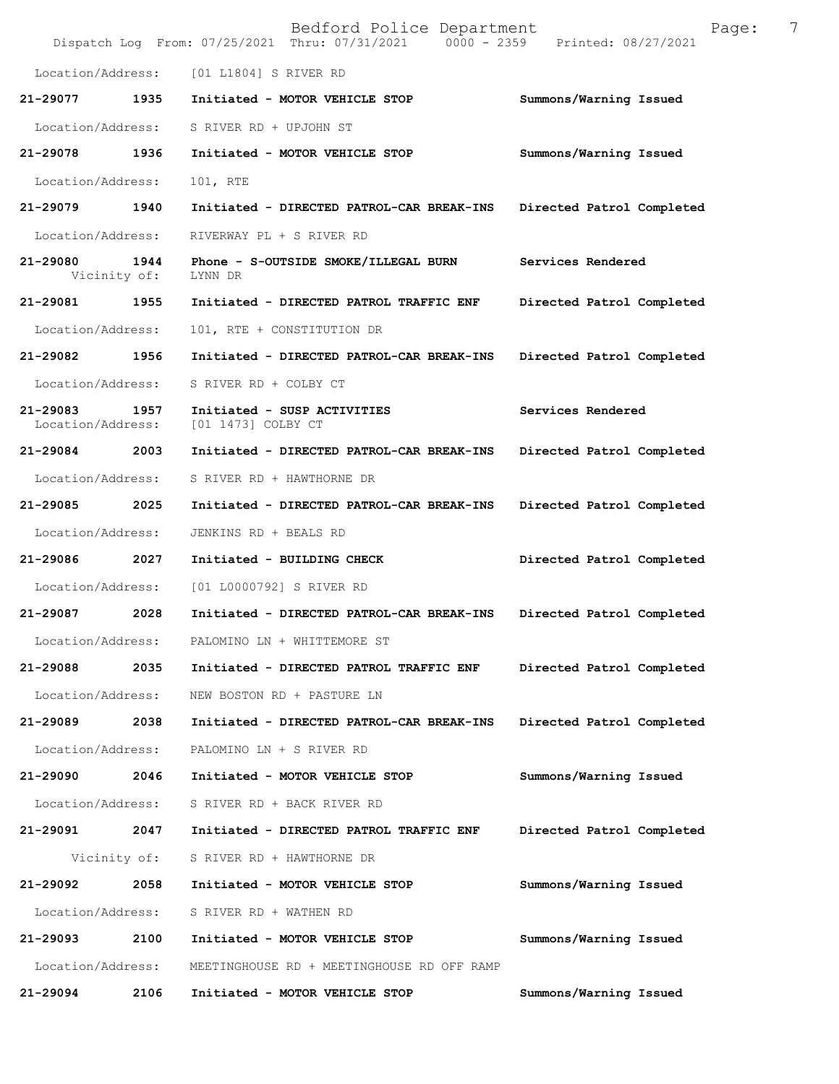|                               |                      | Bedford Police Department<br>Dispatch Log From: 07/25/2021 Thru: 07/31/2021 0000 - 2359 Printed: 08/27/2021 | Page:                     | 7 |
|-------------------------------|----------------------|-------------------------------------------------------------------------------------------------------------|---------------------------|---|
| Location/Address:             |                      | [01 L1804] S RIVER RD                                                                                       |                           |   |
| 21-29077                      | 1935                 | Initiated - MOTOR VEHICLE STOP                                                                              | Summons/Warning Issued    |   |
| Location/Address:             |                      | S RIVER RD + UPJOHN ST                                                                                      |                           |   |
| 21-29078                      | 1936                 | Initiated - MOTOR VEHICLE STOP                                                                              | Summons/Warning Issued    |   |
| Location/Address:             |                      | 101, RTE                                                                                                    |                           |   |
| 21-29079                      | 1940                 | Initiated - DIRECTED PATROL-CAR BREAK-INS                                                                   | Directed Patrol Completed |   |
| Location/Address:             |                      | RIVERWAY PL + S RIVER RD                                                                                    |                           |   |
| 21-29080                      | 1944<br>Vicinity of: | Phone - S-OUTSIDE SMOKE/ILLEGAL BURN<br>LYNN DR                                                             | Services Rendered         |   |
| $21 - 29081$                  | 1955                 | Initiated - DIRECTED PATROL TRAFFIC ENF                                                                     | Directed Patrol Completed |   |
| Location/Address:             |                      | 101, RTE + CONSTITUTION DR                                                                                  |                           |   |
| 21-29082                      | 1956                 | Initiated - DIRECTED PATROL-CAR BREAK-INS                                                                   | Directed Patrol Completed |   |
| Location/Address:             |                      | S RIVER RD + COLBY CT                                                                                       |                           |   |
| 21-29083<br>Location/Address: | 1957                 | Initiated - SUSP ACTIVITIES<br>[01 1473] COLBY CT                                                           | Services Rendered         |   |
| 21-29084                      | 2003                 | Initiated - DIRECTED PATROL-CAR BREAK-INS                                                                   | Directed Patrol Completed |   |
| Location/Address:             |                      | S RIVER RD + HAWTHORNE DR                                                                                   |                           |   |
| 21-29085                      | 2025                 | Initiated - DIRECTED PATROL-CAR BREAK-INS                                                                   | Directed Patrol Completed |   |
| Location/Address:             |                      | JENKINS RD + BEALS RD                                                                                       |                           |   |
| 21-29086                      | 2027                 | Initiated - BUILDING CHECK                                                                                  | Directed Patrol Completed |   |
| Location/Address:             |                      | [01 L0000792] S RIVER RD                                                                                    |                           |   |
| 21-29087                      | 2028                 | Initiated - DIRECTED PATROL-CAR BREAK-INS                                                                   | Directed Patrol Completed |   |
| Location/Address:             |                      | PALOMINO LN + WHITTEMORE ST                                                                                 |                           |   |
| 21-29088                      | 2035                 | Initiated - DIRECTED PATROL TRAFFIC ENF                                                                     | Directed Patrol Completed |   |
| Location/Address:             |                      | NEW BOSTON RD + PASTURE LN                                                                                  |                           |   |
| 21-29089                      | 2038                 | Initiated - DIRECTED PATROL-CAR BREAK-INS                                                                   | Directed Patrol Completed |   |
| Location/Address:             |                      | PALOMINO LN + S RIVER RD                                                                                    |                           |   |
| 21-29090                      | 2046                 | Initiated - MOTOR VEHICLE STOP                                                                              | Summons/Warning Issued    |   |
| Location/Address:             |                      | S RIVER RD + BACK RIVER RD                                                                                  |                           |   |
| 21-29091                      | 2047                 | Initiated - DIRECTED PATROL TRAFFIC ENF                                                                     | Directed Patrol Completed |   |
|                               | Vicinity of:         | S RIVER RD + HAWTHORNE DR                                                                                   |                           |   |
| 21-29092                      | 2058                 | Initiated - MOTOR VEHICLE STOP                                                                              | Summons/Warning Issued    |   |
| Location/Address:             |                      | S RIVER RD + WATHEN RD                                                                                      |                           |   |
| 21-29093                      | 2100                 | Initiated - MOTOR VEHICLE STOP                                                                              | Summons/Warning Issued    |   |
| Location/Address:             |                      | MEETINGHOUSE RD + MEETINGHOUSE RD OFF RAMP                                                                  |                           |   |
| 21-29094                      | 2106                 | Initiated - MOTOR VEHICLE STOP                                                                              | Summons/Warning Issued    |   |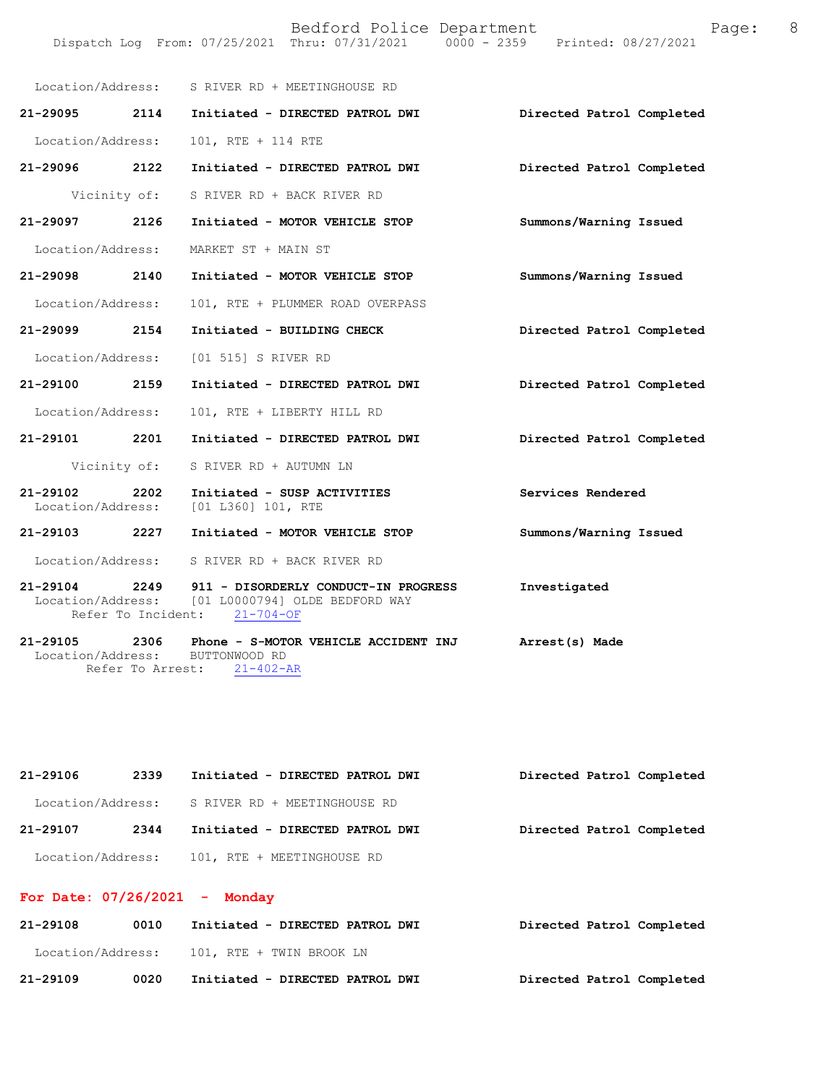|                                    |              | Location/Address: S RIVER RD + MEETINGHOUSE RD                                                         |                           |
|------------------------------------|--------------|--------------------------------------------------------------------------------------------------------|---------------------------|
| 21-29095 2114                      |              | Initiated - DIRECTED PATROL DWI                                                                        | Directed Patrol Completed |
| Location/Address:                  |              | 101, RTE + 114 RTE                                                                                     |                           |
| 21-29096 2122                      |              | Initiated - DIRECTED PATROL DWI                                                                        | Directed Patrol Completed |
|                                    | Vicinity of: | S RIVER RD + BACK RIVER RD                                                                             |                           |
| 21-29097 2126                      |              | Initiated - MOTOR VEHICLE STOP                                                                         | Summons/Warning Issued    |
| Location/Address:                  |              | MARKET ST + MAIN ST                                                                                    |                           |
| 21-29098                           | 2140         | Initiated - MOTOR VEHICLE STOP                                                                         | Summons/Warning Issued    |
| Location/Address:                  |              | 101, RTE + PLUMMER ROAD OVERPASS                                                                       |                           |
| 21-29099 2154                      |              | Initiated - BUILDING CHECK                                                                             | Directed Patrol Completed |
| Location/Address:                  |              | [01 515] S RIVER RD                                                                                    |                           |
| 21-29100 2159                      |              | Initiated - DIRECTED PATROL DWI                                                                        | Directed Patrol Completed |
| Location/Address:                  |              | 101, RTE + LIBERTY HILL RD                                                                             |                           |
| 21-29101 2201                      |              | Initiated - DIRECTED PATROL DWI                                                                        | Directed Patrol Completed |
|                                    | Vicinity of: | S RIVER RD + AUTUMN LN                                                                                 |                           |
| $21 - 29102$                       | 2202         | Initiated - SUSP ACTIVITIES<br>Location/Address: [01 L360] 101, RTE                                    | Services Rendered         |
| 21-29103 2227                      |              | Initiated - MOTOR VEHICLE STOP                                                                         | Summons/Warning Issued    |
|                                    |              | Location/Address: S RIVER RD + BACK RIVER RD                                                           |                           |
| 21-29104 2249<br>Location/Address: |              | 911 - DISORDERLY CONDUCT-IN PROGRESS<br>[01 L0000794] OLDE BEDFORD WAY<br>Refer To Incident: 21-704-OF | Investigated              |
| 21-29105 2306<br>Location/Address: |              | Phone - S-MOTOR VEHICLE ACCIDENT INJ<br>BUTTONWOOD RD                                                  | Arrest(s) Made            |

Refer To Arrest: 21-402-AR

| 21-29106 | 2339 | Initiated - DIRECTED PATROL DWI                | Directed Patrol Completed |
|----------|------|------------------------------------------------|---------------------------|
|          |      | Location/Address: S RIVER RD + MEETINGHOUSE RD |                           |
| 21-29107 | 2344 | Initiated - DIRECTED PATROL DWI                | Directed Patrol Completed |
|          |      | Location/Address: 101, RTE + MEETINGHOUSE RD   |                           |

# **For Date: 07/26/2021 - Monday**

| 21-29108          | 0010 | Initiated - DIRECTED PATROL DWI | Directed Patrol Completed |
|-------------------|------|---------------------------------|---------------------------|
| Location/Address: |      | 101, RTE + TWIN BROOK LN        |                           |
| 21-29109          | 0020 | Initiated - DIRECTED PATROL DWI | Directed Patrol Completed |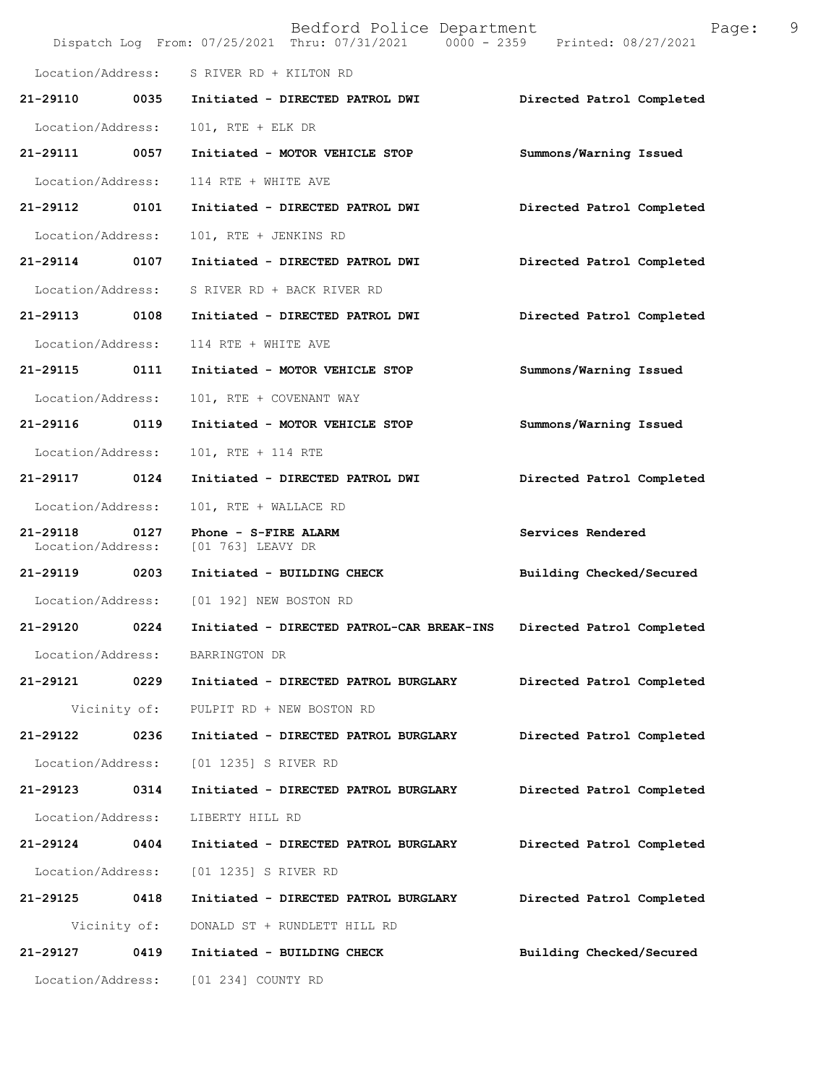|                                    |              | Bedford Police Department<br>Dispatch Log From: 07/25/2021 Thru: 07/31/2021 0000 - 2359 Printed: 08/27/2021 | 9<br>Page:                |
|------------------------------------|--------------|-------------------------------------------------------------------------------------------------------------|---------------------------|
|                                    |              | Location/Address: S RIVER RD + KILTON RD                                                                    |                           |
| 21-29110 0035                      |              | Initiated - DIRECTED PATROL DWI                                                                             | Directed Patrol Completed |
| Location/Address:                  |              | 101, RTE + ELK DR                                                                                           |                           |
| 21-29111 0057                      |              | Initiated - MOTOR VEHICLE STOP                                                                              | Summons/Warning Issued    |
| Location/Address:                  |              | 114 RTE + WHITE AVE                                                                                         |                           |
| 21-29112                           | 0101         | Initiated - DIRECTED PATROL DWI                                                                             | Directed Patrol Completed |
| Location/Address:                  |              | 101, RTE + JENKINS RD                                                                                       |                           |
| 21-29114                           | 0107         | Initiated - DIRECTED PATROL DWI                                                                             | Directed Patrol Completed |
| Location/Address:                  |              | S RIVER RD + BACK RIVER RD                                                                                  |                           |
| 21-29113 0108                      |              | Initiated - DIRECTED PATROL DWI                                                                             | Directed Patrol Completed |
| Location/Address:                  |              | 114 RTE + WHITE AVE                                                                                         |                           |
| 21-29115 0111                      |              | Initiated - MOTOR VEHICLE STOP                                                                              | Summons/Warning Issued    |
| Location/Address:                  |              | 101, RTE + COVENANT WAY                                                                                     |                           |
| 21-29116                           | 0119         | Initiated - MOTOR VEHICLE STOP                                                                              | Summons/Warning Issued    |
| Location/Address:                  |              | 101, RTE + 114 RTE                                                                                          |                           |
| 21-29117 0124                      |              | Initiated - DIRECTED PATROL DWI                                                                             | Directed Patrol Completed |
| Location/Address:                  |              | 101, RTE + WALLACE RD                                                                                       |                           |
| 21-29118 0127<br>Location/Address: |              | Phone - S-FIRE ALARM<br>[01 763] LEAVY DR                                                                   | Services Rendered         |
| 21-29119                           | 0203         | Initiated - BUILDING CHECK                                                                                  | Building Checked/Secured  |
|                                    |              | Location/Address: [01 192] NEW BOSTON RD                                                                    |                           |
|                                    |              | 21-29120 0224 Initiated - DIRECTED PATROL-CAR BREAK-INS Directed Patrol Completed                           |                           |
| Location/Address:                  |              | BARRINGTON DR                                                                                               |                           |
| 21-29121 0229                      |              | Initiated - DIRECTED PATROL BURGLARY                                                                        | Directed Patrol Completed |
|                                    |              | Vicinity of: PULPIT RD + NEW BOSTON RD                                                                      |                           |
| 21-29122 0236                      |              | Initiated - DIRECTED PATROL BURGLARY                                                                        | Directed Patrol Completed |
| Location/Address:                  |              | [01 1235] S RIVER RD                                                                                        |                           |
| 21-29123                           | 0314         | Initiated - DIRECTED PATROL BURGLARY                                                                        | Directed Patrol Completed |
| Location/Address:                  |              | LIBERTY HILL RD                                                                                             |                           |
| 21-29124                           | 0404         | Initiated - DIRECTED PATROL BURGLARY                                                                        | Directed Patrol Completed |
| Location/Address:                  |              | [01 1235] S RIVER RD                                                                                        |                           |
| 21-29125 0418                      |              | Initiated - DIRECTED PATROL BURGLARY                                                                        | Directed Patrol Completed |
|                                    | Vicinity of: | DONALD ST + RUNDLETT HILL RD                                                                                |                           |
| 21-29127 0419                      |              | Initiated - BUILDING CHECK                                                                                  | Building Checked/Secured  |
| Location/Address:                  |              | [01 234] COUNTY RD                                                                                          |                           |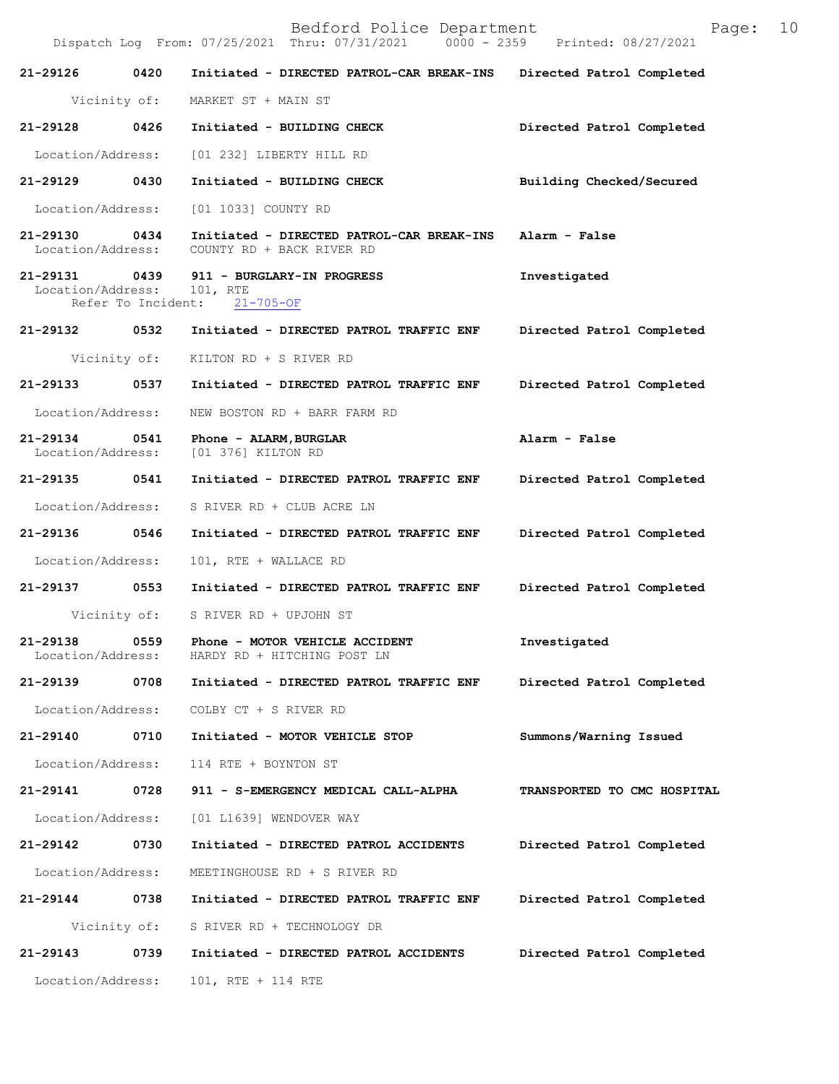Bedford Police Department Page: 10 Dispatch Log From: 07/25/2021 Thru: 07/31/2021 **21-29126 0420 Initiated - DIRECTED PATROL-CAR BREAK-INS Directed Patrol Completed**  Vicinity of: MARKET ST + MAIN ST **21-29128 0426 Initiated - BUILDING CHECK Directed Patrol Completed**  Location/Address: [01 232] LIBERTY HILL RD **21-29129 0430 Initiated - BUILDING CHECK Building Checked/Secured**  Location/Address: [01 1033] COUNTY RD **21-29130 0434 Initiated - DIRECTED PATROL-CAR BREAK-INS Alarm - False**  Location/Address: COUNTY RD + BACK RIVER RD **21-29131 0439 911 - BURGLARY-IN PROGRESS Investigated**  Location/Address: 101, RTE Refer To Incident: 21-705-OF **21-29132 0532 Initiated - DIRECTED PATROL TRAFFIC ENF Directed Patrol Completed**  Vicinity of: KILTON RD + S RIVER RD **21-29133 0537 Initiated - DIRECTED PATROL TRAFFIC ENF Directed Patrol Completed**  Location/Address: NEW BOSTON RD + BARR FARM RD **21-29134 0541 Phone - ALARM,BURGLAR Alarm - False**  Location/Address: [01 376] KILTON RD **21-29135 0541 Initiated - DIRECTED PATROL TRAFFIC ENF Directed Patrol Completed**  Location/Address: S RIVER RD + CLUB ACRE LN **21-29136 0546 Initiated - DIRECTED PATROL TRAFFIC ENF Directed Patrol Completed**  Location/Address: 101, RTE + WALLACE RD **21-29137 0553 Initiated - DIRECTED PATROL TRAFFIC ENF Directed Patrol Completed**  Vicinity of: S RIVER RD + UPJOHN ST **21-29138 0559 Phone - MOTOR VEHICLE ACCIDENT Investigated**  Location/Address: HARDY RD + HITCHING POST LN **21-29139 0708 Initiated - DIRECTED PATROL TRAFFIC ENF Directed Patrol Completed**  Location/Address: COLBY CT + S RIVER RD **21-29140 0710 Initiated - MOTOR VEHICLE STOP Summons/Warning Issued**  Location/Address: 114 RTE + BOYNTON ST **21-29141 0728 911 - S-EMERGENCY MEDICAL CALL-ALPHA TRANSPORTED TO CMC HOSPITAL**  Location/Address: [01 L1639] WENDOVER WAY **21-29142 0730 Initiated - DIRECTED PATROL ACCIDENTS Directed Patrol Completed**  Location/Address: MEETINGHOUSE RD + S RIVER RD **21-29144 0738 Initiated - DIRECTED PATROL TRAFFIC ENF Directed Patrol Completed**  Vicinity of: S RIVER RD + TECHNOLOGY DR **21-29143 0739 Initiated - DIRECTED PATROL ACCIDENTS Directed Patrol Completed**  Location/Address: 101, RTE + 114 RTE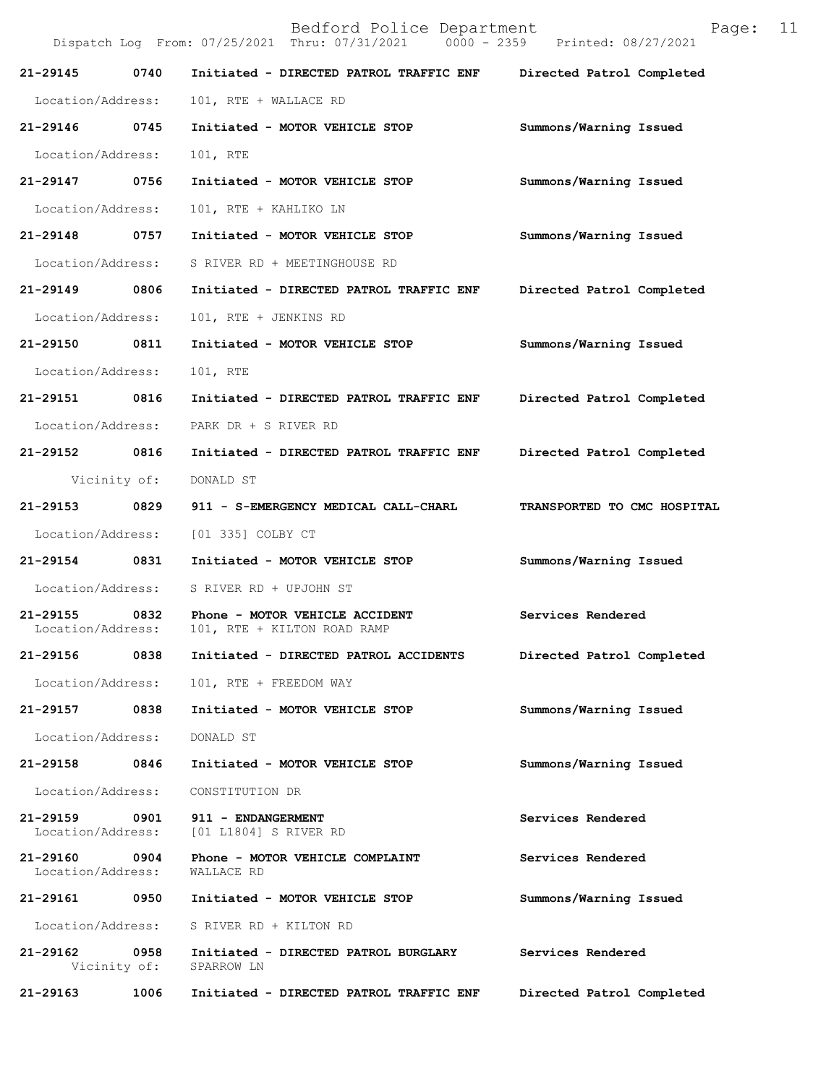Bedford Police Department Page: 11 Dispatch Log From: 07/25/2021 Thru: 07/31/2021 **21-29145 0740 Initiated - DIRECTED PATROL TRAFFIC ENF Directed Patrol Completed**  Location/Address: 101, RTE + WALLACE RD **21-29146 0745 Initiated - MOTOR VEHICLE STOP Summons/Warning Issued**  Location/Address: 101, RTE **21-29147 0756 Initiated - MOTOR VEHICLE STOP Summons/Warning Issued**  Location/Address: 101, RTE + KAHLIKO LN **21-29148 0757 Initiated - MOTOR VEHICLE STOP Summons/Warning Issued**  Location/Address: S RIVER RD + MEETINGHOUSE RD **21-29149 0806 Initiated - DIRECTED PATROL TRAFFIC ENF Directed Patrol Completed**  Location/Address: 101, RTE + JENKINS RD **21-29150 0811 Initiated - MOTOR VEHICLE STOP Summons/Warning Issued**  Location/Address: 101, RTE **21-29151 0816 Initiated - DIRECTED PATROL TRAFFIC ENF Directed Patrol Completed**  Location/Address: PARK DR + S RIVER RD **21-29152 0816 Initiated - DIRECTED PATROL TRAFFIC ENF Directed Patrol Completed**  Vicinity of: DONALD ST **21-29153 0829 911 - S-EMERGENCY MEDICAL CALL-CHARL TRANSPORTED TO CMC HOSPITAL**  Location/Address: [01 335] COLBY CT **21-29154 0831 Initiated - MOTOR VEHICLE STOP Summons/Warning Issued**  Location/Address: S RIVER RD + UPJOHN ST **21-29155 0832 Phone - MOTOR VEHICLE ACCIDENT Services Rendered** Location/Address: 101, RTE + KILTON ROAD RAMP 101, RTE + KILTON ROAD RAMP **21-29156 0838 Initiated - DIRECTED PATROL ACCIDENTS Directed Patrol Completed**  Location/Address: 101, RTE + FREEDOM WAY **21-29157 0838 Initiated - MOTOR VEHICLE STOP Summons/Warning Issued**  Location/Address: DONALD ST **21-29158 0846 Initiated - MOTOR VEHICLE STOP Summons/Warning Issued**  Location/Address: CONSTITUTION DR **21-29159 0901 911 - ENDANGERMENT Services Rendered**  Location/Address: [01 L1804] S RIVER RD 21-29160 0904 Phone - MOTOR VEHICLE COMPLAINT **Services Rendered Location/Address:** WALLACE RD Location/Address: **21-29161 0950 Initiated - MOTOR VEHICLE STOP Summons/Warning Issued**  Location/Address: S RIVER RD + KILTON RD **21-29162** 0958 Initiated - DIRECTED PATROL BURGLARY Services Rendered Vicinity of: SPARROW LN Vicinity of:

**21-29163 1006 Initiated - DIRECTED PATROL TRAFFIC ENF Directed Patrol Completed**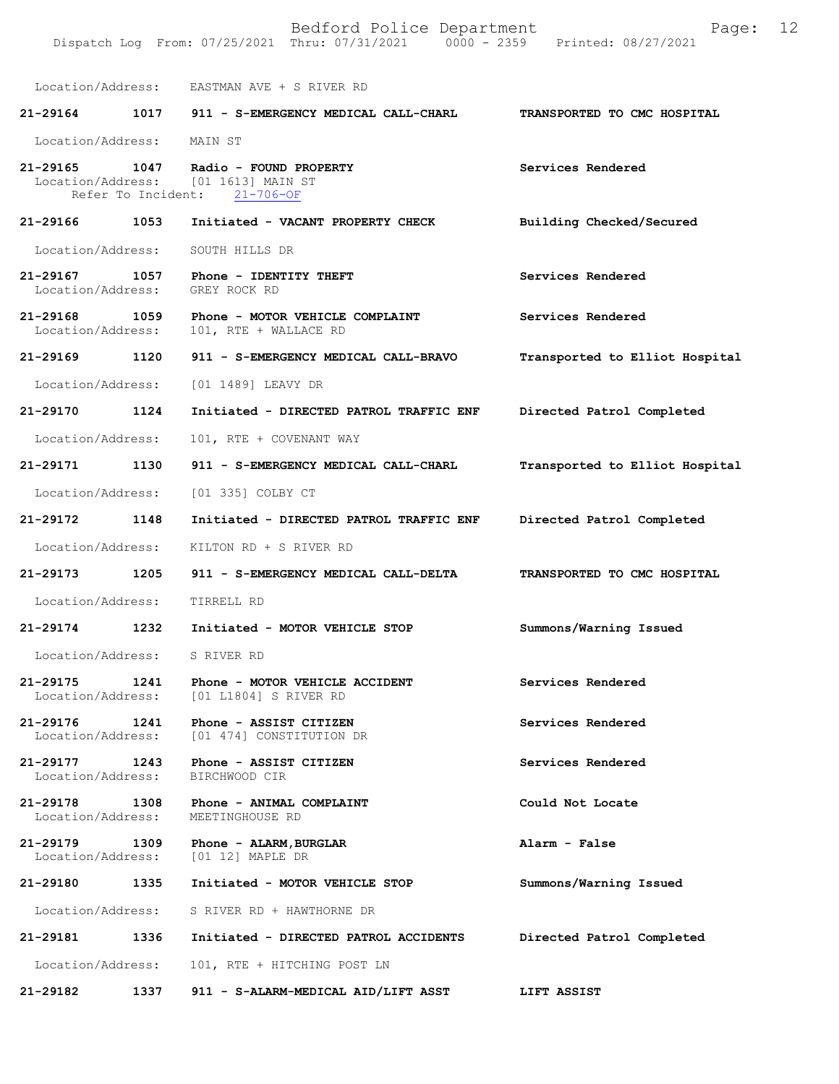|                                    |      | Location/Address: EASTMAN AVE + S RIVER RD                                            |                                |
|------------------------------------|------|---------------------------------------------------------------------------------------|--------------------------------|
|                                    |      | 21-29164 1017 911 - S-EMERGENCY MEDICAL CALL-CHARL                                    | TRANSPORTED TO CMC HOSPITAL    |
| Location/Address: MAIN ST          |      |                                                                                       |                                |
| 21-29165<br>Refer To Incident:     |      | 1047 Radio - FOUND PROPERTY<br>Location/Address: [01 1613] MAIN ST<br>$21 - 706 - OF$ | Services Rendered              |
| 21-29166                           | 1053 | Initiated - VACANT PROPERTY CHECK                                                     | Building Checked/Secured       |
| Location/Address:                  |      | SOUTH HILLS DR                                                                        |                                |
| 21-29167 1057<br>Location/Address: |      | Phone - IDENTITY THEFT<br>GREY ROCK RD                                                | Services Rendered              |
| 21-29168 1059<br>Location/Address: |      | Phone - MOTOR VEHICLE COMPLAINT<br>101, RTE + WALLACE RD                              | Services Rendered              |
| 21-29169 1120                      |      | 911 - S-EMERGENCY MEDICAL CALL-BRAVO                                                  | Transported to Elliot Hospital |
| Location/Address:                  |      | [01 1489] LEAVY DR                                                                    |                                |
| 21-29170                           | 1124 | Initiated - DIRECTED PATROL TRAFFIC ENF                                               | Directed Patrol Completed      |
| Location/Address:                  |      | 101, RTE + COVENANT WAY                                                               |                                |
| 21-29171                           | 1130 | 911 - S-EMERGENCY MEDICAL CALL-CHARL                                                  | Transported to Elliot Hospital |
| Location/Address:                  |      | [01 335] COLBY CT                                                                     |                                |
| 21-29172 1148                      |      | Initiated - DIRECTED PATROL TRAFFIC ENF                                               | Directed Patrol Completed      |
| Location/Address:                  |      | KILTON RD + S RIVER RD                                                                |                                |
| 21-29173 1205                      |      | 911 - S-EMERGENCY MEDICAL CALL-DELTA                                                  | TRANSPORTED TO CMC HOSPITAL    |
| Location/Address:                  |      | TIRRELL RD                                                                            |                                |
| 21-29174                           | 1232 | Initiated - MOTOR VEHICLE STOP                                                        | Summons/Warning Issued         |
| Location/Address:                  |      | S RIVER RD                                                                            |                                |
| 21-29175<br>Location/Address:      | 1241 | Phone - MOTOR VEHICLE ACCIDENT<br>[01 L1804] S RIVER RD                               | Services Rendered              |
| 21-29176<br>Location/Address:      | 1241 | Phone - ASSIST CITIZEN<br>[01 474] CONSTITUTION DR                                    | Services Rendered              |
| 21-29177<br>Location/Address:      | 1243 | Phone - ASSIST CITIZEN<br>BIRCHWOOD CIR                                               | Services Rendered              |
| 21-29178<br>Location/Address:      | 1308 | Phone - ANIMAL COMPLAINT<br>MEETINGHOUSE RD                                           | Could Not Locate               |
| 21-29179<br>Location/Address:      | 1309 | Phone - ALARM, BURGLAR<br>$[01 12]$ MAPLE DR                                          | Alarm - False                  |
| 21-29180                           | 1335 | Initiated - MOTOR VEHICLE STOP                                                        | Summons/Warning Issued         |

**21-29181 1336 Initiated - DIRECTED PATROL ACCIDENTS Directed Patrol Completed**  Location/Address: 101, RTE + HITCHING POST LN **21-29182 1337 911 - S-ALARM-MEDICAL AID/LIFT ASST LIFT ASSIST** 

Location/Address: S RIVER RD + HAWTHORNE DR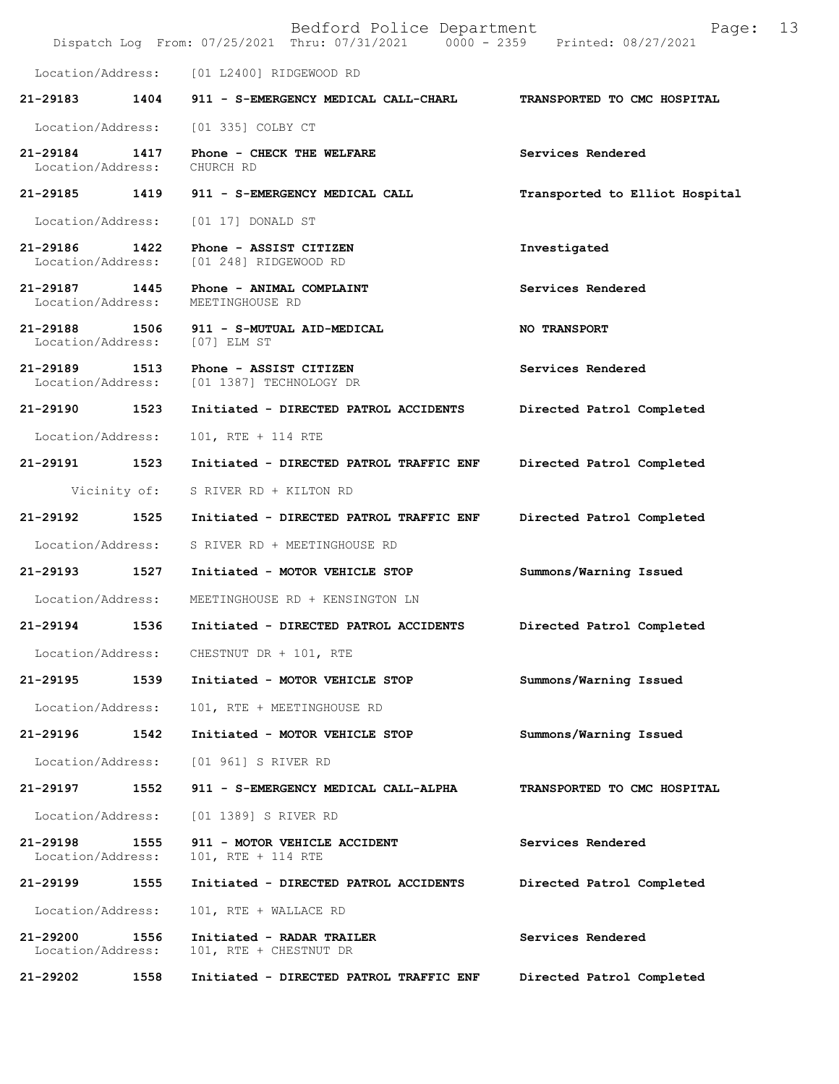|                               |      | Bedford Police Department<br>Dispatch Log From: 07/25/2021 Thru: 07/31/2021 0000 - 2359 Printed: 08/27/2021 | 13<br>Page:                    |
|-------------------------------|------|-------------------------------------------------------------------------------------------------------------|--------------------------------|
| Location/Address:             |      | [01 L2400] RIDGEWOOD RD                                                                                     |                                |
| 21-29183                      | 1404 | 911 - S-EMERGENCY MEDICAL CALL-CHARL                                                                        | TRANSPORTED TO CMC HOSPITAL    |
| Location/Address:             |      | [01 335] COLBY CT                                                                                           |                                |
| 21-29184<br>Location/Address: | 1417 | Phone - CHECK THE WELFARE<br>CHURCH RD                                                                      | Services Rendered              |
| 21-29185 1419                 |      | 911 - S-EMERGENCY MEDICAL CALL                                                                              | Transported to Elliot Hospital |
| Location/Address:             |      | $[01 17]$ DONALD ST                                                                                         |                                |
| 21-29186<br>Location/Address: | 1422 | Phone - ASSIST CITIZEN<br>[01 248] RIDGEWOOD RD                                                             | Investigated                   |
| 21-29187<br>Location/Address: | 1445 | Phone - ANIMAL COMPLAINT<br>MEETINGHOUSE RD                                                                 | Services Rendered              |
| 21-29188<br>Location/Address: | 1506 | 911 - S-MUTUAL AID-MEDICAL<br>[07] ELM ST                                                                   | <b>NO TRANSPORT</b>            |
| 21-29189<br>Location/Address: | 1513 | Phone - ASSIST CITIZEN<br>[01 1387] TECHNOLOGY DR                                                           | Services Rendered              |
| 21-29190 1523                 |      | Initiated - DIRECTED PATROL ACCIDENTS                                                                       | Directed Patrol Completed      |
| Location/Address:             |      | 101, RTE + 114 RTE                                                                                          |                                |
| 21-29191                      | 1523 | Initiated - DIRECTED PATROL TRAFFIC ENF                                                                     | Directed Patrol Completed      |
| Vicinity of:                  |      | S RIVER RD + KILTON RD                                                                                      |                                |
| 21-29192                      | 1525 | Initiated - DIRECTED PATROL TRAFFIC ENF                                                                     | Directed Patrol Completed      |
| Location/Address:             |      | S RIVER RD + MEETINGHOUSE RD                                                                                |                                |
| 21-29193                      | 1527 | Initiated - MOTOR VEHICLE STOP                                                                              | Summons/Warning Issued         |
| Location/Address:             |      | MEETINGHOUSE RD + KENSINGTON LN                                                                             |                                |
| 21-29194                      | 1536 | Initiated - DIRECTED PATROL ACCIDENTS                                                                       | Directed Patrol Completed      |
|                               |      | Location/Address: CHESTNUT DR + 101, RTE                                                                    |                                |
| 21-29195                      | 1539 | Initiated - MOTOR VEHICLE STOP                                                                              | Summons/Warning Issued         |
| Location/Address:             |      | 101, RTE + MEETINGHOUSE RD                                                                                  |                                |
| 21-29196                      | 1542 | Initiated - MOTOR VEHICLE STOP                                                                              | Summons/Warning Issued         |
| Location/Address:             |      | [01 961] S RIVER RD                                                                                         |                                |
| 21-29197                      | 1552 | 911 - S-EMERGENCY MEDICAL CALL-ALPHA                                                                        | TRANSPORTED TO CMC HOSPITAL    |
| Location/Address:             |      | [01 1389] S RIVER RD                                                                                        |                                |
| 21-29198<br>Location/Address: | 1555 | 911 - MOTOR VEHICLE ACCIDENT<br>101, RTE + 114 RTE                                                          | Services Rendered              |
| 21-29199                      | 1555 | Initiated - DIRECTED PATROL ACCIDENTS                                                                       | Directed Patrol Completed      |
| Location/Address:             |      | 101, RTE + WALLACE RD                                                                                       |                                |
| 21-29200<br>Location/Address: | 1556 | Initiated - RADAR TRAILER<br>101, RTE + CHESTNUT DR                                                         | Services Rendered              |
| 21-29202                      | 1558 | Initiated - DIRECTED PATROL TRAFFIC ENF                                                                     | Directed Patrol Completed      |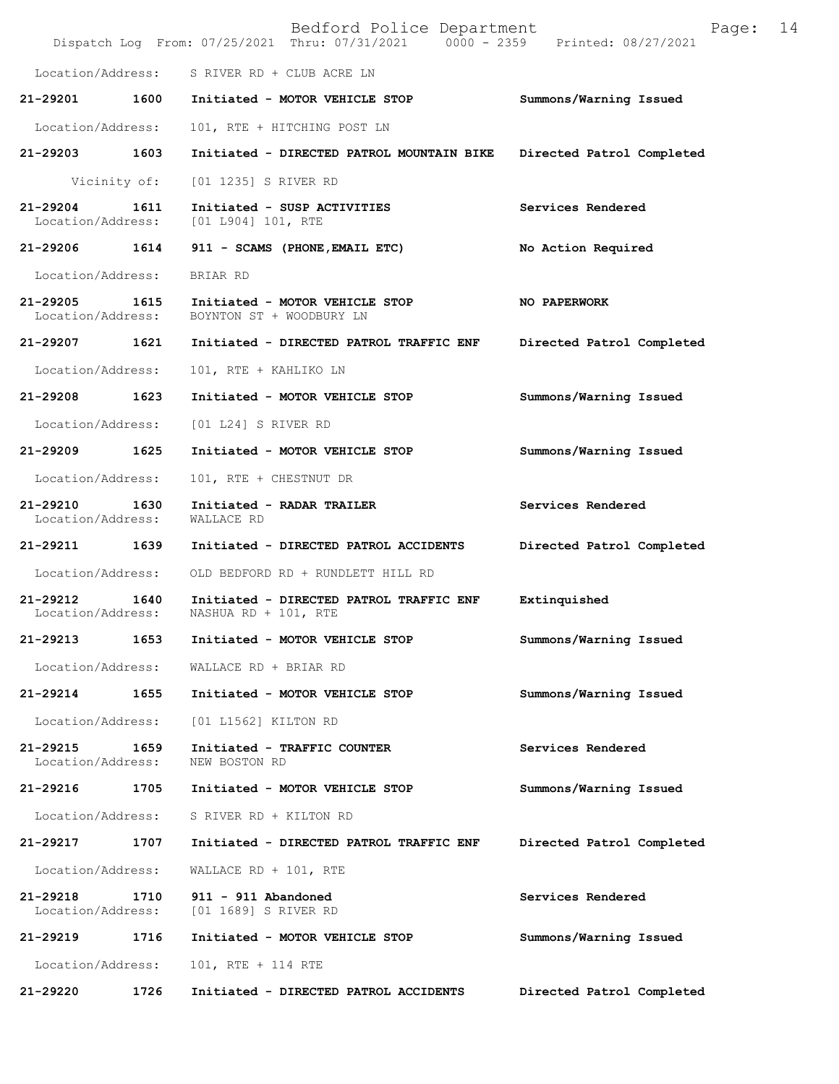|                                    |              | Bedford Police Department<br>Dispatch Log From: 07/25/2021 Thru: 07/31/2021 0000 - 2359 Printed: 08/27/2021 | 14<br>Page:               |
|------------------------------------|--------------|-------------------------------------------------------------------------------------------------------------|---------------------------|
|                                    |              | Location/Address: S RIVER RD + CLUB ACRE LN                                                                 |                           |
| 21-29201                           | 1600         | Initiated - MOTOR VEHICLE STOP                                                                              | Summons/Warning Issued    |
| Location/Address:                  |              | 101, RTE + HITCHING POST LN                                                                                 |                           |
| 21-29203                           | 1603         | Initiated - DIRECTED PATROL MOUNTAIN BIKE                                                                   | Directed Patrol Completed |
|                                    | Vicinity of: | [01 1235] S RIVER RD                                                                                        |                           |
| 21-29204<br>Location/Address:      | 1611         | Initiated - SUSP ACTIVITIES<br>[01  L904] 101, RTE                                                          | Services Rendered         |
| 21-29206 1614                      |              | 911 - SCAMS (PHONE, EMAIL ETC)                                                                              | No Action Required        |
| Location/Address:                  |              | BRIAR RD                                                                                                    |                           |
| 21-29205 1615<br>Location/Address: |              | Initiated - MOTOR VEHICLE STOP<br>BOYNTON ST + WOODBURY LN                                                  | NO PAPERWORK              |
| 21-29207 1621                      |              | Initiated - DIRECTED PATROL TRAFFIC ENF                                                                     | Directed Patrol Completed |
| Location/Address:                  |              | 101, RTE + KAHLIKO LN                                                                                       |                           |
| 21-29208                           | 1623         | Initiated - MOTOR VEHICLE STOP                                                                              | Summons/Warning Issued    |
| Location/Address:                  |              | [01 L24] S RIVER RD                                                                                         |                           |
| 21-29209                           | 1625         | Initiated - MOTOR VEHICLE STOP                                                                              | Summons/Warning Issued    |
| Location/Address:                  |              | 101, RTE + CHESTNUT DR                                                                                      |                           |
| 21-29210<br>Location/Address:      | 1630         | Initiated - RADAR TRAILER<br>WALLACE RD                                                                     | Services Rendered         |
| 21-29211                           | 1639         | Initiated - DIRECTED PATROL ACCIDENTS                                                                       | Directed Patrol Completed |
| Location/Address:                  |              | OLD BEDFORD RD + RUNDLETT HILL RD                                                                           |                           |
| $21 - 29212$<br>Location/Address:  | 1640         | Initiated - DIRECTED PATROL TRAFFIC ENF<br>NASHUA RD + 101, RTE                                             | Extinquished              |
| 21-29213                           | 1653         | Initiated - MOTOR VEHICLE STOP                                                                              | Summons/Warning Issued    |
| Location/Address:                  |              | WALLACE RD + BRIAR RD                                                                                       |                           |
| 21-29214                           | 1655         | Initiated - MOTOR VEHICLE STOP                                                                              | Summons/Warning Issued    |
| Location/Address:                  |              | [01 L1562] KILTON RD                                                                                        |                           |
| 21-29215<br>Location/Address:      | 1659         | Initiated - TRAFFIC COUNTER<br>NEW BOSTON RD                                                                | Services Rendered         |
| 21-29216                           | 1705         | Initiated - MOTOR VEHICLE STOP                                                                              | Summons/Warning Issued    |
| Location/Address:                  |              | S RIVER RD + KILTON RD                                                                                      |                           |
| 21-29217                           | 1707         | Initiated - DIRECTED PATROL TRAFFIC ENF                                                                     | Directed Patrol Completed |
| Location/Address:                  |              | WALLACE RD + $101$ , RTE                                                                                    |                           |
| 21-29218<br>Location/Address:      | 1710         | 911 - 911 Abandoned<br>[01 1689] S RIVER RD                                                                 | Services Rendered         |
| 21-29219                           | 1716         | Initiated - MOTOR VEHICLE STOP                                                                              | Summons/Warning Issued    |
| Location/Address:                  |              | 101, RTE + 114 RTE                                                                                          |                           |
| 21-29220                           | 1726         | Initiated - DIRECTED PATROL ACCIDENTS                                                                       | Directed Patrol Completed |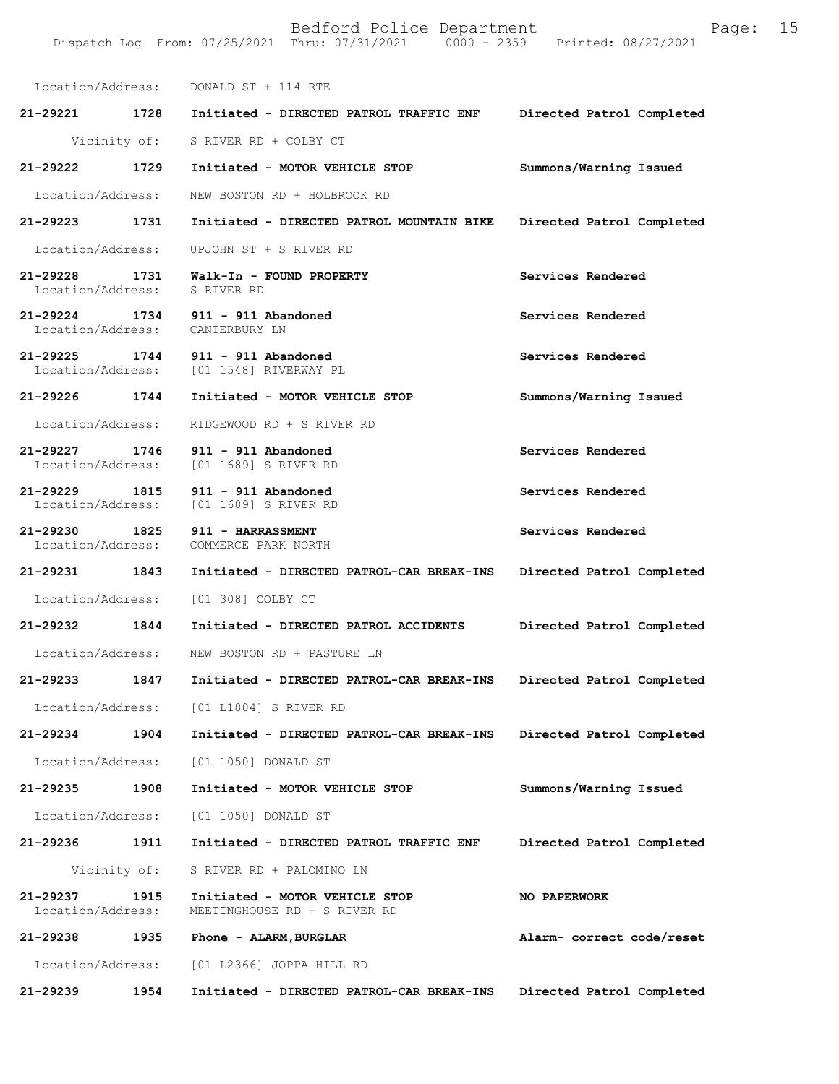|                                    |              | Location/Address: DONALD ST + 114 RTE                                        |                           |
|------------------------------------|--------------|------------------------------------------------------------------------------|---------------------------|
| 21-29221 1728                      |              | Initiated - DIRECTED PATROL TRAFFIC ENF                                      | Directed Patrol Completed |
|                                    | Vicinity of: | S RIVER RD + COLBY CT                                                        |                           |
| 21-29222                           | 1729         | Initiated - MOTOR VEHICLE STOP                                               | Summons/Warning Issued    |
| Location/Address:                  |              | NEW BOSTON RD + HOLBROOK RD                                                  |                           |
| 21-29223 1731                      |              | Initiated - DIRECTED PATROL MOUNTAIN BIKE                                    | Directed Patrol Completed |
| Location/Address:                  |              | UPJOHN ST + S RIVER RD                                                       |                           |
| 21-29228 1731<br>Location/Address: |              | Walk-In - FOUND PROPERTY<br>S RIVER RD                                       | Services Rendered         |
|                                    |              | 21-29224 1734 911 - 911 Abandoned<br>Location/Address: CANTERBURY LN         | Services Rendered         |
|                                    |              | 21-29225 1744 911 - 911 Abandoned<br>Location/Address: [01 1548] RIVERWAY PL | Services Rendered         |
| 21-29226 1744                      |              | Initiated - MOTOR VEHICLE STOP                                               | Summons/Warning Issued    |
| Location/Address:                  |              | RIDGEWOOD RD + S RIVER RD                                                    |                           |
|                                    |              | 21-29227 1746 911 - 911 Abandoned<br>Location/Address: [01 1689] S RIVER RD  | Services Rendered         |
| 21-29229                           |              | 1815 911 - 911 Abandoned<br>Location/Address: [01 1689] S RIVER RD           | Services Rendered         |
|                                    |              | 21-29230 1825 911 - HARRASSMENT<br>Location/Address: COMMERCE PARK NORTH     | Services Rendered         |
| 21-29231 1843                      |              | Initiated - DIRECTED PATROL-CAR BREAK-INS                                    | Directed Patrol Completed |
|                                    |              | Location/Address: [01 308] COLBY CT                                          |                           |
| 21-29232 1844                      |              | Initiated - DIRECTED PATROL ACCIDENTS                                        | Directed Patrol Completed |
| Location/Address:                  |              | NEW BOSTON RD + PASTURE LN                                                   |                           |
| 21-29233                           | 1847         | Initiated - DIRECTED PATROL-CAR BREAK-INS                                    | Directed Patrol Completed |
|                                    |              | Location/Address: [01 L1804] S RIVER RD                                      |                           |
| 21-29234                           | 1904         | Initiated - DIRECTED PATROL-CAR BREAK-INS                                    | Directed Patrol Completed |
| Location/Address:                  |              | [01 1050] DONALD ST                                                          |                           |
| 21-29235                           | 1908         | Initiated - MOTOR VEHICLE STOP                                               | Summons/Warning Issued    |
| Location/Address:                  |              | [01 1050] DONALD ST                                                          |                           |
| 21-29236                           | 1911         | Initiated - DIRECTED PATROL TRAFFIC ENF                                      | Directed Patrol Completed |
|                                    | Vicinity of: | S RIVER RD + PALOMINO LN                                                     |                           |
| 21-29237<br>Location/Address:      | 1915         | Initiated - MOTOR VEHICLE STOP<br>MEETINGHOUSE RD + S RIVER RD               | <b>NO PAPERWORK</b>       |
| 21-29238                           | 1935         | Phone - ALARM, BURGLAR                                                       | Alarm- correct code/reset |
| Location/Address:                  |              | [01 L2366] JOPPA HILL RD                                                     |                           |
| 21-29239                           | 1954         | Initiated - DIRECTED PATROL-CAR BREAK-INS                                    | Directed Patrol Completed |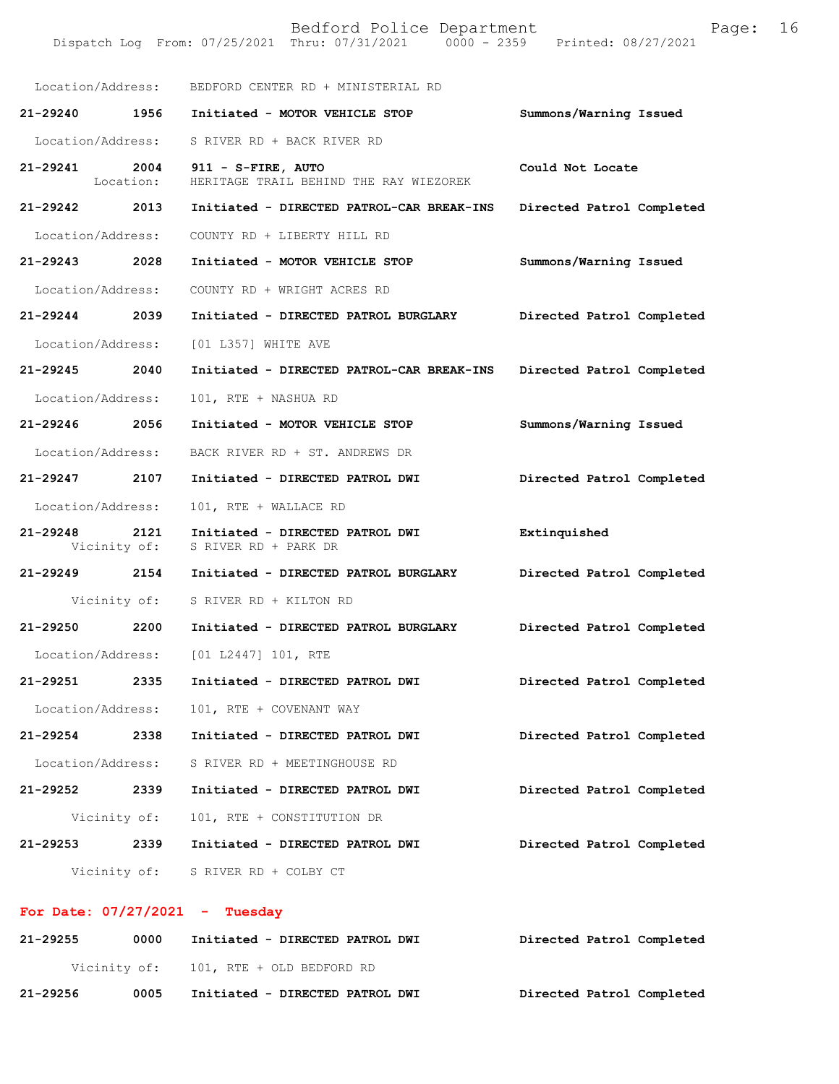Dispatch Log From: 07/25/2021 Thru: 07/31/2021 0000 - 2359 Printed: 08/27/2021

| Location/Address: |           |                                                                      |                           |
|-------------------|-----------|----------------------------------------------------------------------|---------------------------|
|                   |           | BEDFORD CENTER RD + MINISTERIAL RD                                   |                           |
|                   |           | 21-29240 1956 Initiated - MOTOR VEHICLE STOP                         | Summons/Warning Issued    |
| Location/Address: |           | S RIVER RD + BACK RIVER RD                                           |                           |
| 21-29241 2004     | Location: | 911 - S-FIRE, AUTO<br>HERITAGE TRAIL BEHIND THE RAY WIEZOREK         | Could Not Locate          |
|                   |           | 21-29242 2013 Initiated - DIRECTED PATROL-CAR BREAK-INS              | Directed Patrol Completed |
| Location/Address: |           | COUNTY RD + LIBERTY HILL RD                                          |                           |
| 21-29243 2028     |           | Initiated - MOTOR VEHICLE STOP                                       | Summons/Warning Issued    |
| Location/Address: |           | COUNTY RD + WRIGHT ACRES RD                                          |                           |
| 21-29244 2039     |           | Initiated - DIRECTED PATROL BURGLARY                                 | Directed Patrol Completed |
|                   |           | Location/Address: [01 L357] WHITE AVE                                |                           |
| 21-29245 2040     |           | Initiated - DIRECTED PATROL-CAR BREAK-INS                            | Directed Patrol Completed |
| Location/Address: |           | 101, RTE + NASHUA RD                                                 |                           |
| 21-29246 2056     |           | Initiated - MOTOR VEHICLE STOP                                       | Summons/Warning Issued    |
| Location/Address: |           | BACK RIVER RD + ST. ANDREWS DR                                       |                           |
| 21-29247 2107     |           | Initiated - DIRECTED PATROL DWI                                      | Directed Patrol Completed |
| Location/Address: |           | 101, RTE + WALLACE RD                                                |                           |
| 21-29248 2121     |           | Initiated - DIRECTED PATROL DWI<br>Vicinity of: S RIVER RD + PARK DR | Extinquished              |
|                   |           | 21-29249 2154 Initiated - DIRECTED PATROL BURGLARY                   | Directed Patrol Completed |
|                   |           | Vicinity of: S RIVER RD + KILTON RD                                  |                           |
| 21-29250 2200     |           | Initiated - DIRECTED PATROL BURGLARY                                 | Directed Patrol Completed |
|                   |           | Location/Address: [01 L2447] 101, RTE                                |                           |
| 21-29251          | 2335      | Initiated - DIRECTED PATROL DWI                                      | Directed Patrol Completed |
| Location/Address: |           | 101, RTE + COVENANT WAY                                              |                           |
|                   |           | 21-29254 2338 Initiated - DIRECTED PATROL DWI                        | Directed Patrol Completed |
| Location/Address: |           | S RIVER RD + MEETINGHOUSE RD                                         |                           |
| 21-29252 2339     |           | Initiated - DIRECTED PATROL DWI                                      | Directed Patrol Completed |
| Vicinity of:      |           | 101, RTE + CONSTITUTION DR                                           |                           |
|                   |           | 21-29253 2339 Initiated - DIRECTED PATROL DWI                        | Directed Patrol Completed |
|                   |           | Vicinity of: S RIVER RD + COLBY CT                                   |                           |

# **For Date: 07/27/2021 - Tuesday**

| 21-29255     | 0000 | Initiated - DIRECTED PATROL DWI | Directed Patrol Completed |
|--------------|------|---------------------------------|---------------------------|
| Vicinity of: |      | 101, RTE + OLD BEDFORD RD       |                           |
| 21-29256     | 0005 | Initiated - DIRECTED PATROL DWI | Directed Patrol Completed |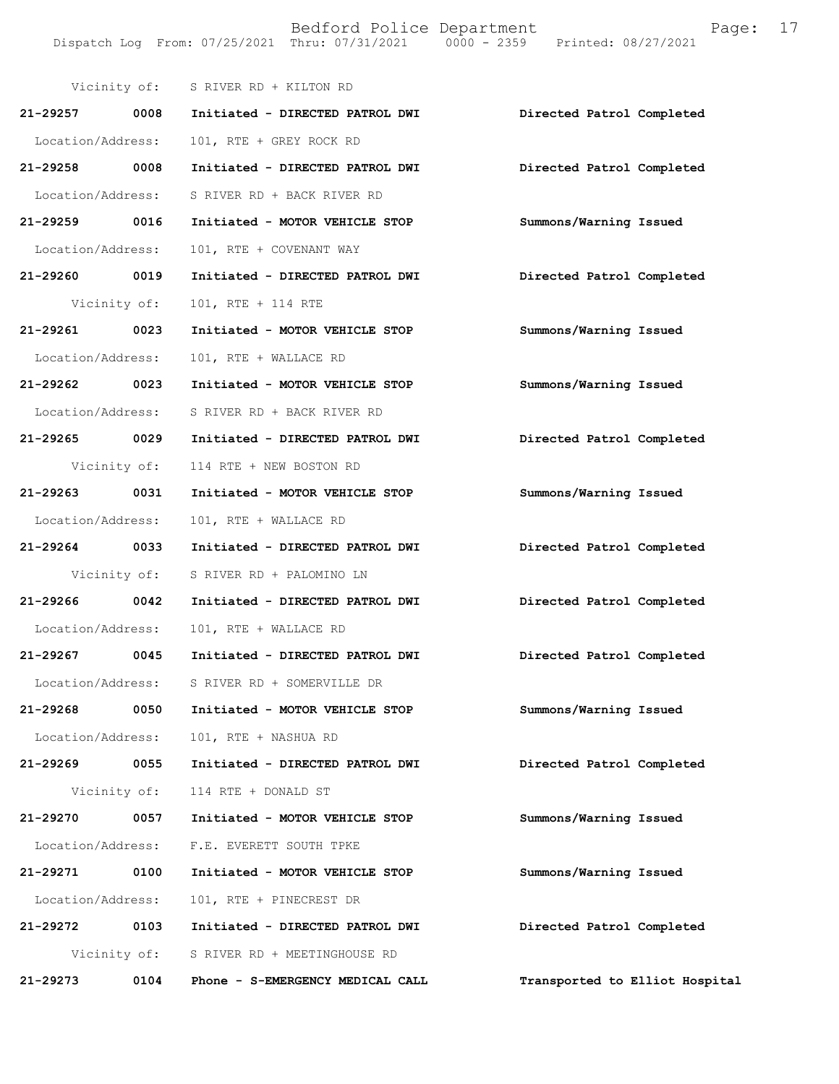|                   |              | Vicinity of: S RIVER RD + KILTON RD |                                |
|-------------------|--------------|-------------------------------------|--------------------------------|
| 21-29257 0008     |              | Initiated - DIRECTED PATROL DWI     | Directed Patrol Completed      |
| Location/Address: |              | 101, RTE + GREY ROCK RD             |                                |
| 21-29258 0008     |              | Initiated - DIRECTED PATROL DWI     | Directed Patrol Completed      |
| Location/Address: |              | S RIVER RD + BACK RIVER RD          |                                |
| 21-29259 0016     |              | Initiated - MOTOR VEHICLE STOP      | Summons/Warning Issued         |
| Location/Address: |              | 101, RTE + COVENANT WAY             |                                |
| 21-29260 0019     |              | Initiated - DIRECTED PATROL DWI     | Directed Patrol Completed      |
|                   | Vicinity of: | 101, RTE + 114 RTE                  |                                |
| 21-29261          | 0023         | Initiated - MOTOR VEHICLE STOP      | Summons/Warning Issued         |
| Location/Address: |              | 101, RTE + WALLACE RD               |                                |
| 21-29262 0023     |              | Initiated - MOTOR VEHICLE STOP      | Summons/Warning Issued         |
| Location/Address: |              | S RIVER RD + BACK RIVER RD          |                                |
| 21-29265 0029     |              | Initiated - DIRECTED PATROL DWI     | Directed Patrol Completed      |
|                   | Vicinity of: | 114 RTE + NEW BOSTON RD             |                                |
| 21-29263 0031     |              | Initiated - MOTOR VEHICLE STOP      | Summons/Warning Issued         |
| Location/Address: |              | 101, RTE + WALLACE RD               |                                |
| 21-29264 0033     |              | Initiated - DIRECTED PATROL DWI     | Directed Patrol Completed      |
|                   | Vicinity of: | S RIVER RD + PALOMINO LN            |                                |
| 21-29266          | 0042         | Initiated - DIRECTED PATROL DWI     | Directed Patrol Completed      |
| Location/Address: |              | 101, RTE + WALLACE RD               |                                |
| 21-29267 0045     |              | Initiated - DIRECTED PATROL DWI     | Directed Patrol Completed      |
| Location/Address: |              | S RIVER RD + SOMERVILLE DR          |                                |
| 21-29268          | 0050         | Initiated - MOTOR VEHICLE STOP      | Summons/Warning Issued         |
| Location/Address: |              | 101, RTE + NASHUA RD                |                                |
| 21-29269          | 0055         | Initiated - DIRECTED PATROL DWI     | Directed Patrol Completed      |
|                   | Vicinity of: | 114 RTE + DONALD ST                 |                                |
| 21-29270          | 0057         | Initiated - MOTOR VEHICLE STOP      | Summons/Warning Issued         |
| Location/Address: |              | F.E. EVERETT SOUTH TPKE             |                                |
| 21-29271          | 0100         | Initiated - MOTOR VEHICLE STOP      | Summons/Warning Issued         |
| Location/Address: |              | 101, RTE + PINECREST DR             |                                |
| 21-29272          | 0103         | Initiated - DIRECTED PATROL DWI     | Directed Patrol Completed      |
|                   | Vicinity of: | S RIVER RD + MEETINGHOUSE RD        |                                |
| 21-29273          | 0104         | Phone - S-EMERGENCY MEDICAL CALL    | Transported to Elliot Hospital |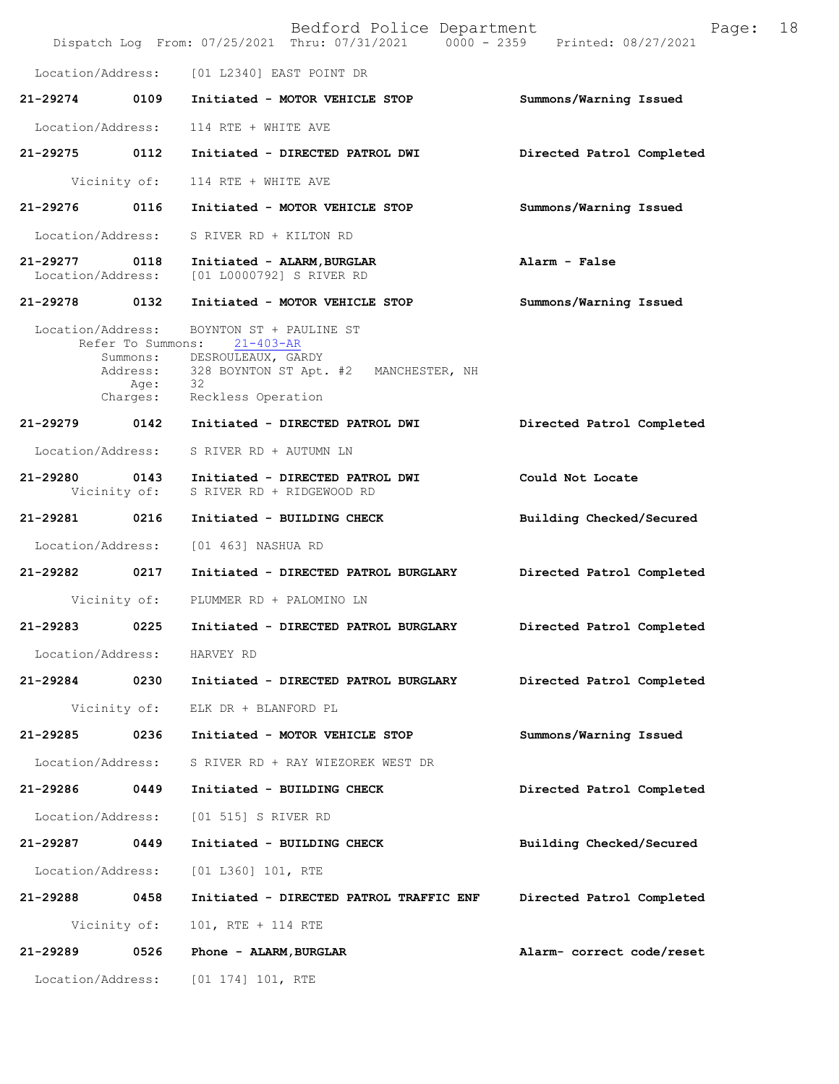|                               |                   | Bedford Police Department<br>Dispatch Log From: 07/25/2021 Thru: 07/31/2021 0000 - 2359 Printed: 08/27/2021 | 18<br>Page:               |
|-------------------------------|-------------------|-------------------------------------------------------------------------------------------------------------|---------------------------|
|                               |                   | Location/Address: [01 L2340] EAST POINT DR                                                                  |                           |
| 21-29274 0109                 |                   | Initiated - MOTOR VEHICLE STOP                                                                              | Summons/Warning Issued    |
| Location/Address:             |                   | 114 RTE + WHITE AVE                                                                                         |                           |
| 21-29275                      | 0112              | Initiated - DIRECTED PATROL DWI                                                                             | Directed Patrol Completed |
|                               | Vicinity of:      | 114 RTE + WHITE AVE                                                                                         |                           |
| 21-29276                      | 0116              | Initiated - MOTOR VEHICLE STOP                                                                              | Summons/Warning Issued    |
| Location/Address:             |                   | S RIVER RD + KILTON RD                                                                                      |                           |
| 21-29277<br>Location/Address: | 0118              | Initiated - ALARM, BURGLAR<br>[01 L0000792] S RIVER RD                                                      | Alarm - False             |
| 21-29278                      | 0132              | Initiated - MOTOR VEHICLE STOP                                                                              | Summons/Warning Issued    |
| Location/Address:             | Refer To Summons: | BOYNTON ST + PAULINE ST                                                                                     |                           |
|                               | Age: 32           | 21-403-AR<br>Summons: DESROULEAUX, GARDY<br>Address: 328 BOYNTON ST Apt. #2 MANCHESTER, NH                  |                           |
|                               |                   | Charges: Reckless Operation                                                                                 |                           |
| 21-29279 0142                 |                   | Initiated - DIRECTED PATROL DWI                                                                             | Directed Patrol Completed |
| Location/Address:             |                   | S RIVER RD + AUTUMN LN                                                                                      |                           |
| 21-29280                      | Vicinity of:      | 0143 Initiated - DIRECTED PATROL DWI<br>S RIVER RD + RIDGEWOOD RD                                           | Could Not Locate          |
| 21-29281                      | 0216              | Initiated - BUILDING CHECK                                                                                  | Building Checked/Secured  |
| Location/Address:             |                   | [01 463] NASHUA RD                                                                                          |                           |
| 21-29282 0217                 |                   | Initiated - DIRECTED PATROL BURGLARY                                                                        | Directed Patrol Completed |
|                               |                   | Vicinity of: PLUMMER RD + PALOMINO LN                                                                       |                           |
| 21-29283                      | 0225              | Initiated - DIRECTED PATROL BURGLARY                                                                        | Directed Patrol Completed |
| Location/Address:             |                   | HARVEY RD                                                                                                   |                           |
| 21-29284                      | 0230              | Initiated - DIRECTED PATROL BURGLARY                                                                        | Directed Patrol Completed |
|                               | Vicinity of:      | ELK DR + BLANFORD PL                                                                                        |                           |
| 21-29285                      | 0236              | Initiated - MOTOR VEHICLE STOP                                                                              | Summons/Warning Issued    |
| Location/Address:             |                   | S RIVER RD + RAY WIEZOREK WEST DR                                                                           |                           |
| 21-29286                      | 0449              | Initiated - BUILDING CHECK                                                                                  | Directed Patrol Completed |
| Location/Address:             |                   | [01 515] S RIVER RD                                                                                         |                           |
| 21-29287                      | 0449              | Initiated - BUILDING CHECK                                                                                  | Building Checked/Secured  |
| Location/Address:             |                   | [01 L360] 101, RTE                                                                                          |                           |
| 21-29288                      | 0458              | Initiated - DIRECTED PATROL TRAFFIC ENF                                                                     | Directed Patrol Completed |
|                               | Vicinity of:      | 101, RTE + 114 RTE                                                                                          |                           |
| 21-29289                      | 0526              | Phone - ALARM, BURGLAR                                                                                      | Alarm- correct code/reset |
| Location/Address:             |                   | $[01 174] 101$ , RTE                                                                                        |                           |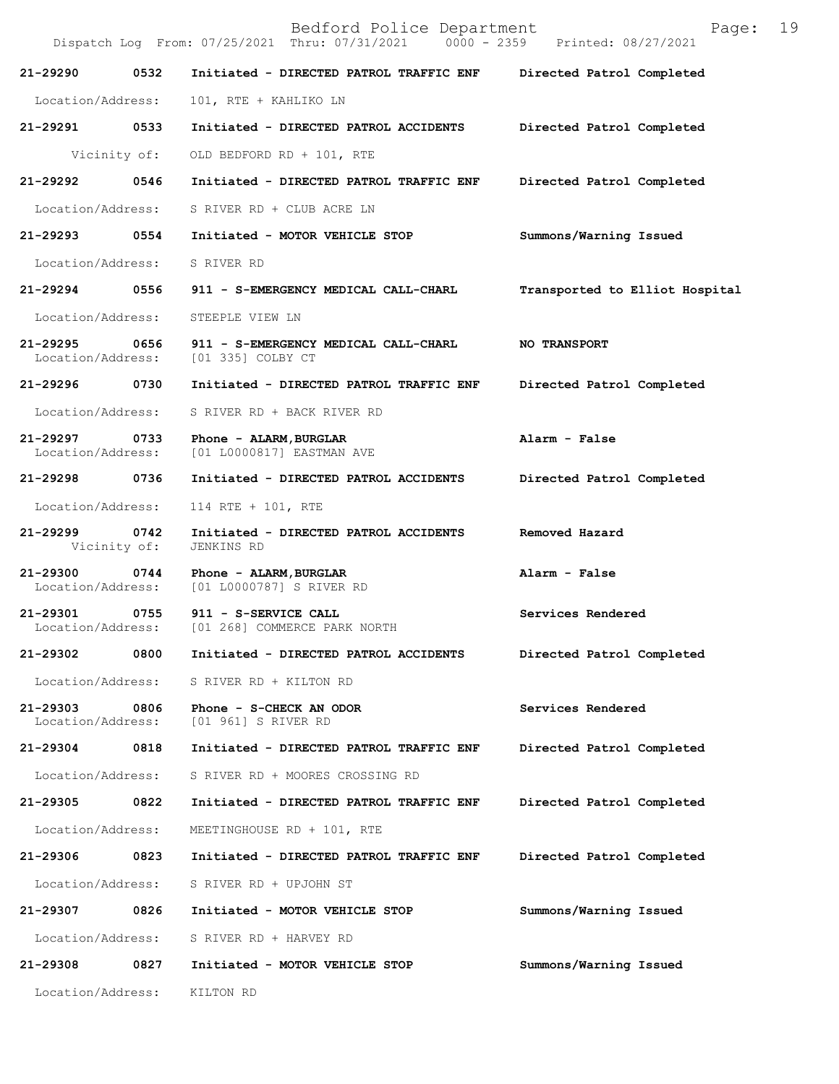|                                    |              | Bedford Police Department<br>Dispatch Log From: 07/25/2021 Thru: 07/31/2021 0000 - 2359 Printed: 08/27/2021 | Page:                          | 19 |
|------------------------------------|--------------|-------------------------------------------------------------------------------------------------------------|--------------------------------|----|
| 21-29290                           | 0532         | Initiated - DIRECTED PATROL TRAFFIC ENF Directed Patrol Completed                                           |                                |    |
| Location/Address:                  |              | 101, RTE + KAHLIKO LN                                                                                       |                                |    |
| 21-29291 0533                      |              | Initiated - DIRECTED PATROL ACCIDENTS                                                                       | Directed Patrol Completed      |    |
|                                    | Vicinity of: | OLD BEDFORD RD + 101, RTE                                                                                   |                                |    |
| 21-29292 0546                      |              | Initiated - DIRECTED PATROL TRAFFIC ENF                                                                     | Directed Patrol Completed      |    |
| Location/Address:                  |              | S RIVER RD + CLUB ACRE LN                                                                                   |                                |    |
| 21-29293 0554                      |              | Initiated - MOTOR VEHICLE STOP                                                                              | Summons/Warning Issued         |    |
| Location/Address:                  |              | S RIVER RD                                                                                                  |                                |    |
| 21-29294 0556                      |              | 911 - S-EMERGENCY MEDICAL CALL-CHARL                                                                        | Transported to Elliot Hospital |    |
| Location/Address:                  |              | STEEPLE VIEW LN                                                                                             |                                |    |
| 21-29295<br>Location/Address:      |              | 0656 911 - S-EMERGENCY MEDICAL CALL-CHARL<br>[01 335] COLBY CT                                              | <b>NO TRANSPORT</b>            |    |
| 21-29296 0730                      |              | Initiated - DIRECTED PATROL TRAFFIC ENF                                                                     | Directed Patrol Completed      |    |
| Location/Address:                  |              | S RIVER RD + BACK RIVER RD                                                                                  |                                |    |
| 21-29297 0733<br>Location/Address: |              | Phone - ALARM, BURGLAR<br>[01 L0000817] EASTMAN AVE                                                         | Alarm - False                  |    |
| 21-29298 0736                      |              | Initiated - DIRECTED PATROL ACCIDENTS                                                                       | Directed Patrol Completed      |    |
| Location/Address:                  |              | 114 RTE + 101, RTE                                                                                          |                                |    |
| 21-29299 0742                      | Vicinity of: | Initiated - DIRECTED PATROL ACCIDENTS<br>JENKINS RD                                                         | Removed Hazard                 |    |
| 21-29300<br>Location/Address:      | 0744         | Phone - ALARM, BURGLAR<br>[01 L0000787] S RIVER RD                                                          | Alarm - False                  |    |
| 21-29301 0755<br>Location/Address: |              | 911 - S-SERVICE CALL<br>[01 268] COMMERCE PARK NORTH                                                        | Services Rendered              |    |
| 21-29302                           | 0800         | Initiated - DIRECTED PATROL ACCIDENTS                                                                       | Directed Patrol Completed      |    |
| Location/Address:                  |              | S RIVER RD + KILTON RD                                                                                      |                                |    |
| 21-29303<br>Location/Address:      | 0806         | Phone - S-CHECK AN ODOR<br>[01 961] S RIVER RD                                                              | Services Rendered              |    |
| 21-29304                           | 0818         | Initiated - DIRECTED PATROL TRAFFIC ENF                                                                     | Directed Patrol Completed      |    |
| Location/Address:                  |              | S RIVER RD + MOORES CROSSING RD                                                                             |                                |    |
| 21-29305                           | 0822         | Initiated - DIRECTED PATROL TRAFFIC ENF                                                                     | Directed Patrol Completed      |    |
| Location/Address:                  |              | MEETINGHOUSE RD + 101, RTE                                                                                  |                                |    |
| 21-29306                           | 0823         | Initiated - DIRECTED PATROL TRAFFIC ENF                                                                     | Directed Patrol Completed      |    |
| Location/Address:                  |              | S RIVER RD + UPJOHN ST                                                                                      |                                |    |
| 21-29307                           | 0826         | Initiated - MOTOR VEHICLE STOP                                                                              | Summons/Warning Issued         |    |
| Location/Address:                  |              | S RIVER RD + HARVEY RD                                                                                      |                                |    |
| 21-29308                           | 0827         | Initiated - MOTOR VEHICLE STOP                                                                              | Summons/Warning Issued         |    |
| Location/Address:                  |              | KILTON RD                                                                                                   |                                |    |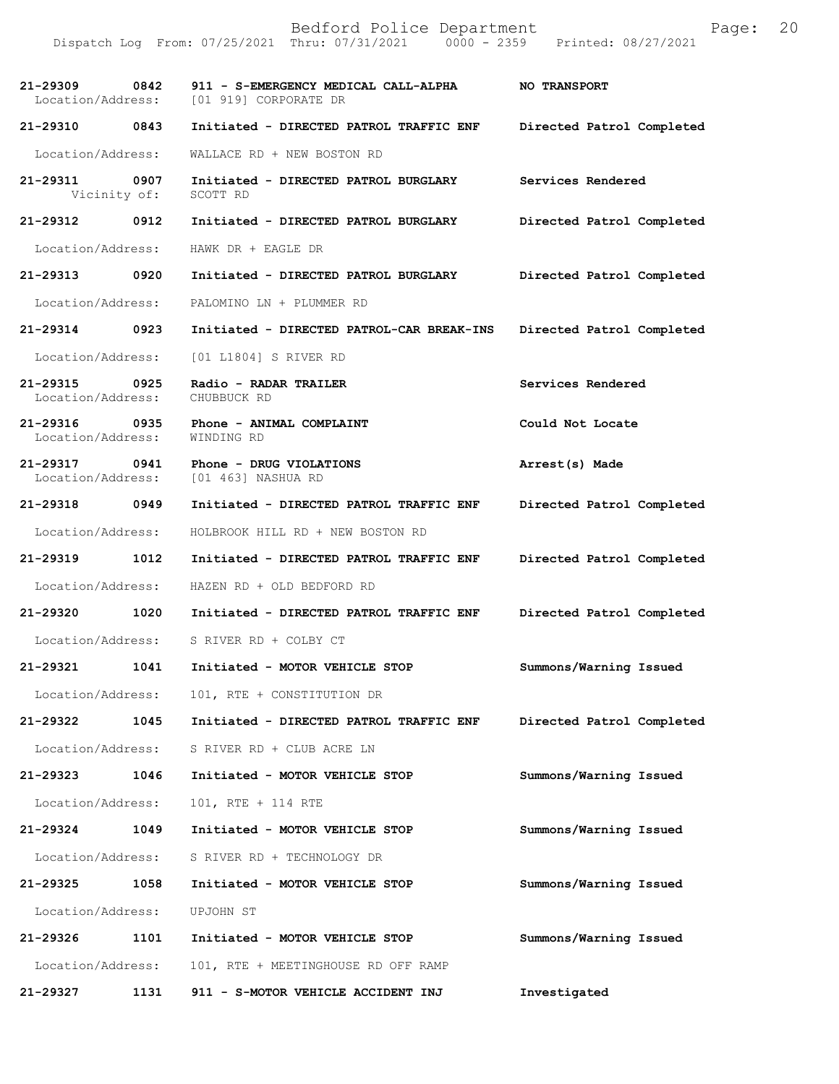Dispatch Log From: 07/25/2021 Thru: 07/31/2021 0000 - 2359 Printed: 08/27/2021

| 21–29309 0842                      |      | 911 - S-EMERGENCY MEDICAL CALL-ALPHA<br>Location/Address: [01 919] CORPORATE DR | <b>NO TRANSPORT</b>       |
|------------------------------------|------|---------------------------------------------------------------------------------|---------------------------|
| 21-29310 0843                      |      | Initiated - DIRECTED PATROL TRAFFIC ENF                                         | Directed Patrol Completed |
| Location/Address:                  |      | WALLACE RD + NEW BOSTON RD                                                      |                           |
| 21-29311<br>Vicinity of:           | 0907 | Initiated - DIRECTED PATROL BURGLARY<br>SCOTT RD                                | Services Rendered         |
| 21-29312 0912                      |      | Initiated - DIRECTED PATROL BURGLARY                                            | Directed Patrol Completed |
| Location/Address:                  |      | HAWK DR + EAGLE DR                                                              |                           |
| 21-29313 0920                      |      | Initiated - DIRECTED PATROL BURGLARY                                            | Directed Patrol Completed |
| Location/Address:                  |      | PALOMINO LN + PLUMMER RD                                                        |                           |
| 21-29314 0923                      |      | Initiated - DIRECTED PATROL-CAR BREAK-INS                                       | Directed Patrol Completed |
| Location/Address:                  |      | [01 L1804] S RIVER RD                                                           |                           |
| 21-29315 0925<br>Location/Address: |      | Radio - RADAR TRAILER<br>CHUBBUCK RD                                            | Services Rendered         |
| 21-29316 0935<br>Location/Address: |      | Phone - ANIMAL COMPLAINT<br>WINDING RD                                          | Could Not Locate          |
| 21-29317 0941                      |      | Phone - DRUG VIOLATIONS<br>Location/Address: [01 463] NASHUA RD                 | Arrest(s) Made            |
| 21-29318 0949                      |      | Initiated - DIRECTED PATROL TRAFFIC ENF                                         | Directed Patrol Completed |
| Location/Address:                  |      | HOLBROOK HILL RD + NEW BOSTON RD                                                |                           |
| 21-29319 1012                      |      | Initiated - DIRECTED PATROL TRAFFIC ENF                                         | Directed Patrol Completed |
|                                    |      | Location/Address: HAZEN RD + OLD BEDFORD RD                                     |                           |
|                                    |      | 21-29320 1020 Initiated - DIRECTED PATROL TRAFFIC ENF                           | Directed Patrol Completed |
|                                    |      | Location/Address: S RIVER RD + COLBY CT                                         |                           |
|                                    |      | 21-29321 1041 Initiated - MOTOR VEHICLE STOP                                    | Summons/Warning Issued    |
|                                    |      | Location/Address: 101, RTE + CONSTITUTION DR                                    |                           |
| 21-29322                           | 1045 | Initiated - DIRECTED PATROL TRAFFIC ENF                                         | Directed Patrol Completed |
| Location/Address:                  |      | S RIVER RD + CLUB ACRE LN                                                       |                           |
| 21-29323 1046                      |      | Initiated - MOTOR VEHICLE STOP                                                  | Summons/Warning Issued    |
| Location/Address:                  |      | 101, RTE + 114 RTE                                                              |                           |
| 21-29324                           | 1049 | Initiated - MOTOR VEHICLE STOP                                                  | Summons/Warning Issued    |
| Location/Address:                  |      | S RIVER RD + TECHNOLOGY DR                                                      |                           |
| 21-29325                           | 1058 | Initiated - MOTOR VEHICLE STOP                                                  | Summons/Warning Issued    |
| Location/Address:                  |      | UPJOHN ST                                                                       |                           |
| 21-29326                           | 1101 | Initiated - MOTOR VEHICLE STOP                                                  | Summons/Warning Issued    |
| Location/Address:                  |      | 101, RTE + MEETINGHOUSE RD OFF RAMP                                             |                           |
| 21-29327                           | 1131 | 911 - S-MOTOR VEHICLE ACCIDENT INJ                                              | Investigated              |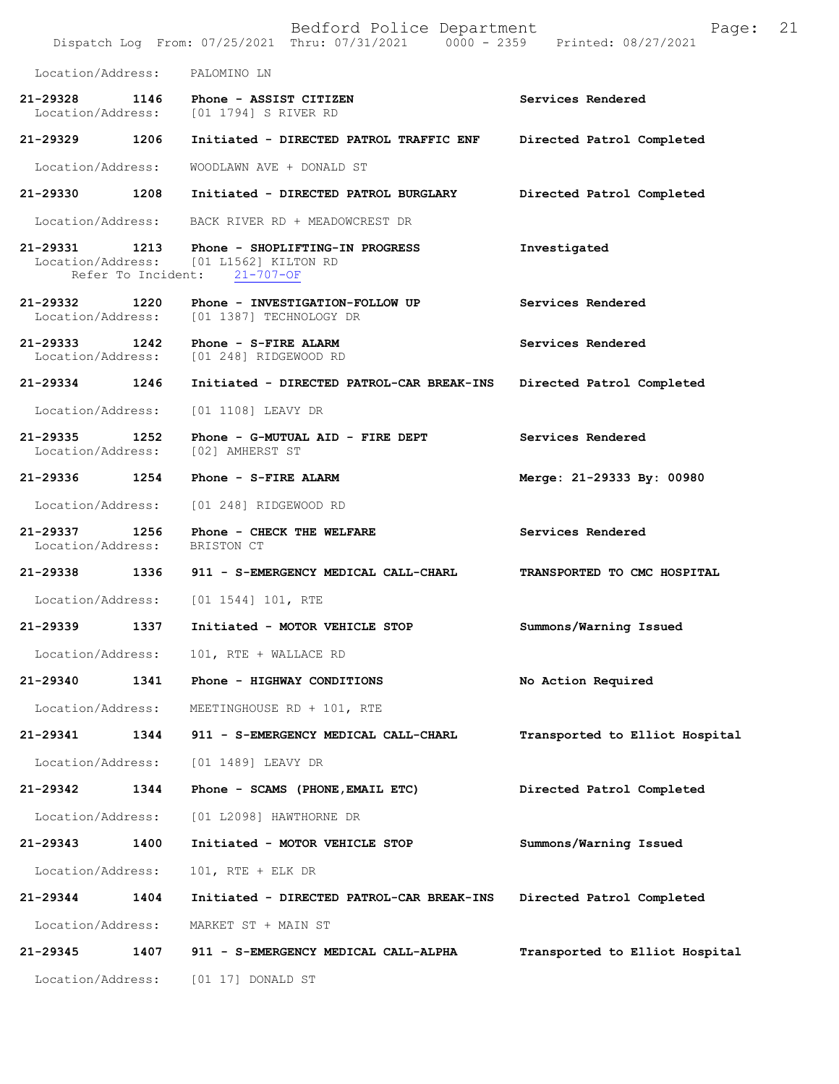Bedford Police Department Page: 21 Dispatch Log From: 07/25/2021 Thru: 07/31/2021 Location/Address: PALOMINO LN **21-29328 1146 Phone - ASSIST CITIZEN Services Rendered**  Location/Address: [01 1794] S RIVER RD **21-29329 1206 Initiated - DIRECTED PATROL TRAFFIC ENF Directed Patrol Completed**  Location/Address: WOODLAWN AVE + DONALD ST **21-29330 1208 Initiated - DIRECTED PATROL BURGLARY Directed Patrol Completed**  Location/Address: BACK RIVER RD + MEADOWCREST DR **21-29331 1213 Phone - SHOPLIFTING-IN PROGRESS Investigated**  [01 L1562] KILTON RD Refer To Incident: 21-707-OF **21-29332 1220 Phone - INVESTIGATION-FOLLOW UP Services Rendered**  Location/Address: [01 1387] TECHNOLOGY DR **21-29333 1242 Phone - S-FIRE ALARM Services Rendered**  Location/Address: [01 248] RIDGEWOOD RD **21-29334 1246 Initiated - DIRECTED PATROL-CAR BREAK-INS Directed Patrol Completed**  Location/Address: [01 1108] LEAVY DR **21-29335 1252 Phone - G-MUTUAL AID - FIRE DEPT Services Rendered**  Location/Address: [02] AMHERST ST **21-29336 1254 Phone - S-FIRE ALARM Merge: 21-29333 By: 00980**  Location/Address: [01 248] RIDGEWOOD RD **21-29337 1256 Phone - CHECK THE WELFARE Services Rendered**  Location/Address: BRISTON CT **21-29338 1336 911 - S-EMERGENCY MEDICAL CALL-CHARL TRANSPORTED TO CMC HOSPITAL**  Location/Address: [01 1544] 101, RTE **21-29339 1337 Initiated - MOTOR VEHICLE STOP Summons/Warning Issued**  Location/Address: 101, RTE + WALLACE RD **21-29340 1341 Phone - HIGHWAY CONDITIONS No Action Required**  Location/Address: MEETINGHOUSE RD + 101, RTE **21-29341 1344 911 - S-EMERGENCY MEDICAL CALL-CHARL Transported to Elliot Hospital** Location/Address: [01 1489] LEAVY DR **21-29342 1344 Phone - SCAMS (PHONE,EMAIL ETC) Directed Patrol Completed**  Location/Address: [01 L2098] HAWTHORNE DR **21-29343 1400 Initiated - MOTOR VEHICLE STOP Summons/Warning Issued**  Location/Address: 101, RTE + ELK DR **21-29344 1404 Initiated - DIRECTED PATROL-CAR BREAK-INS Directed Patrol Completed**  Location/Address: MARKET ST + MAIN ST **21-29345 1407 911 - S-EMERGENCY MEDICAL CALL-ALPHA Transported to Elliot Hospital** Location/Address: [01 17] DONALD ST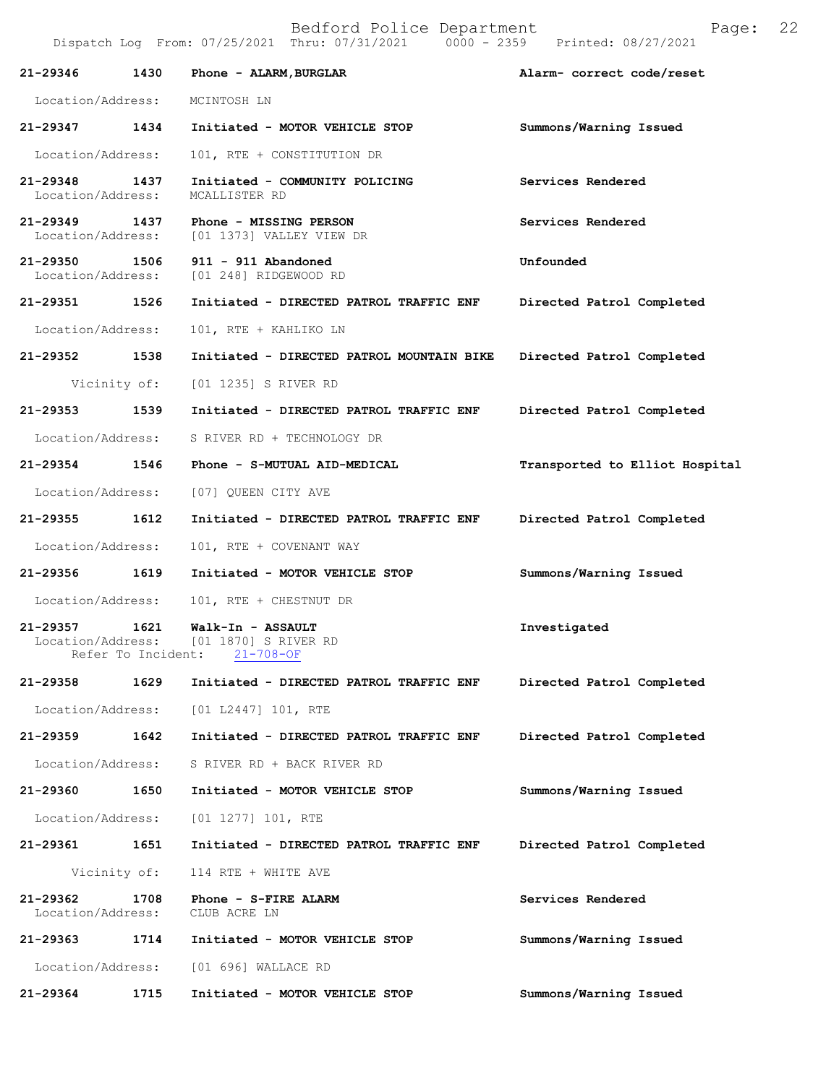|                                    |                            | Dispatch Log From: 07/25/2021 Thru: 07/31/2021               | 0000 - 2359 Printed: 08/27/2021 |
|------------------------------------|----------------------------|--------------------------------------------------------------|---------------------------------|
| 21-29346                           | 1430                       | Phone - ALARM, BURGLAR                                       | Alarm- correct code/reset       |
| Location/Address:                  |                            | MCINTOSH LN                                                  |                                 |
| 21-29347 1434                      |                            | Initiated - MOTOR VEHICLE STOP                               | Summons/Warning Issued          |
| Location/Address:                  |                            | 101, RTE + CONSTITUTION DR                                   |                                 |
| 21-29348<br>Location/Address:      | 1437                       | Initiated - COMMUNITY POLICING<br>MCALLISTER RD              | Services Rendered               |
| 21-29349<br>Location/Address:      | 1437                       | Phone - MISSING PERSON<br>[01 1373] VALLEY VIEW DR           | Services Rendered               |
| 21-29350 1506<br>Location/Address: |                            | 911 - 911 Abandoned<br>[01 248] RIDGEWOOD RD                 | Unfounded                       |
| 21-29351                           | 1526                       | Initiated - DIRECTED PATROL TRAFFIC ENF                      | Directed Patrol Completed       |
| Location/Address:                  |                            | 101, RTE + KAHLIKO LN                                        |                                 |
| 21-29352 1538                      |                            | Initiated - DIRECTED PATROL MOUNTAIN BIKE                    | Directed Patrol Completed       |
|                                    | Vicinity of:               | [01 1235] S RIVER RD                                         |                                 |
| 21-29353                           | 1539                       | Initiated - DIRECTED PATROL TRAFFIC ENF                      | Directed Patrol Completed       |
| Location/Address:                  |                            | S RIVER RD + TECHNOLOGY DR                                   |                                 |
| 21-29354                           | 1546                       | Phone - S-MUTUAL AID-MEDICAL                                 | Transported to Elliot Hospital  |
| Location/Address:                  |                            | [07] QUEEN CITY AVE                                          |                                 |
| 21-29355                           | 1612                       | Initiated - DIRECTED PATROL TRAFFIC ENF                      | Directed Patrol Completed       |
| Location/Address:                  |                            | 101, RTE + COVENANT WAY                                      |                                 |
| 21-29356 1619                      |                            | Initiated - MOTOR VEHICLE STOP                               | Summons/Warning Issued          |
| Location/Address:                  |                            | 101, RTE + CHESTNUT DR                                       |                                 |
| 21-29357<br>Location/Address:      | 1621<br>Refer To Incident: | Walk-In - ASSAULT<br>[01 1870] S RIVER RD<br>$21 - 708 - OF$ | Investigated                    |
| 21-29358                           | 1629                       | Initiated - DIRECTED PATROL TRAFFIC ENF                      | Directed Patrol Completed       |
| Location/Address:                  |                            | [01 L2447] 101, RTE                                          |                                 |
| 21-29359                           | 1642                       | Initiated - DIRECTED PATROL TRAFFIC ENF                      | Directed Patrol Completed       |
| Location/Address:                  |                            | S RIVER RD + BACK RIVER RD                                   |                                 |
| 21-29360                           | 1650                       | Initiated - MOTOR VEHICLE STOP                               | Summons/Warning Issued          |
| Location/Address:                  |                            | $[01 1277] 101$ , RTE                                        |                                 |
| 21-29361                           | 1651                       | Initiated - DIRECTED PATROL TRAFFIC ENF                      | Directed Patrol Completed       |
| Vicinity of:                       |                            | 114 RTE + WHITE AVE                                          |                                 |
| 21-29362<br>Location/Address:      | 1708                       | Phone - S-FIRE ALARM<br>CLUB ACRE LN                         | Services Rendered               |
| 21-29363                           | 1714                       | Initiated - MOTOR VEHICLE STOP                               | Summons/Warning Issued          |
| Location/Address:                  |                            | [01 696] WALLACE RD                                          |                                 |
| 21-29364                           | 1715                       | Initiated - MOTOR VEHICLE STOP                               | Summons/Warning Issued          |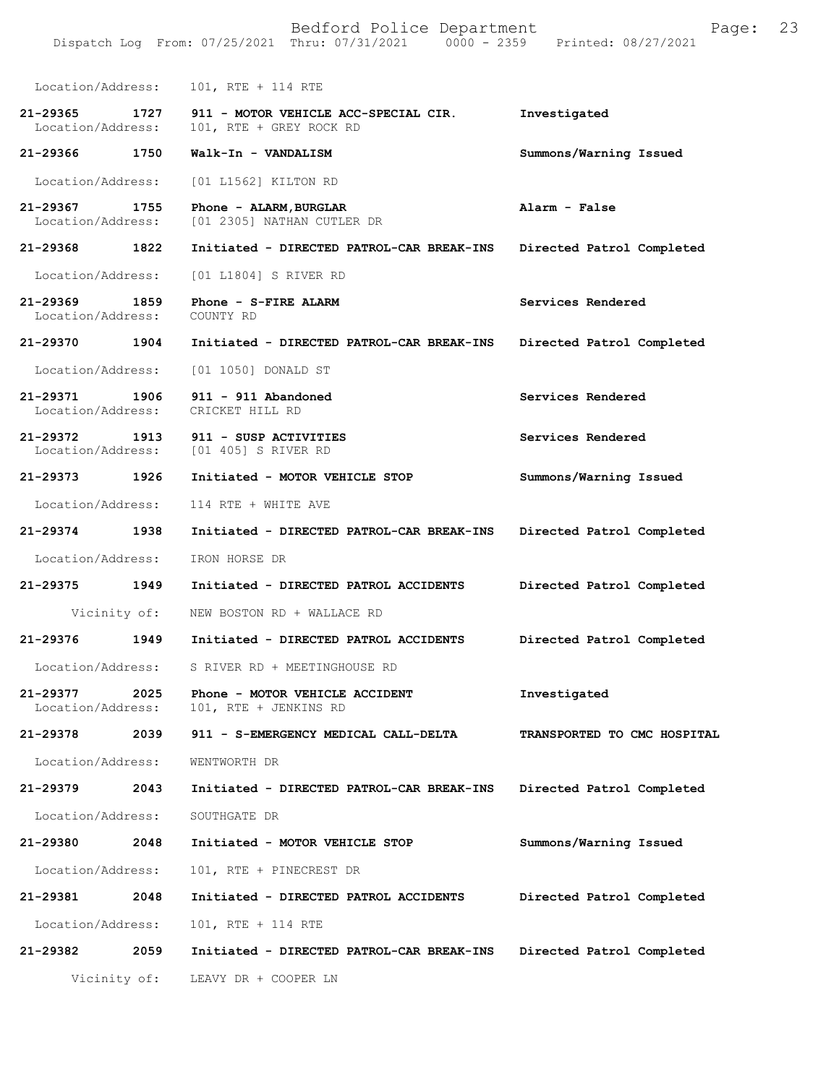| Location/Address:                     | 101, RTE + 114 RTE                                                    |                             |
|---------------------------------------|-----------------------------------------------------------------------|-----------------------------|
| 21-29365<br>1727<br>Location/Address: | 911 - MOTOR VEHICLE ACC-SPECIAL CIR.<br>101, RTE + GREY ROCK RD       | Investigated                |
| 21-29366 1750                         | Walk-In - VANDALISM                                                   | Summons/Warning Issued      |
| Location/Address:                     | [01 L1562] KILTON RD                                                  |                             |
| 21-29367<br>1755<br>Location/Address: | Phone - ALARM, BURGLAR<br>[01 2305] NATHAN CUTLER DR                  | Alarm - False               |
| 21-29368 1822                         | Initiated - DIRECTED PATROL-CAR BREAK-INS                             | Directed Patrol Completed   |
| Location/Address:                     | [01 L1804] S RIVER RD                                                 |                             |
| 21-29369<br>1859<br>Location/Address: | Phone - S-FIRE ALARM<br>COUNTY RD                                     | Services Rendered           |
| 21-29370<br>1904                      | Initiated - DIRECTED PATROL-CAR BREAK-INS                             | Directed Patrol Completed   |
| Location/Address:                     | [01 1050] DONALD ST                                                   |                             |
| 21-29371 1906<br>Location/Address:    | 911 - 911 Abandoned<br>CRICKET HILL RD                                | Services Rendered           |
| 21-29372<br>1913<br>Location/Address: | 911 - SUSP ACTIVITIES<br>[01 405] S RIVER RD                          | Services Rendered           |
| 21-29373 1926                         | Initiated - MOTOR VEHICLE STOP                                        | Summons/Warning Issued      |
| Location/Address:                     | 114 RTE + WHITE AVE                                                   |                             |
| 21-29374 1938                         | Initiated - DIRECTED PATROL-CAR BREAK-INS                             | Directed Patrol Completed   |
| Location/Address:                     | IRON HORSE DR                                                         |                             |
| 21-29375<br>1949                      | Initiated - DIRECTED PATROL ACCIDENTS                                 | Directed Patrol Completed   |
| Vicinity of:                          | NEW BOSTON RD + WALLACE RD                                            |                             |
| 21-29376<br>1949                      | Initiated - DIRECTED PATROL ACCIDENTS                                 | Directed Patrol Completed   |
| Location/Address:                     | S RIVER RD + MEETINGHOUSE RD                                          |                             |
| Location/Address:                     | 21-29377 2025 Phone - MOTOR VEHICLE ACCIDENT<br>101, RTE + JENKINS RD | Investigated                |
| 21-29378<br>2039                      | 911 - S-EMERGENCY MEDICAL CALL-DELTA                                  | TRANSPORTED TO CMC HOSPITAL |
| Location/Address:                     | WENTWORTH DR                                                          |                             |
| 21-29379 2043                         | Initiated - DIRECTED PATROL-CAR BREAK-INS                             | Directed Patrol Completed   |
| Location/Address:                     | SOUTHGATE DR                                                          |                             |
| 21-29380<br>2048                      | Initiated - MOTOR VEHICLE STOP                                        | Summons/Warning Issued      |
| Location/Address:                     | 101, RTE + PINECREST DR                                               |                             |
| 21-29381<br>2048                      | Initiated - DIRECTED PATROL ACCIDENTS                                 | Directed Patrol Completed   |
| Location/Address:                     | 101, RTE + 114 RTE                                                    |                             |
| 21-29382 2059                         | Initiated - DIRECTED PATROL-CAR BREAK-INS                             | Directed Patrol Completed   |
|                                       | Vicinity of: LEAVY DR + COOPER LN                                     |                             |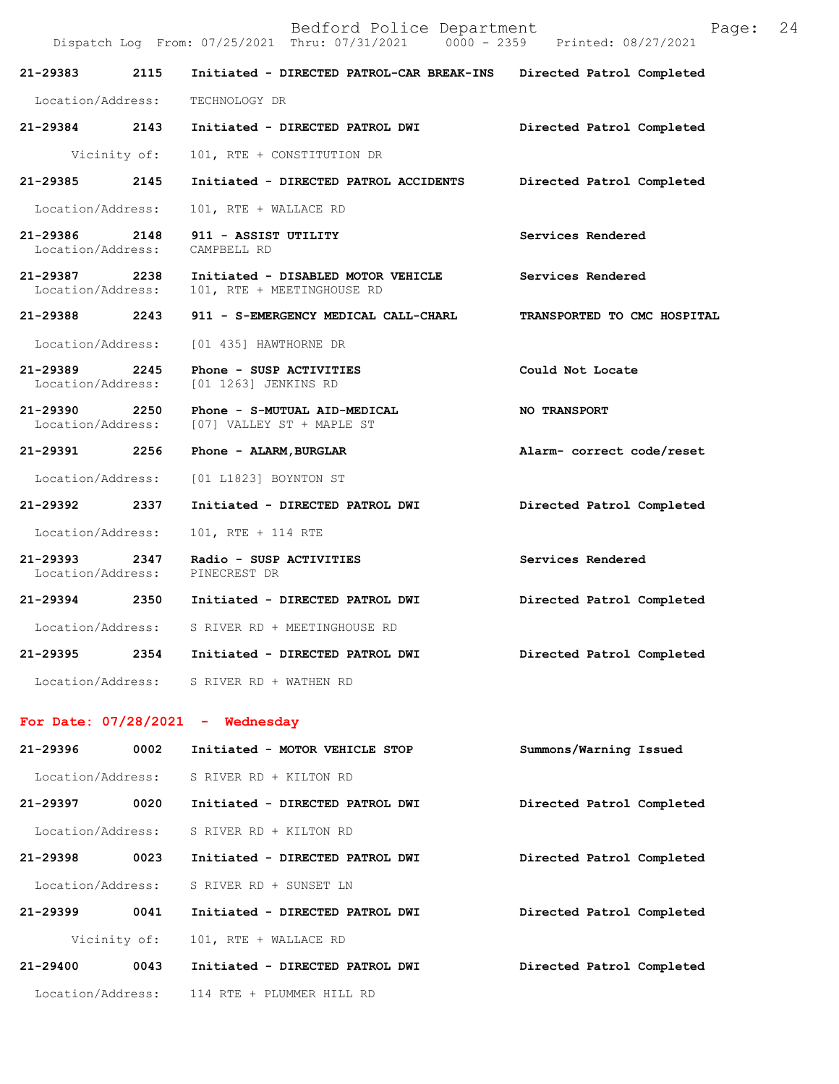| Bedford Police Department | Page: | 24 |
|---------------------------|-------|----|
|---------------------------|-------|----|

|                                       |      | Dispatch Log From: 07/25/2021 Thru: 07/31/2021 0000 - 2359 Printed: 08/27/2021 |                             |
|---------------------------------------|------|--------------------------------------------------------------------------------|-----------------------------|
| 21-29383                              | 2115 | Initiated - DIRECTED PATROL-CAR BREAK-INS                                      | Directed Patrol Completed   |
| Location/Address:                     |      | TECHNOLOGY DR                                                                  |                             |
| 21-29384 2143                         |      | Initiated - DIRECTED PATROL DWI                                                | Directed Patrol Completed   |
| Vicinity of:                          |      | 101, RTE + CONSTITUTION DR                                                     |                             |
| 21-29385 2145                         |      | Initiated - DIRECTED PATROL ACCIDENTS                                          | Directed Patrol Completed   |
| Location/Address:                     |      | 101, RTE + WALLACE RD                                                          |                             |
| 21-29386 2148<br>Location/Address:    |      | 911 - ASSIST UTILITY<br>CAMPBELL RD                                            | Services Rendered           |
| 21-29387 2238<br>Location/Address:    |      | Initiated - DISABLED MOTOR VEHICLE<br>101, RTE + MEETINGHOUSE RD               | Services Rendered           |
| 21-29388 2243                         |      | 911 - S-EMERGENCY MEDICAL CALL-CHARL                                           | TRANSPORTED TO CMC HOSPITAL |
| Location/Address:                     |      | [01 435] HAWTHORNE DR                                                          |                             |
| 21-29389 2245<br>Location/Address:    |      | Phone - SUSP ACTIVITIES<br>[01 1263] JENKINS RD                                | Could Not Locate            |
| 21-29390<br>2250<br>Location/Address: |      | Phone - S-MUTUAL AID-MEDICAL<br>[07] VALLEY ST + MAPLE ST                      | <b>NO TRANSPORT</b>         |
| 21-29391 2256                         |      | Phone - ALARM, BURGLAR                                                         | Alarm- correct code/reset   |
| Location/Address:                     |      | [01 L1823] BOYNTON ST                                                          |                             |
| 21-29392 2337                         |      | Initiated - DIRECTED PATROL DWI                                                | Directed Patrol Completed   |
| Location/Address:                     |      | 101, RTE + 114 RTE                                                             |                             |
| 21-29393<br>Location/Address:         | 2347 | Radio - SUSP ACTIVITIES<br>PINECREST DR                                        | Services Rendered           |
|                                       |      | 21-29394 2350 Initiated - DIRECTED PATROL DWI                                  | Directed Patrol Completed   |
|                                       |      | Location/Address: S RIVER RD + MEETINGHOUSE RD                                 |                             |
|                                       |      | 21-29395 2354 Initiated - DIRECTED PATROL DWI                                  | Directed Patrol Completed   |
|                                       |      | Location/Address: S RIVER RD + WATHEN RD                                       |                             |
| For Date: $07/28/2021$ - Wednesday    |      |                                                                                |                             |
| 21-29396                              | 0002 | Initiated - MOTOR VEHICLE STOP                                                 | Summons/Warning Issued      |
| Location/Address:                     |      | S RIVER RD + KILTON RD                                                         |                             |
| 21-29397                              | 0020 | Initiated - DIRECTED PATROL DWI                                                | Directed Patrol Completed   |
| Location/Address:                     |      | S RIVER RD + KILTON RD                                                         |                             |
| 21-29398 0023                         |      | Initiated - DIRECTED PATROL DWI                                                | Directed Patrol Completed   |
| Location/Address:                     |      | S RIVER RD + SUNSET LN                                                         |                             |
| 21-29399                              | 0041 | Initiated - DIRECTED PATROL DWI                                                | Directed Patrol Completed   |
| Vicinity of:                          |      | 101, RTE + WALLACE RD                                                          |                             |
| 21-29400                              | 0043 | Initiated - DIRECTED PATROL DWI                                                | Directed Patrol Completed   |

Location/Address: 114 RTE + PLUMMER HILL RD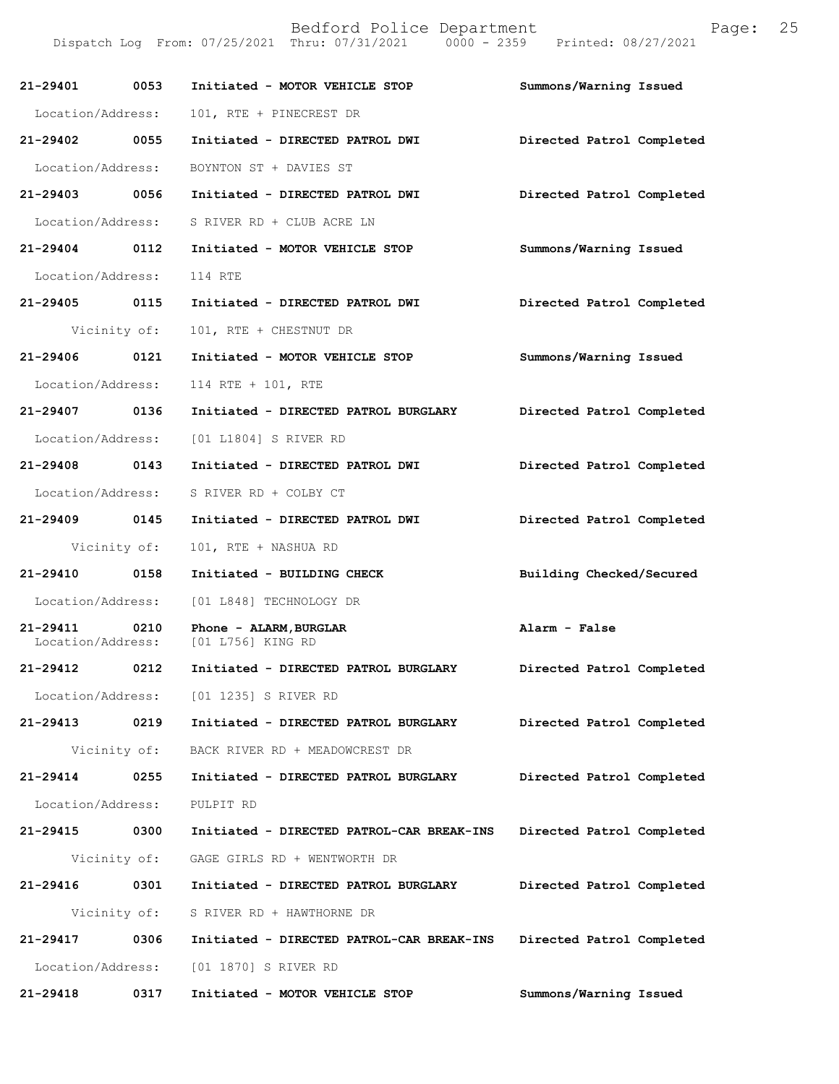Dispatch Log From: 07/25/2021 Thru: 07/31/2021 0000 - 2359 Printed: 08/27/2021

| 21-29401 0053     |              | Initiated - MOTOR VEHICLE STOP                                | Summons/Warning Issued    |
|-------------------|--------------|---------------------------------------------------------------|---------------------------|
| Location/Address: |              | 101, RTE + PINECREST DR                                       |                           |
| 21-29402 0055     |              | Initiated - DIRECTED PATROL DWI                               | Directed Patrol Completed |
| Location/Address: |              | BOYNTON ST + DAVIES ST                                        |                           |
| 21-29403 0056     |              | Initiated - DIRECTED PATROL DWI                               | Directed Patrol Completed |
| Location/Address: |              | S RIVER RD + CLUB ACRE LN                                     |                           |
| 21-29404 0112     |              | Initiated - MOTOR VEHICLE STOP                                | Summons/Warning Issued    |
| Location/Address: |              | 114 RTE                                                       |                           |
| 21-29405 0115     |              | Initiated - DIRECTED PATROL DWI                               | Directed Patrol Completed |
| Vicinity of:      |              | 101, RTE + CHESTNUT DR                                        |                           |
| 21-29406 0121     |              | Initiated - MOTOR VEHICLE STOP                                | Summons/Warning Issued    |
| Location/Address: |              | 114 RTE + 101, RTE                                            |                           |
| 21-29407 0136     |              | Initiated - DIRECTED PATROL BURGLARY                          | Directed Patrol Completed |
| Location/Address: |              | [01 L1804] S RIVER RD                                         |                           |
| 21-29408 0143     |              | Initiated - DIRECTED PATROL DWI                               | Directed Patrol Completed |
| Location/Address: |              | S RIVER RD + COLBY CT                                         |                           |
| 21-29409 0145     |              | Initiated - DIRECTED PATROL DWI                               | Directed Patrol Completed |
| Vicinity of:      |              | 101, RTE + NASHUA RD                                          |                           |
| 21-29410 0158     |              | Initiated - BUILDING CHECK                                    | Building Checked/Secured  |
| Location/Address: |              | [01 L848] TECHNOLOGY DR                                       |                           |
| 21-29411 0210     |              | Phone - ALARM, BURGLAR<br>Location/Address: [01 L756] KING RD | Alarm - False             |
| 21-29412          | 0212         | Initiated - DIRECTED PATROL BURGLARY                          | Directed Patrol Completed |
|                   |              | Location/Address: [01 1235] S RIVER RD                        |                           |
| 21-29413 0219     |              | Initiated - DIRECTED PATROL BURGLARY                          | Directed Patrol Completed |
|                   | Vicinity of: | BACK RIVER RD + MEADOWCREST DR                                |                           |
| 21-29414 0255     |              | Initiated - DIRECTED PATROL BURGLARY                          | Directed Patrol Completed |
| Location/Address: |              | PULPIT RD                                                     |                           |
| 21-29415          | 0300         | Initiated - DIRECTED PATROL-CAR BREAK-INS                     | Directed Patrol Completed |
|                   | Vicinity of: | GAGE GIRLS RD + WENTWORTH DR                                  |                           |
| 21-29416          | 0301         | Initiated - DIRECTED PATROL BURGLARY                          | Directed Patrol Completed |
|                   | Vicinity of: | S RIVER RD + HAWTHORNE DR                                     |                           |
| 21-29417          | 0306         | Initiated - DIRECTED PATROL-CAR BREAK-INS                     | Directed Patrol Completed |
|                   |              | Location/Address: [01 1870] S RIVER RD                        |                           |
| 21-29418          | 0317         | Initiated - MOTOR VEHICLE STOP                                | Summons/Warning Issued    |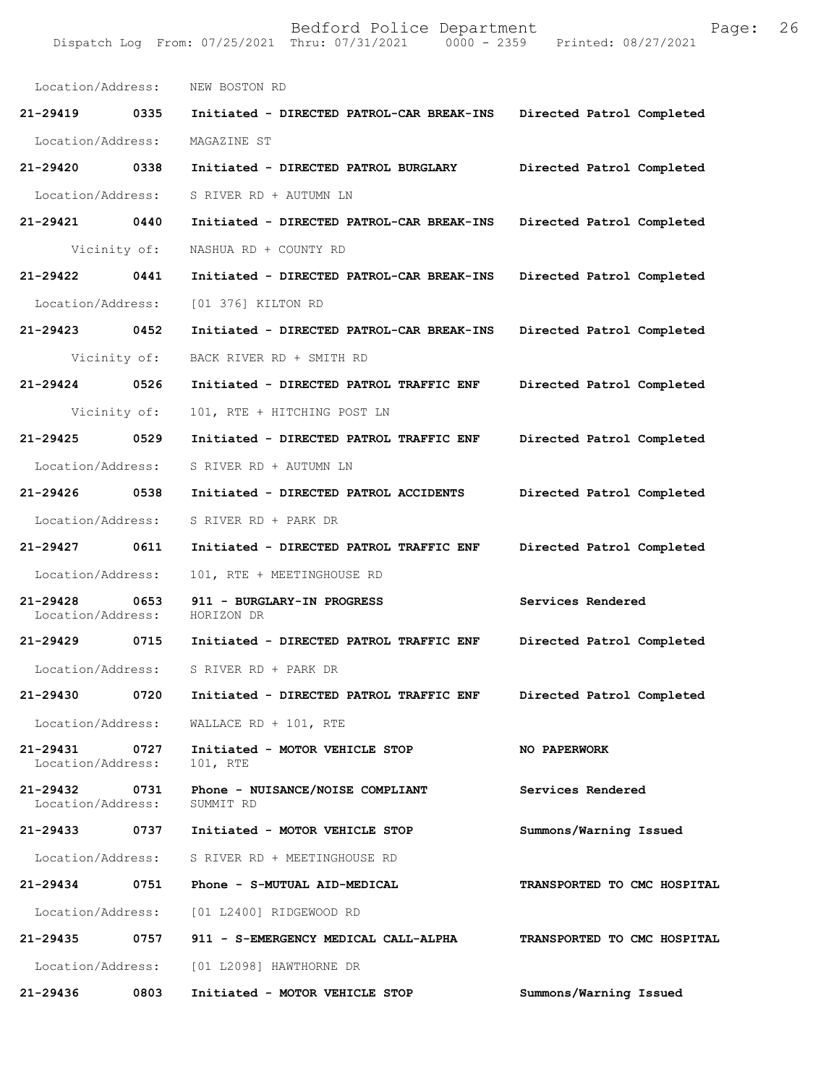| Location/Address:             |      | NEW BOSTON RD                                 |                                    |
|-------------------------------|------|-----------------------------------------------|------------------------------------|
| $21 - 29419$                  | 0335 | Initiated - DIRECTED PATROL-CAR BREAK-INS     | Directed Patrol Completed          |
| Location/Address:             |      | MAGAZINE ST                                   |                                    |
| 21-29420                      | 0338 | Initiated - DIRECTED PATROL BURGLARY          | Directed Patrol Completed          |
| Location/Address:             |      | S RIVER RD + AUTUMN LN                        |                                    |
| 21-29421 0440                 |      | Initiated - DIRECTED PATROL-CAR BREAK-INS     | Directed Patrol Completed          |
| Vicinity of:                  |      | NASHUA RD + COUNTY RD                         |                                    |
| 21-29422                      | 0441 | Initiated - DIRECTED PATROL-CAR BREAK-INS     | Directed Patrol Completed          |
| Location/Address:             |      | [01 376] KILTON RD                            |                                    |
| 21-29423 0452                 |      | Initiated - DIRECTED PATROL-CAR BREAK-INS     | Directed Patrol Completed          |
| Vicinity of:                  |      | BACK RIVER RD + SMITH RD                      |                                    |
| 21-29424                      | 0526 | Initiated - DIRECTED PATROL TRAFFIC ENF       | Directed Patrol Completed          |
| Vicinity of:                  |      | 101, RTE + HITCHING POST LN                   |                                    |
| 21-29425                      | 0529 | Initiated - DIRECTED PATROL TRAFFIC ENF       | Directed Patrol Completed          |
| Location/Address:             |      | S RIVER RD + AUTUMN LN                        |                                    |
| 21-29426 0538                 |      | Initiated - DIRECTED PATROL ACCIDENTS         | Directed Patrol Completed          |
| Location/Address:             |      | S RIVER RD + PARK DR                          |                                    |
| $21 - 29427$                  | 0611 | Initiated - DIRECTED PATROL TRAFFIC ENF       | Directed Patrol Completed          |
| Location/Address:             |      | 101, RTE + MEETINGHOUSE RD                    |                                    |
| 21-29428<br>Location/Address: | 0653 | 911 - BURGLARY-IN PROGRESS<br>HORIZON DR      | Services Rendered                  |
| 21-29429                      | 0715 | Initiated - DIRECTED PATROL TRAFFIC ENF       | Directed Patrol Completed          |
| Location/Address:             |      | S RIVER RD + PARK DR                          |                                    |
| 21-29430                      | 0720 | Initiated - DIRECTED PATROL TRAFFIC ENF       | Directed Patrol Completed          |
| Location/Address:             |      | WALLACE RD + 101, RTE                         |                                    |
| 21-29431<br>Location/Address: | 0727 | Initiated - MOTOR VEHICLE STOP<br>101, RTE    | <b>NO PAPERWORK</b>                |
| 21-29432<br>Location/Address: | 0731 | Phone - NUISANCE/NOISE COMPLIANT<br>SUMMIT RD | Services Rendered                  |
| 21-29433                      | 0737 | Initiated - MOTOR VEHICLE STOP                | Summons/Warning Issued             |
| Location/Address:             |      | S RIVER RD + MEETINGHOUSE RD                  |                                    |
| 21-29434                      | 0751 | Phone - S-MUTUAL AID-MEDICAL                  | <b>TRANSPORTED TO CMC HOSPITAL</b> |
| Location/Address:             |      | [01 L2400] RIDGEWOOD RD                       |                                    |
| 21-29435                      | 0757 | 911 - S-EMERGENCY MEDICAL CALL-ALPHA          | TRANSPORTED TO CMC HOSPITAL        |
| Location/Address:             |      | [01 L2098] HAWTHORNE DR                       |                                    |
| 21-29436                      | 0803 | Initiated - MOTOR VEHICLE STOP                | Summons/Warning Issued             |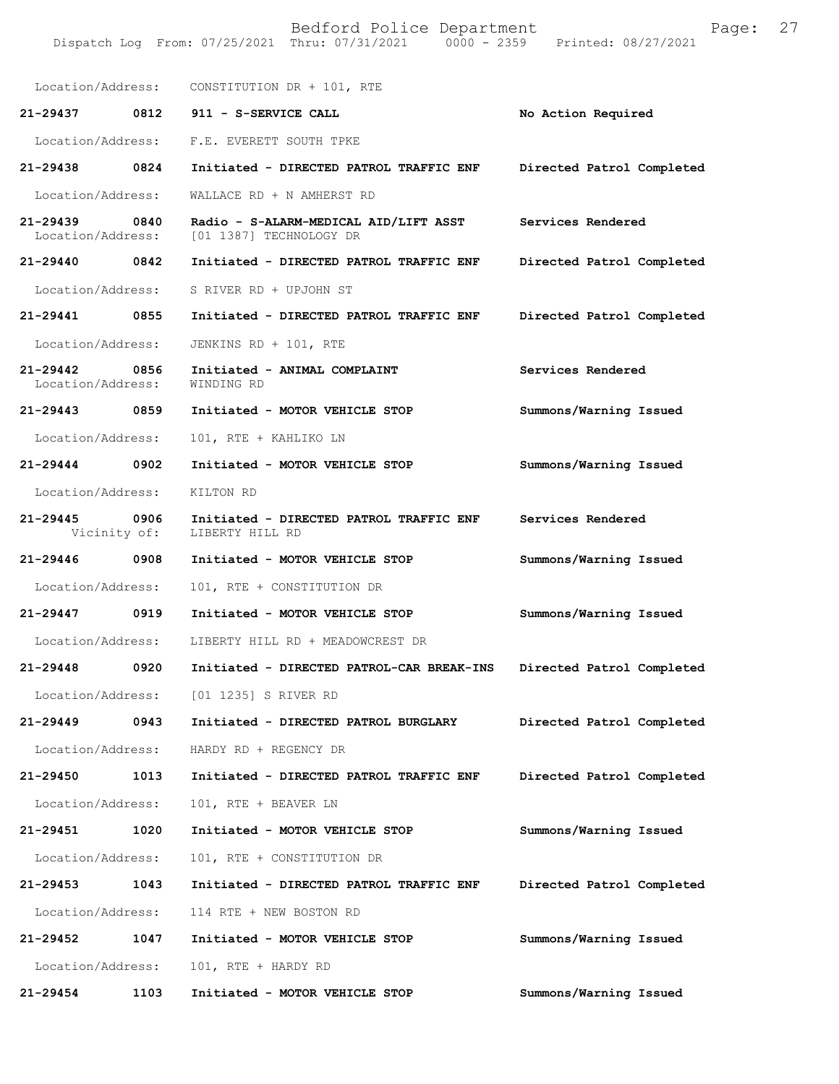Bedford Police Department Page: 27 Dispatch Log From: 07/25/2021 Thru: 07/31/2021 Location/Address: CONSTITUTION DR + 101, RTE **21-29437 0812 911 - S-SERVICE CALL No Action Required**  Location/Address: F.E. EVERETT SOUTH TPKE **21-29438 0824 Initiated - DIRECTED PATROL TRAFFIC ENF Directed Patrol Completed**  Location/Address: WALLACE RD + N AMHERST RD **21-29439 0840 Radio - S-ALARM-MEDICAL AID/LIFT ASST Services Rendered**  Location/Address: [01 1387] TECHNOLOGY DR **21-29440 0842 Initiated - DIRECTED PATROL TRAFFIC ENF Directed Patrol Completed**  Location/Address: S RIVER RD + UPJOHN ST **21-29441 0855 Initiated - DIRECTED PATROL TRAFFIC ENF Directed Patrol Completed**  Location/Address: JENKINS RD + 101, RTE **21-29442 0856 Initiated - ANIMAL COMPLAINT Services Rendered**  Location/Address: **21-29443 0859 Initiated - MOTOR VEHICLE STOP Summons/Warning Issued**  Location/Address: 101, RTE + KAHLIKO LN **21-29444 0902 Initiated - MOTOR VEHICLE STOP Summons/Warning Issued**  Location/Address: KILTON RD **21-29445 0906 Initiated - DIRECTED PATROL TRAFFIC ENF Services Rendered**  Vicinity of: **21-29446 0908 Initiated - MOTOR VEHICLE STOP Summons/Warning Issued**  Location/Address: 101, RTE + CONSTITUTION DR **21-29447 0919 Initiated - MOTOR VEHICLE STOP Summons/Warning Issued**  Location/Address: LIBERTY HILL RD + MEADOWCREST DR **21-29448 0920 Initiated - DIRECTED PATROL-CAR BREAK-INS Directed Patrol Completed**  Location/Address: [01 1235] S RIVER RD **21-29449 0943 Initiated - DIRECTED PATROL BURGLARY Directed Patrol Completed**  Location/Address: HARDY RD + REGENCY DR **21-29450 1013 Initiated - DIRECTED PATROL TRAFFIC ENF Directed Patrol Completed**  Location/Address: 101, RTE + BEAVER LN **21-29451 1020 Initiated - MOTOR VEHICLE STOP Summons/Warning Issued**  Location/Address: 101, RTE + CONSTITUTION DR **21-29453 1043 Initiated - DIRECTED PATROL TRAFFIC ENF Directed Patrol Completed**  Location/Address: 114 RTE + NEW BOSTON RD **21-29452 1047 Initiated - MOTOR VEHICLE STOP Summons/Warning Issued**  Location/Address: 101, RTE + HARDY RD **21-29454 1103 Initiated - MOTOR VEHICLE STOP Summons/Warning Issued**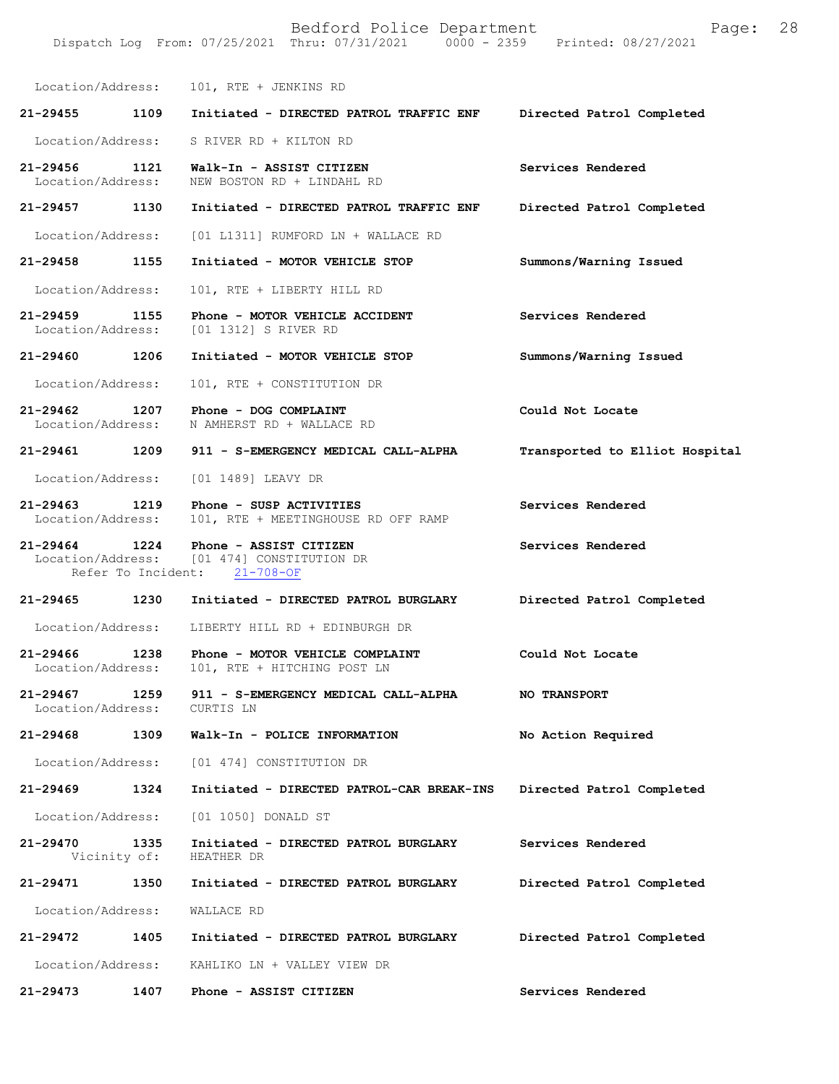Bedford Police Department Page: 28 Dispatch Log From: 07/25/2021 Thru: 07/31/2021 Location/Address: 101, RTE + JENKINS RD **21-29455 1109 Initiated - DIRECTED PATROL TRAFFIC ENF Directed Patrol Completed**  Location/Address: S RIVER RD + KILTON RD **21-29456 1121 Walk-In - ASSIST CITIZEN Services Rendered**  NEW BOSTON RD + LINDAHL RD **21-29457 1130 Initiated - DIRECTED PATROL TRAFFIC ENF Directed Patrol Completed**  Location/Address: [01 L1311] RUMFORD LN + WALLACE RD **21-29458 1155 Initiated - MOTOR VEHICLE STOP Summons/Warning Issued**  Location/Address: 101, RTE + LIBERTY HILL RD **21-29459 1155 Phone - MOTOR VEHICLE ACCIDENT Services Rendered**  [01 1312] S RIVER RD **21-29460 1206 Initiated - MOTOR VEHICLE STOP Summons/Warning Issued**  Location/Address: 101, RTE + CONSTITUTION DR **21-29462 1207 Phone - DOG COMPLAINT Could Not Locate**  Location/Address: N AMHERST RD + WALLACE RD **21-29461 1209 911 - S-EMERGENCY MEDICAL CALL-ALPHA Transported to Elliot Hospital** Location/Address: [01 1489] LEAVY DR **21-29463 1219 Phone - SUSP ACTIVITIES Services Rendered**  Location/Address: 101, RTE + MEETINGHOUSE RD OFF RAMP **21-29464 1224 Phone - ASSIST CITIZEN Services Rendered**  Location/Address: [01 474] CONSTITUTION DR<br>Refer To Incident: 21-708-OF Refer To Incident: **21-29465 1230 Initiated - DIRECTED PATROL BURGLARY Directed Patrol Completed**  Location/Address: LIBERTY HILL RD + EDINBURGH DR 21-29466 1238 Phone - MOTOR VEHICLE COMPLAINT Could Not Locate Location/Address: 101, RTE + HITCHING POST LN 101, RTE + HITCHING POST LN **21-29467 1259 911 - S-EMERGENCY MEDICAL CALL-ALPHA NO TRANSPORT**  Location/Address: CURTIS LN **21-29468 1309 Walk-In - POLICE INFORMATION No Action Required**  Location/Address: [01 474] CONSTITUTION DR **21-29469 1324 Initiated - DIRECTED PATROL-CAR BREAK-INS Directed Patrol Completed**  Location/Address: [01 1050] DONALD ST **21-29470 1335 Initiated - DIRECTED PATROL BURGLARY Services Rendered**  Vicinity of: **21-29471 1350 Initiated - DIRECTED PATROL BURGLARY Directed Patrol Completed**  Location/Address: WALLACE RD **21-29472 1405 Initiated - DIRECTED PATROL BURGLARY Directed Patrol Completed**  Location/Address: KAHLIKO LN + VALLEY VIEW DR

**21-29473 1407 Phone - ASSIST CITIZEN Services Rendered**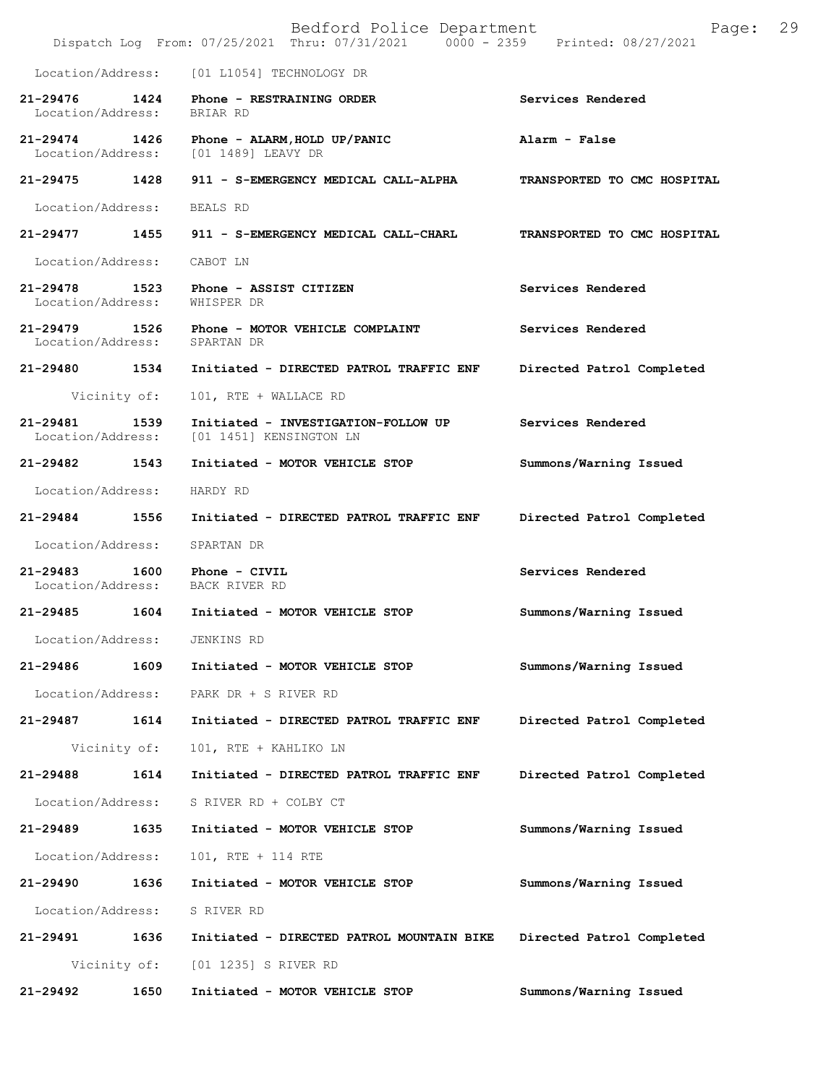|                                    |              | Bedford Police Department<br>Dispatch Log From: 07/25/2021 Thru: 07/31/2021 0000 - 2359 Printed: 08/27/2021 | Page:                       | 29 |
|------------------------------------|--------------|-------------------------------------------------------------------------------------------------------------|-----------------------------|----|
| Location/Address:                  |              | [01 L1054] TECHNOLOGY DR                                                                                    |                             |    |
| 21-29476 1424<br>Location/Address: |              | Phone - RESTRAINING ORDER<br>BRIAR RD                                                                       | Services Rendered           |    |
| 21-29474 1426                      |              | Phone - ALARM, HOLD UP/PANIC<br>Location/Address: [01 1489] LEAVY DR                                        | Alarm - False               |    |
| 21-29475 1428                      |              | 911 - S-EMERGENCY MEDICAL CALL-ALPHA                                                                        | TRANSPORTED TO CMC HOSPITAL |    |
| Location/Address:                  |              | BEALS RD                                                                                                    |                             |    |
| 21-29477                           | 1455         | 911 - S-EMERGENCY MEDICAL CALL-CHARL                                                                        | TRANSPORTED TO CMC HOSPITAL |    |
| Location/Address:                  |              | CABOT LN                                                                                                    |                             |    |
| $21 - 29478$<br>Location/Address:  | 1523         | Phone - ASSIST CITIZEN<br>WHISPER DR                                                                        | Services Rendered           |    |
| 21-29479 1526                      |              | Phone - MOTOR VEHICLE COMPLAINT<br>Location/Address: SPARTAN DR                                             | Services Rendered           |    |
| 21-29480                           | 1534         | Initiated - DIRECTED PATROL TRAFFIC ENF                                                                     | Directed Patrol Completed   |    |
|                                    | Vicinity of: | 101, RTE + WALLACE RD                                                                                       |                             |    |
| 21-29481                           | 1539         | Initiated - INVESTIGATION-FOLLOW UP<br>Location/Address: [01 1451] KENSINGTON LN                            | Services Rendered           |    |
| 21-29482                           | 1543         | Initiated - MOTOR VEHICLE STOP                                                                              | Summons/Warning Issued      |    |
| Location/Address:                  |              | HARDY RD                                                                                                    |                             |    |
| 21-29484                           | 1556         | Initiated - DIRECTED PATROL TRAFFIC ENF                                                                     | Directed Patrol Completed   |    |
| Location/Address:                  |              | SPARTAN DR                                                                                                  |                             |    |
| 21-29483                           | 1600         | Phone - CIVIL<br>Location/Address: BACK RIVER RD                                                            | Services Rendered           |    |
| 21-29485                           | 1604         | Initiated - MOTOR VEHICLE STOP                                                                              | Summons/Warning Issued      |    |
| Location/Address:                  |              | JENKINS RD                                                                                                  |                             |    |
| 21-29486                           | 1609         | Initiated - MOTOR VEHICLE STOP                                                                              | Summons/Warning Issued      |    |
| Location/Address:                  |              | PARK DR + S RIVER RD                                                                                        |                             |    |
| 21-29487                           | 1614         | Initiated - DIRECTED PATROL TRAFFIC ENF                                                                     | Directed Patrol Completed   |    |
|                                    | Vicinity of: | 101, RTE + KAHLIKO LN                                                                                       |                             |    |
| 21-29488                           | 1614         | Initiated - DIRECTED PATROL TRAFFIC ENF                                                                     | Directed Patrol Completed   |    |
| Location/Address:                  |              | S RIVER RD + COLBY CT                                                                                       |                             |    |
| 21-29489                           | 1635         | Initiated - MOTOR VEHICLE STOP                                                                              | Summons/Warning Issued      |    |
| Location/Address:                  |              | 101, RTE + 114 RTE                                                                                          |                             |    |
| 21-29490                           | 1636         | Initiated - MOTOR VEHICLE STOP                                                                              | Summons/Warning Issued      |    |
| Location/Address:                  |              | S RIVER RD                                                                                                  |                             |    |
| 21-29491                           | 1636         | Initiated - DIRECTED PATROL MOUNTAIN BIKE                                                                   | Directed Patrol Completed   |    |
|                                    | Vicinity of: | [01 1235] S RIVER RD                                                                                        |                             |    |
| 21-29492                           | 1650         | Initiated - MOTOR VEHICLE STOP                                                                              | Summons/Warning Issued      |    |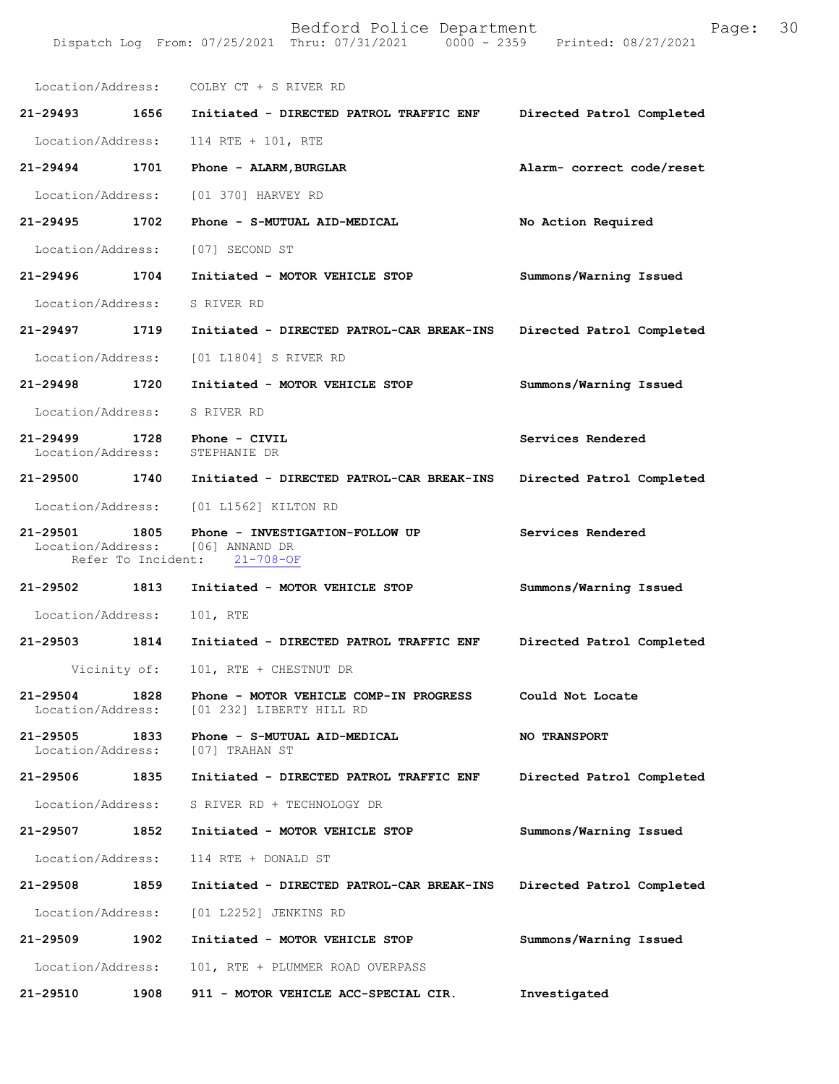|                               |      | Location/Address: COLBY CT + S RIVER RD                                                             |                           |
|-------------------------------|------|-----------------------------------------------------------------------------------------------------|---------------------------|
|                               |      | 21-29493 1656 Initiated - DIRECTED PATROL TRAFFIC ENF                                               | Directed Patrol Completed |
|                               |      | Location/Address: 114 RTE + 101, RTE                                                                |                           |
| 21-29494 1701                 |      | Phone - ALARM, BURGLAR                                                                              | Alarm- correct code/reset |
|                               |      | Location/Address: [01 370] HARVEY RD                                                                |                           |
| 21-29495 1702                 |      | Phone - S-MUTUAL AID-MEDICAL                                                                        | No Action Required        |
|                               |      | Location/Address: [07] SECOND ST                                                                    |                           |
| 21-29496 1704                 |      | Initiated - MOTOR VEHICLE STOP                                                                      | Summons/Warning Issued    |
| Location/Address:             |      | S RIVER RD                                                                                          |                           |
| 21-29497 1719                 |      | Initiated - DIRECTED PATROL-CAR BREAK-INS                                                           | Directed Patrol Completed |
| Location/Address:             |      | [01 L1804] S RIVER RD                                                                               |                           |
| 21-29498 1720                 |      | Initiated - MOTOR VEHICLE STOP                                                                      | Summons/Warning Issued    |
| Location/Address:             |      | S RIVER RD                                                                                          |                           |
|                               |      | 21-29499 1728 Phone - CIVIL<br>Location/Address: STEPHANIE DR                                       | Services Rendered         |
|                               |      | 21-29500 1740 Initiated - DIRECTED PATROL-CAR BREAK-INS                                             | Directed Patrol Completed |
|                               |      | Location/Address: [01 L1562] KILTON RD                                                              |                           |
| 21-29501                      | 1805 | Phone - INVESTIGATION-FOLLOW UP<br>Location/Address: [06] ANNAND DR<br>Refer To Incident: 21-708-OF | Services Rendered         |
|                               |      | 21-29502 1813 Initiated - MOTOR VEHICLE STOP                                                        | Summons/Warning Issued    |
| Location/Address:             |      | 101, RTE                                                                                            |                           |
|                               |      | 21-29503 1814 Initiated - DIRECTED PATROL TRAFFIC ENF                                               | Directed Patrol Completed |
|                               |      | Vicinity of: 101, RTE + CHESTNUT DR                                                                 |                           |
| 21-29504<br>Location/Address: | 1828 | Phone - MOTOR VEHICLE COMP-IN PROGRESS<br>[01 232] LIBERTY HILL RD                                  | Could Not Locate          |
| 21-29505                      | 1833 | Phone - S-MUTUAL AID-MEDICAL<br>Location/Address: [07] TRAHAN ST                                    | <b>NO TRANSPORT</b>       |
| 21-29506                      | 1835 | Initiated - DIRECTED PATROL TRAFFIC ENF                                                             | Directed Patrol Completed |
| Location/Address:             |      | S RIVER RD + TECHNOLOGY DR                                                                          |                           |
| 21-29507 1852                 |      | Initiated - MOTOR VEHICLE STOP                                                                      | Summons/Warning Issued    |
| Location/Address:             |      | 114 RTE + DONALD ST                                                                                 |                           |
| 21-29508                      | 1859 | Initiated - DIRECTED PATROL-CAR BREAK-INS                                                           | Directed Patrol Completed |
| Location/Address:             |      | [01 L2252] JENKINS RD                                                                               |                           |
| 21-29509                      | 1902 | Initiated - MOTOR VEHICLE STOP                                                                      | Summons/Warning Issued    |
| Location/Address:             |      | 101, RTE + PLUMMER ROAD OVERPASS                                                                    |                           |
| 21-29510                      | 1908 | 911 - MOTOR VEHICLE ACC-SPECIAL CIR.                                                                | Investigated              |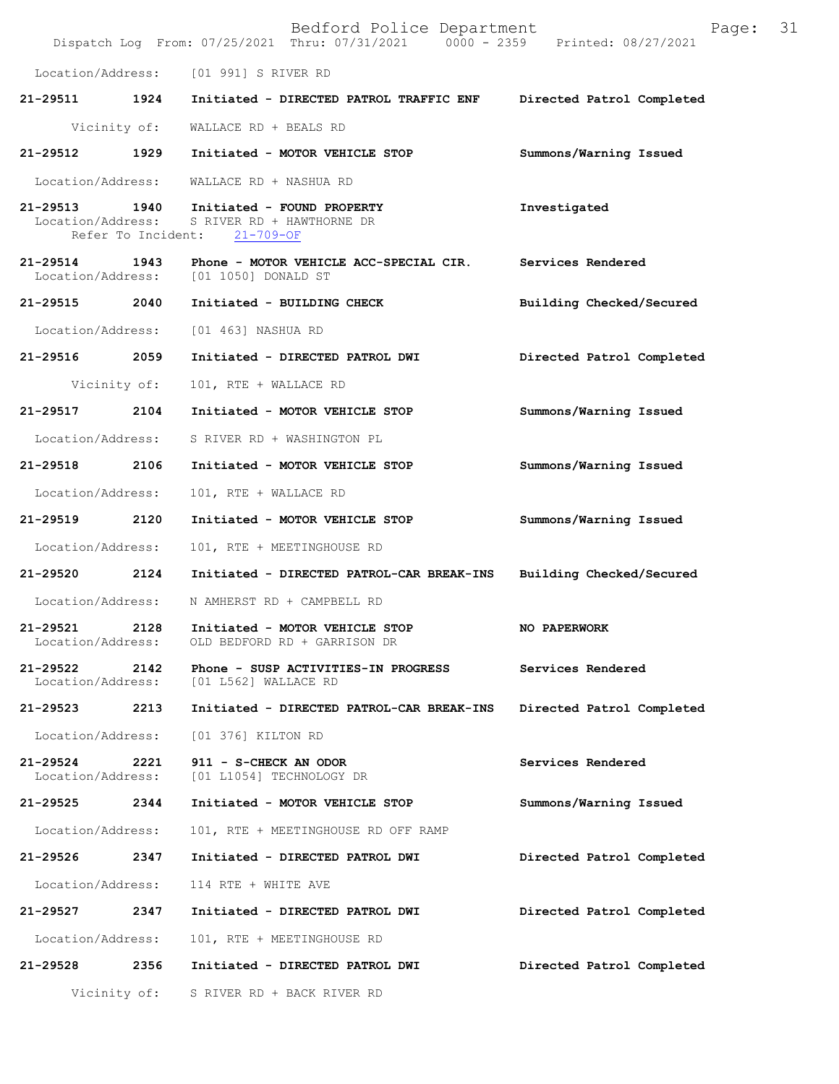|                                    |              | Bedford Police Department<br>Dispatch Log From: 07/25/2021 Thru: 07/31/2021 0000 - 2359 Printed: 08/27/2021 | Page:                     | 31 |
|------------------------------------|--------------|-------------------------------------------------------------------------------------------------------------|---------------------------|----|
|                                    |              | Location/Address: [01 991] S RIVER RD                                                                       |                           |    |
|                                    |              | 21-29511 1924 Initiated - DIRECTED PATROL TRAFFIC ENF                                                       | Directed Patrol Completed |    |
|                                    |              | Vicinity of: WALLACE RD + BEALS RD                                                                          |                           |    |
| 21-29512 1929                      |              | Initiated - MOTOR VEHICLE STOP                                                                              | Summons/Warning Issued    |    |
| Location/Address:                  |              | WALLACE RD + NASHUA RD                                                                                      |                           |    |
| Location/Address:                  |              | 21-29513 1940 Initiated - FOUND PROPERTY<br>S RIVER RD + HAWTHORNE DR<br>Refer To Incident: 21-709-OF       | Investigated              |    |
|                                    |              | 21-29514 1943 Phone - MOTOR VEHICLE ACC-SPECIAL CIR.<br>Location/Address: [01 1050] DONALD ST               | Services Rendered         |    |
|                                    |              | 21-29515 2040 Initiated - BUILDING CHECK                                                                    | Building Checked/Secured  |    |
|                                    |              | Location/Address: [01 463] NASHUA RD                                                                        |                           |    |
| 21-29516 2059                      |              | Initiated - DIRECTED PATROL DWI                                                                             | Directed Patrol Completed |    |
|                                    | Vicinity of: | 101, RTE + WALLACE RD                                                                                       |                           |    |
| 21-29517                           | 2104         | Initiated - MOTOR VEHICLE STOP                                                                              | Summons/Warning Issued    |    |
|                                    |              | Location/Address: S RIVER RD + WASHINGTON PL                                                                |                           |    |
| 21-29518 2106                      |              | Initiated - MOTOR VEHICLE STOP                                                                              | Summons/Warning Issued    |    |
| Location/Address:                  |              | 101, RTE + WALLACE RD                                                                                       |                           |    |
| 21-29519 2120                      |              | Initiated - MOTOR VEHICLE STOP                                                                              | Summons/Warning Issued    |    |
| Location/Address:                  |              | 101, RTE + MEETINGHOUSE RD                                                                                  |                           |    |
| 21-29520                           | 2124         | Initiated - DIRECTED PATROL-CAR BREAK-INS                                                                   | Building Checked/Secured  |    |
| Location/Address:                  |              | N AMHERST RD + CAMPBELL RD                                                                                  |                           |    |
| 21-29521 2128<br>Location/Address: |              | Initiated - MOTOR VEHICLE STOP<br>OLD BEDFORD RD + GARRISON DR                                              | NO PAPERWORK              |    |
| 21-29522<br>Location/Address:      | 2142         | Phone - SUSP ACTIVITIES-IN PROGRESS<br>[01 L562] WALLACE RD                                                 | Services Rendered         |    |
| 21-29523 2213                      |              | Initiated - DIRECTED PATROL-CAR BREAK-INS                                                                   | Directed Patrol Completed |    |
| Location/Address:                  |              | [01 376] KILTON RD                                                                                          |                           |    |
| 21-29524<br>Location/Address:      | 2221         | 911 - S-CHECK AN ODOR<br>[01 L1054] TECHNOLOGY DR                                                           | Services Rendered         |    |
| 21-29525 2344                      |              | Initiated - MOTOR VEHICLE STOP                                                                              | Summons/Warning Issued    |    |
| Location/Address:                  |              | 101, RTE + MEETINGHOUSE RD OFF RAMP                                                                         |                           |    |
| 21-29526 2347                      |              | Initiated - DIRECTED PATROL DWI                                                                             | Directed Patrol Completed |    |
| Location/Address:                  |              | 114 RTE + WHITE AVE                                                                                         |                           |    |
| 21-29527                           | 2347         | Initiated - DIRECTED PATROL DWI                                                                             | Directed Patrol Completed |    |
| Location/Address:                  |              | 101, RTE + MEETINGHOUSE RD                                                                                  |                           |    |
| 21-29528                           | 2356         | Initiated - DIRECTED PATROL DWI                                                                             | Directed Patrol Completed |    |
|                                    | Vicinity of: | S RIVER RD + BACK RIVER RD                                                                                  |                           |    |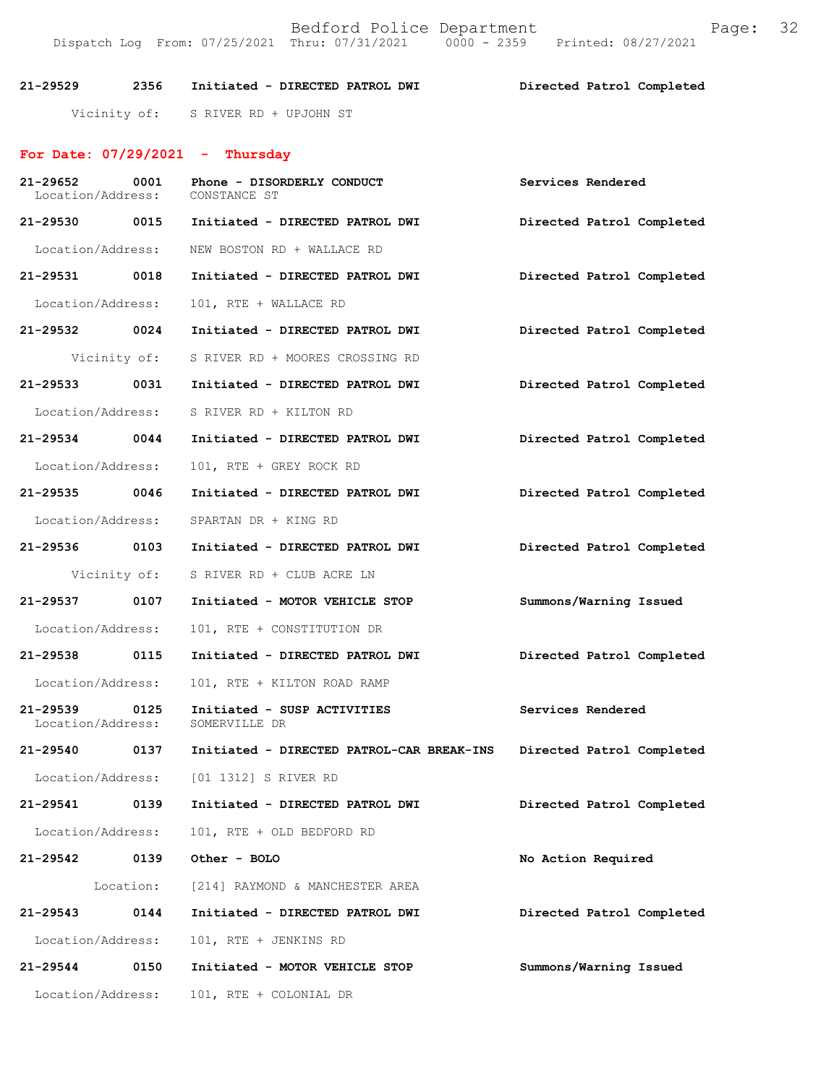Bedford Police Department Fage: 32 Dispatch Log From: 07/25/2021 Thru: 07/31/2021 0000 - 2359 Printed: 08/27/2021

**21-29529 2356 Initiated - DIRECTED PATROL DWI Directed Patrol Completed**  Vicinity of: S RIVER RD + UPJOHN ST

## **For Date: 07/29/2021 - Thursday**

| 21-29652<br>Location/Address: | 0001         | Phone - DISORDERLY CONDUCT<br>CONSTANCE ST              | Services Rendered         |
|-------------------------------|--------------|---------------------------------------------------------|---------------------------|
|                               |              | 21-29530 0015 Initiated - DIRECTED PATROL DWI           | Directed Patrol Completed |
| Location/Address:             |              | NEW BOSTON RD + WALLACE RD                              |                           |
| 21-29531 0018                 |              | Initiated - DIRECTED PATROL DWI                         | Directed Patrol Completed |
| Location/Address:             |              | 101, RTE + WALLACE RD                                   |                           |
| 21-29532 0024                 |              | Initiated - DIRECTED PATROL DWI                         | Directed Patrol Completed |
|                               |              | Vicinity of: S RIVER RD + MOORES CROSSING RD            |                           |
| 21-29533 0031                 |              | Initiated - DIRECTED PATROL DWI                         | Directed Patrol Completed |
| Location/Address:             |              | S RIVER RD + KILTON RD                                  |                           |
| 21-29534 0044                 |              | Initiated - DIRECTED PATROL DWI                         | Directed Patrol Completed |
| Location/Address:             |              | 101, RTE + GREY ROCK RD                                 |                           |
| 21-29535 0046                 |              | Initiated - DIRECTED PATROL DWI                         | Directed Patrol Completed |
| Location/Address:             |              | SPARTAN DR + KING RD                                    |                           |
|                               |              | 21-29536 0103 Initiated - DIRECTED PATROL DWI           | Directed Patrol Completed |
|                               | Vicinity of: | S RIVER RD + CLUB ACRE LN                               |                           |
| 21-29537 0107                 |              | Initiated - MOTOR VEHICLE STOP                          | Summons/Warning Issued    |
| Location/Address:             |              | 101, RTE + CONSTITUTION DR                              |                           |
|                               |              | 21-29538 0115 Initiated - DIRECTED PATROL DWI           | Directed Patrol Completed |
| Location/Address:             |              | 101, RTE + KILTON ROAD RAMP                             |                           |
| 21-29539<br>Location/Address: | 0125         | Initiated - SUSP ACTIVITIES<br>SOMERVILLE DR            | Services Rendered         |
|                               |              | 21-29540 0137 Initiated - DIRECTED PATROL-CAR BREAK-INS | Directed Patrol Completed |
|                               |              | Location/Address: [01 1312] S RIVER RD                  |                           |
| 21-29541                      | 0139         | Initiated - DIRECTED PATROL DWI                         | Directed Patrol Completed |
| Location/Address:             |              | 101, RTE + OLD BEDFORD RD                               |                           |
| 21-29542                      | 0139         | Other - BOLO                                            | No Action Required        |
|                               | Location:    | [214] RAYMOND & MANCHESTER AREA                         |                           |
| 21-29543                      | 0144         | Initiated - DIRECTED PATROL DWI                         | Directed Patrol Completed |
| Location/Address:             |              | 101, RTE + JENKINS RD                                   |                           |
| 21-29544                      | 0150         | Initiated - MOTOR VEHICLE STOP                          | Summons/Warning Issued    |
| Location/Address:             |              | 101, RTE + COLONIAL DR                                  |                           |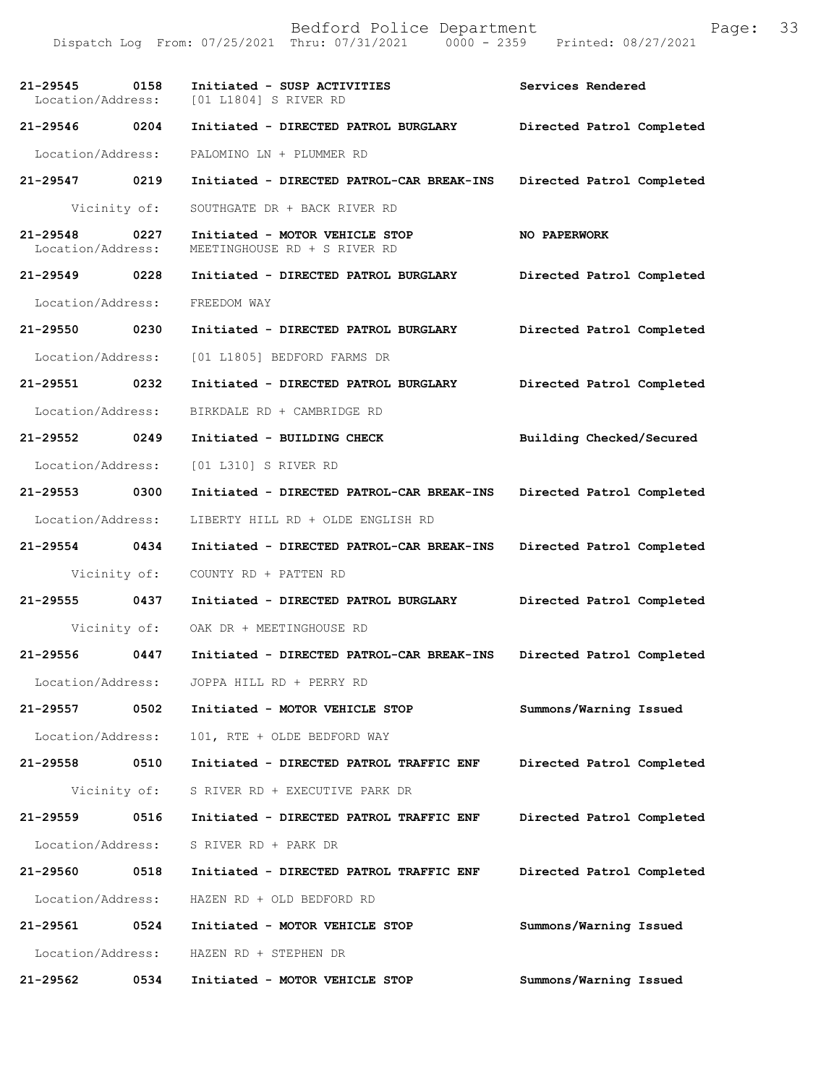Bedford Police Department Page: 33 Dispatch Log From:  $07/25/2021$  Thru:  $07/31/2021$  0000 - 2359 **21-29545 0158 Initiated - SUSP ACTIVITIES Services Rendered**  Location/Address: [01 L1804] S RIVER RD **21-29546 0204 Initiated - DIRECTED PATROL BURGLARY Directed Patrol Completed**  Location/Address: PALOMINO LN + PLUMMER RD **21-29547 0219 Initiated - DIRECTED PATROL-CAR BREAK-INS Directed Patrol Completed**  Vicinity of: SOUTHGATE DR + BACK RIVER RD **21-29548 0227 Initiated - MOTOR VEHICLE STOP NO PAPERWORK**  Location/Address: MEETINGHOUSE RD + S RIVER RD **21-29549 0228 Initiated - DIRECTED PATROL BURGLARY Directed Patrol Completed**  Location/Address: FREEDOM WAY **21-29550 0230 Initiated - DIRECTED PATROL BURGLARY Directed Patrol Completed**  Location/Address: [01 L1805] BEDFORD FARMS DR **21-29551 0232 Initiated - DIRECTED PATROL BURGLARY Directed Patrol Completed**  Location/Address: BIRKDALE RD + CAMBRIDGE RD **21-29552 0249 Initiated - BUILDING CHECK Building Checked/Secured**  Location/Address: [01 L310] S RIVER RD **21-29553 0300 Initiated - DIRECTED PATROL-CAR BREAK-INS Directed Patrol Completed**  Location/Address: LIBERTY HILL RD + OLDE ENGLISH RD **21-29554 0434 Initiated - DIRECTED PATROL-CAR BREAK-INS Directed Patrol Completed**  Vicinity of: COUNTY RD + PATTEN RD **21-29555 0437 Initiated - DIRECTED PATROL BURGLARY Directed Patrol Completed**  Vicinity of: OAK DR + MEETINGHOUSE RD **21-29556 0447 Initiated - DIRECTED PATROL-CAR BREAK-INS Directed Patrol Completed**  Location/Address: JOPPA HILL RD + PERRY RD **21-29557 0502 Initiated - MOTOR VEHICLE STOP Summons/Warning Issued**  Location/Address: 101, RTE + OLDE BEDFORD WAY **21-29558 0510 Initiated - DIRECTED PATROL TRAFFIC ENF Directed Patrol Completed**  Vicinity of: S RIVER RD + EXECUTIVE PARK DR **21-29559 0516 Initiated - DIRECTED PATROL TRAFFIC ENF Directed Patrol Completed**  Location/Address: S RIVER RD + PARK DR **21-29560 0518 Initiated - DIRECTED PATROL TRAFFIC ENF Directed Patrol Completed**  Location/Address: HAZEN RD + OLD BEDFORD RD **21-29561 0524 Initiated - MOTOR VEHICLE STOP Summons/Warning Issued**  Location/Address: HAZEN RD + STEPHEN DR **21-29562 0534 Initiated - MOTOR VEHICLE STOP Summons/Warning Issued**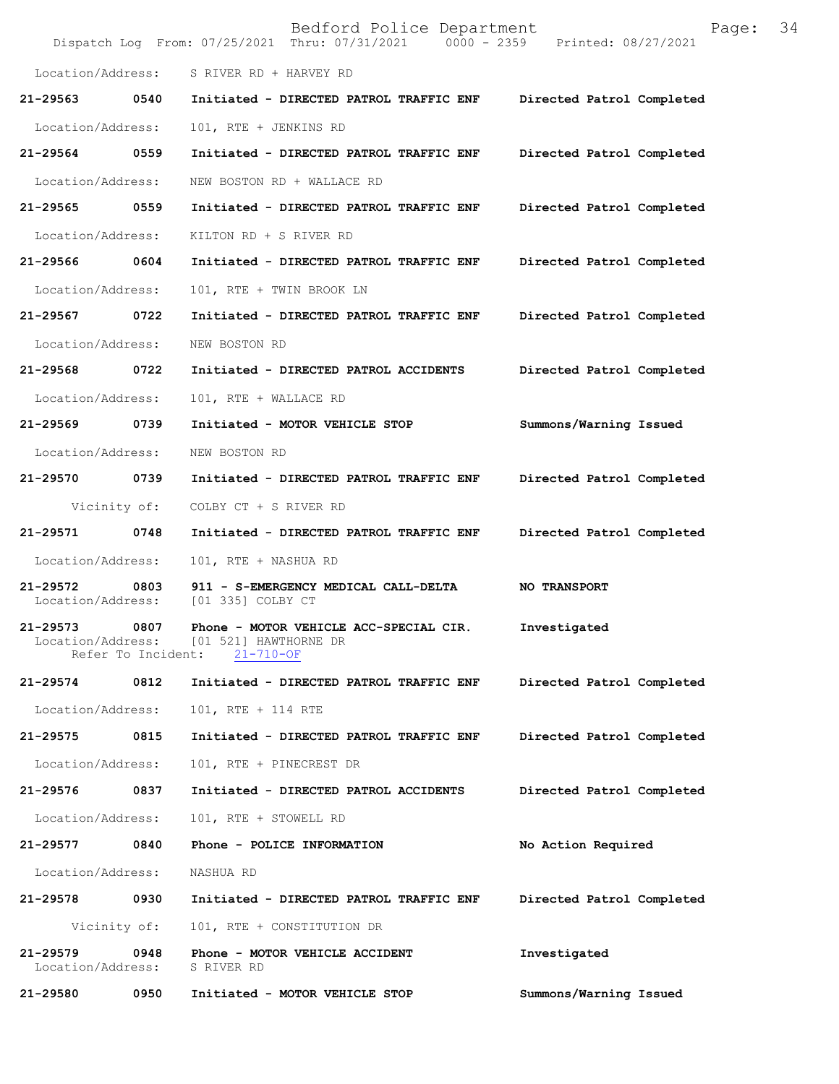|                               |                            | Bedford Police Department<br>Dispatch Log From: 07/25/2021 Thru: 07/31/2021 0000 - 2359 Printed: 08/27/2021 | 34<br>Page:               |
|-------------------------------|----------------------------|-------------------------------------------------------------------------------------------------------------|---------------------------|
| Location/Address:             |                            | S RIVER RD + HARVEY RD                                                                                      |                           |
| 21-29563                      | 0540                       | Initiated - DIRECTED PATROL TRAFFIC ENF                                                                     | Directed Patrol Completed |
| Location/Address:             |                            | 101, RTE + JENKINS RD                                                                                       |                           |
| 21-29564 0559                 |                            | Initiated - DIRECTED PATROL TRAFFIC ENF                                                                     | Directed Patrol Completed |
| Location/Address:             |                            | NEW BOSTON RD + WALLACE RD                                                                                  |                           |
| 21-29565 0559                 |                            | Initiated - DIRECTED PATROL TRAFFIC ENF                                                                     | Directed Patrol Completed |
| Location/Address:             |                            | KILTON RD + S RIVER RD                                                                                      |                           |
| 21-29566                      | 0604                       | Initiated - DIRECTED PATROL TRAFFIC ENF                                                                     | Directed Patrol Completed |
| Location/Address:             |                            | 101, RTE + TWIN BROOK LN                                                                                    |                           |
| 21-29567                      | 0722                       | Initiated - DIRECTED PATROL TRAFFIC ENF                                                                     | Directed Patrol Completed |
| Location/Address:             |                            | NEW BOSTON RD                                                                                               |                           |
| 21-29568 0722                 |                            | Initiated - DIRECTED PATROL ACCIDENTS                                                                       | Directed Patrol Completed |
| Location/Address:             |                            | 101, RTE + WALLACE RD                                                                                       |                           |
| 21-29569                      | 0739                       | Initiated - MOTOR VEHICLE STOP                                                                              | Summons/Warning Issued    |
| Location/Address:             |                            | NEW BOSTON RD                                                                                               |                           |
| 21-29570                      | 0739                       | Initiated - DIRECTED PATROL TRAFFIC ENF                                                                     | Directed Patrol Completed |
|                               | Vicinity of:               | COLBY CT + S RIVER RD                                                                                       |                           |
| 21-29571                      | 0748                       | Initiated - DIRECTED PATROL TRAFFIC ENF                                                                     | Directed Patrol Completed |
| Location/Address:             |                            | 101, RTE + NASHUA RD                                                                                        |                           |
| 21-29572<br>Location/Address: | 0803                       | 911 - S-EMERGENCY MEDICAL CALL-DELTA<br>[01 335] COLBY CT                                                   | <b>NO TRANSPORT</b>       |
| 21-29573<br>Location/Address: | 0807<br>Refer To Incident: | Phone - MOTOR VEHICLE ACC-SPECIAL CIR.<br>[01 521] HAWTHORNE DR<br>$21 - 710 - OF$                          | Investigated              |
| 21-29574                      | 0812                       | Initiated - DIRECTED PATROL TRAFFIC ENF                                                                     | Directed Patrol Completed |
| Location/Address:             |                            | 101, RTE + 114 RTE                                                                                          |                           |
| 21-29575                      | 0815                       | Initiated - DIRECTED PATROL TRAFFIC ENF                                                                     | Directed Patrol Completed |
| Location/Address:             |                            | 101, RTE + PINECREST DR                                                                                     |                           |
| 21-29576                      | 0837                       | Initiated - DIRECTED PATROL ACCIDENTS                                                                       | Directed Patrol Completed |
| Location/Address:             |                            | 101, RTE + STOWELL RD                                                                                       |                           |
| 21-29577                      | 0840                       | Phone - POLICE INFORMATION                                                                                  | No Action Required        |
| Location/Address:             |                            | NASHUA RD                                                                                                   |                           |
| 21-29578                      | 0930                       | Initiated - DIRECTED PATROL TRAFFIC ENF                                                                     | Directed Patrol Completed |
|                               | Vicinity of:               | 101, RTE + CONSTITUTION DR                                                                                  |                           |
| 21-29579<br>Location/Address: | 0948                       | Phone - MOTOR VEHICLE ACCIDENT<br>S RIVER RD                                                                | Investigated              |
| 21-29580                      | 0950                       | Initiated - MOTOR VEHICLE STOP                                                                              | Summons/Warning Issued    |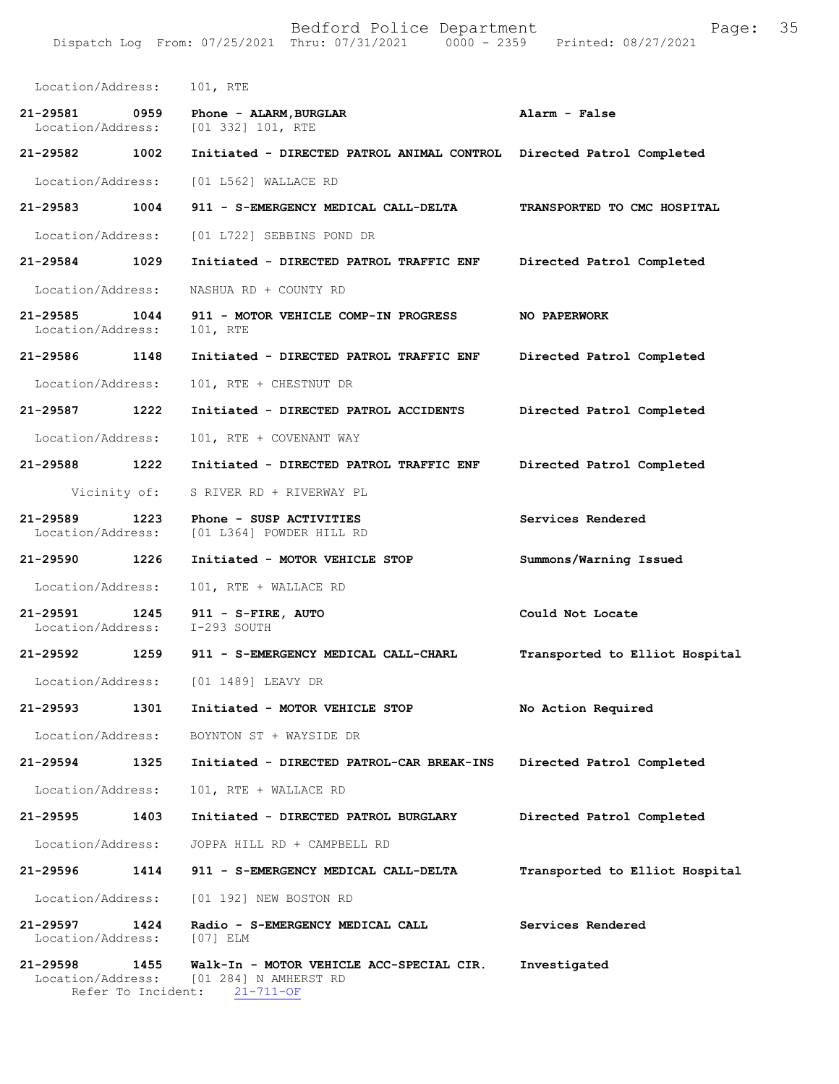Bedford Police Department Page: 35 Dispatch Log From: 07/25/2021 Thru: 07/31/2021 Location/Address: 101, RTE **21-29581 0959 Phone - ALARM,BURGLAR Alarm - False**  [01 332] 101, RTE **21-29582 1002 Initiated - DIRECTED PATROL ANIMAL CONTROL Directed Patrol Completed**  Location/Address: [01 L562] WALLACE RD **21-29583 1004 911 - S-EMERGENCY MEDICAL CALL-DELTA TRANSPORTED TO CMC HOSPITAL**  Location/Address: [01 L722] SEBBINS POND DR **21-29584 1029 Initiated - DIRECTED PATROL TRAFFIC ENF Directed Patrol Completed**  Location/Address: NASHUA RD + COUNTY RD **21-29585 1044 911 - MOTOR VEHICLE COMP-IN PROGRESS NO PAPERWORK**  Location/Address: **21-29586 1148 Initiated - DIRECTED PATROL TRAFFIC ENF Directed Patrol Completed**  Location/Address: 101, RTE + CHESTNUT DR **21-29587 1222 Initiated - DIRECTED PATROL ACCIDENTS Directed Patrol Completed**  Location/Address: 101, RTE + COVENANT WAY **21-29588 1222 Initiated - DIRECTED PATROL TRAFFIC ENF Directed Patrol Completed**  Vicinity of: S RIVER RD + RIVERWAY PL **21-29589 1223 Phone - SUSP ACTIVITIES Services Rendered**  Location/Address: [01 L364] POWDER HILL RD **21-29590 1226 Initiated - MOTOR VEHICLE STOP Summons/Warning Issued**  Location/Address: 101, RTE + WALLACE RD **21-29591 1245 911 - S-FIRE, AUTO Could Not Locate**  Location/Address: I-293 SOUTH **21-29592 1259 911 - S-EMERGENCY MEDICAL CALL-CHARL Transported to Elliot Hospital** Location/Address: [01 1489] LEAVY DR **21-29593 1301 Initiated - MOTOR VEHICLE STOP No Action Required**  Location/Address: BOYNTON ST + WAYSIDE DR **21-29594 1325 Initiated - DIRECTED PATROL-CAR BREAK-INS Directed Patrol Completed**  Location/Address: 101, RTE + WALLACE RD **21-29595 1403 Initiated - DIRECTED PATROL BURGLARY Directed Patrol Completed**  Location/Address: JOPPA HILL RD + CAMPBELL RD **21-29596 1414 911 - S-EMERGENCY MEDICAL CALL-DELTA Transported to Elliot Hospital** Location/Address: [01 192] NEW BOSTON RD **21-29597 1424 Radio - S-EMERGENCY MEDICAL CALL Services Rendered**  Location/Address: [07] ELM

**21-29598 1455 Walk-In - MOTOR VEHICLE ACC-SPECIAL CIR. Investigated**  Location/Address: [01 284] N AMHERST RD Refer To Incident: 21-711-OF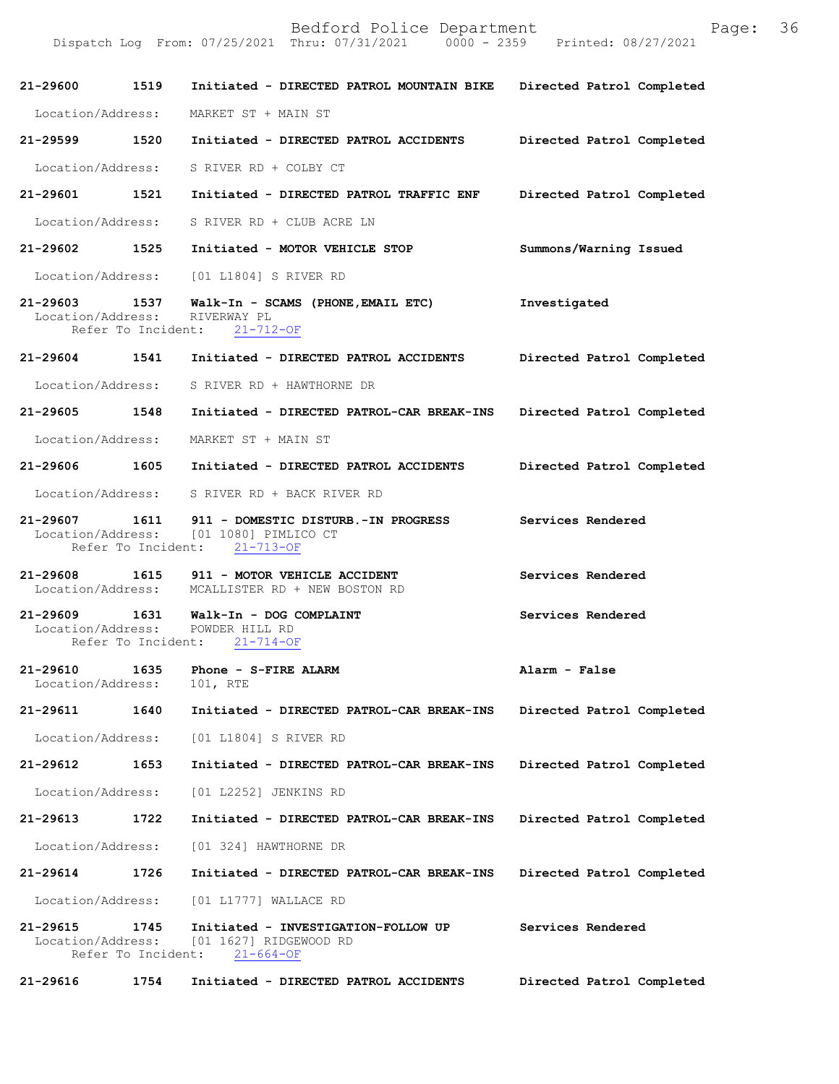Dispatch Log From: 07/25/2021 Thru: 07/31/2021 0000 - 2359 Printed: 08/27/2021

| 21-29600                      | 1519               | Initiated - DIRECTED PATROL MOUNTAIN BIKE                                                                      | Directed Patrol Completed |
|-------------------------------|--------------------|----------------------------------------------------------------------------------------------------------------|---------------------------|
| Location/Address:             |                    | MARKET ST + MAIN ST                                                                                            |                           |
| 21-29599 1520                 |                    | Initiated - DIRECTED PATROL ACCIDENTS                                                                          | Directed Patrol Completed |
| Location/Address:             |                    | S RIVER RD + COLBY CT                                                                                          |                           |
| 21-29601 1521                 |                    | Initiated - DIRECTED PATROL TRAFFIC ENF                                                                        | Directed Patrol Completed |
| Location/Address:             |                    | S RIVER RD + CLUB ACRE LN                                                                                      |                           |
| 21-29602 1525                 |                    | Initiated - MOTOR VEHICLE STOP                                                                                 | Summons/Warning Issued    |
| Location/Address:             |                    | [01 L1804] S RIVER RD                                                                                          |                           |
| 21-29603 1537                 |                    | Walk-In - SCAMS (PHONE, EMAIL ETC)<br>Location/Address: RIVERWAY PL<br>Refer To Incident: 21-712-OF            | Investigated              |
| 21-29604 1541                 |                    | Initiated - DIRECTED PATROL ACCIDENTS                                                                          | Directed Patrol Completed |
| Location/Address:             |                    | S RIVER RD + HAWTHORNE DR                                                                                      |                           |
| 21-29605 1548                 |                    | Initiated - DIRECTED PATROL-CAR BREAK-INS                                                                      | Directed Patrol Completed |
| Location/Address:             |                    | MARKET ST + MAIN ST                                                                                            |                           |
| 21-29606 1605                 |                    | Initiated - DIRECTED PATROL ACCIDENTS                                                                          | Directed Patrol Completed |
| Location/Address:             |                    | S RIVER RD + BACK RIVER RD                                                                                     |                           |
|                               | Refer To Incident: | 21-29607 1611 911 - DOMESTIC DISTURB.-IN PROGRESS<br>Location/Address: [01 1080] PIMLICO CT<br>$21 - 713 - OF$ | Services Rendered         |
| 21-29608                      |                    | 1615 911 - MOTOR VEHICLE ACCIDENT<br>Location/Address: MCALLISTER RD + NEW BOSTON RD                           | Services Rendered         |
|                               | Refer To Incident: | 21-29609 1631 Walk-In - DOG COMPLAINT<br>Location/Address: POWDER HILL RD<br>$21 - 714 - OF$                   | Services Rendered         |
| 21-29610<br>Location/Address: | 1635               | Phone - S-FIRE ALARM<br>101, RTE                                                                               | Alarm - False             |
| 21-29611                      | 1640               | Initiated - DIRECTED PATROL-CAR BREAK-INS                                                                      | Directed Patrol Completed |
| Location/Address:             |                    | [01 L1804] S RIVER RD                                                                                          |                           |
| 21-29612                      | 1653               | Initiated - DIRECTED PATROL-CAR BREAK-INS                                                                      | Directed Patrol Completed |
| Location/Address:             |                    | [01 L2252] JENKINS RD                                                                                          |                           |
| 21-29613                      | 1722               | Initiated - DIRECTED PATROL-CAR BREAK-INS                                                                      | Directed Patrol Completed |
|                               |                    | Location/Address: [01 324] HAWTHORNE DR                                                                        |                           |
| 21-29614                      | 1726               | Initiated - DIRECTED PATROL-CAR BREAK-INS                                                                      | Directed Patrol Completed |
|                               |                    | Location/Address: [01 L1777] WALLACE RD                                                                        |                           |
| 21-29615<br>Location/Address: | 1745               | Initiated - INVESTIGATION-FOLLOW UP<br>[01 1627] RIDGEWOOD RD<br>Refer To Incident: 21-664-OF                  | Services Rendered         |
| 21-29616                      | 1754               | Initiated - DIRECTED PATROL ACCIDENTS                                                                          | Directed Patrol Completed |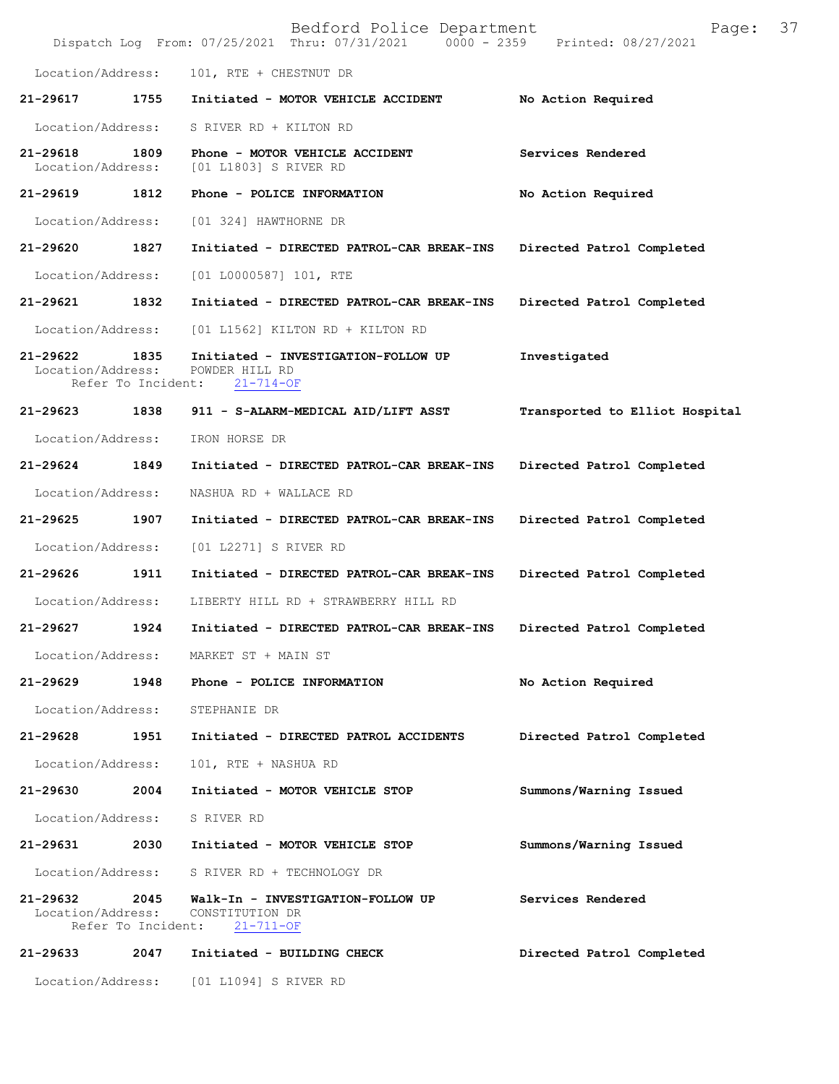|                               |                            | Bedford Police Department<br>Dispatch Log From: 07/25/2021 Thru: 07/31/2021 0000 - 2359 | Page:<br>Printed: 08/27/2021   | 37 |
|-------------------------------|----------------------------|-----------------------------------------------------------------------------------------|--------------------------------|----|
| Location/Address:             |                            | 101, RTE + CHESTNUT DR                                                                  |                                |    |
| 21-29617                      | 1755                       | Initiated - MOTOR VEHICLE ACCIDENT                                                      | No Action Required             |    |
| Location/Address:             |                            | S RIVER RD + KILTON RD                                                                  |                                |    |
| 21-29618<br>Location/Address: | 1809                       | Phone - MOTOR VEHICLE ACCIDENT<br>[01 L1803] S RIVER RD                                 | Services Rendered              |    |
| 21-29619                      | 1812                       | Phone - POLICE INFORMATION                                                              | No Action Required             |    |
| Location/Address:             |                            | [01 324] HAWTHORNE DR                                                                   |                                |    |
| 21-29620                      | 1827                       | Initiated - DIRECTED PATROL-CAR BREAK-INS                                               | Directed Patrol Completed      |    |
| Location/Address:             |                            | [01 L0000587] 101, RTE                                                                  |                                |    |
| 21-29621                      | 1832                       | Initiated - DIRECTED PATROL-CAR BREAK-INS                                               | Directed Patrol Completed      |    |
| Location/Address:             |                            | $[01 L1562]$ KILTON RD + KILTON RD                                                      |                                |    |
| 21-29622<br>Location/Address: | 1835<br>Refer To Incident: | Initiated - INVESTIGATION-FOLLOW UP<br>POWDER HILL RD<br>$21 - 714 - OF$                | Investigated                   |    |
| 21-29623                      | 1838                       | 911 - S-ALARM-MEDICAL AID/LIFT ASST                                                     | Transported to Elliot Hospital |    |
| Location/Address:             |                            | IRON HORSE DR                                                                           |                                |    |
| 21-29624                      | 1849                       | Initiated - DIRECTED PATROL-CAR BREAK-INS                                               | Directed Patrol Completed      |    |
| Location/Address:             |                            | NASHUA RD + WALLACE RD                                                                  |                                |    |
| 21-29625                      | 1907                       | Initiated - DIRECTED PATROL-CAR BREAK-INS                                               | Directed Patrol Completed      |    |
| Location/Address:             |                            | [01 L2271] S RIVER RD                                                                   |                                |    |
| 21-29626                      | 1911                       | Initiated - DIRECTED PATROL-CAR BREAK-INS                                               | Directed Patrol Completed      |    |
| Location/Address:             |                            | LIBERTY HILL RD + STRAWBERRY HILL RD                                                    |                                |    |
| 21-29627                      | 1924                       | Initiated - DIRECTED PATROL-CAR BREAK-INS                                               | Directed Patrol Completed      |    |
| Location/Address:             |                            | MARKET ST + MAIN ST                                                                     |                                |    |
| 21-29629                      | 1948                       | Phone - POLICE INFORMATION                                                              | No Action Required             |    |
| Location/Address:             |                            | STEPHANIE DR                                                                            |                                |    |
| 21-29628                      | 1951                       | Initiated - DIRECTED PATROL ACCIDENTS                                                   | Directed Patrol Completed      |    |
| Location/Address:             |                            | 101, RTE + NASHUA RD                                                                    |                                |    |
| 21-29630                      | 2004                       | Initiated - MOTOR VEHICLE STOP                                                          | Summons/Warning Issued         |    |
| Location/Address:             |                            | S RIVER RD                                                                              |                                |    |
| 21-29631                      | 2030                       | Initiated - MOTOR VEHICLE STOP                                                          | Summons/Warning Issued         |    |
| Location/Address:             |                            | S RIVER RD + TECHNOLOGY DR                                                              |                                |    |
| 21-29632<br>Location/Address: | 2045<br>Refer To Incident: | Walk-In - INVESTIGATION-FOLLOW UP<br>CONSTITUTION DR<br>$21 - 711 - OF$                 | Services Rendered              |    |
| 21-29633                      | 2047                       | Initiated - BUILDING CHECK                                                              | Directed Patrol Completed      |    |
| Location/Address:             |                            | [01 L1094] S RIVER RD                                                                   |                                |    |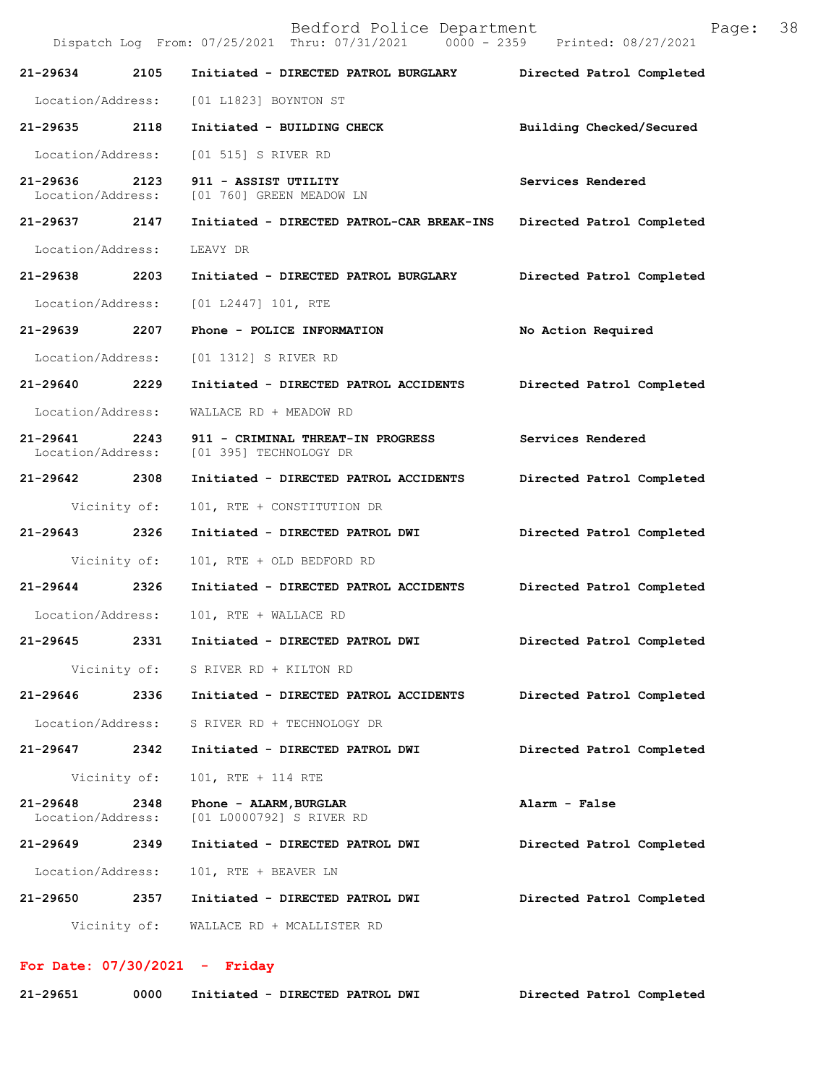Bedford Police Department Page: 38 Dispatch Log From: 07/25/2021 Thru: 07/31/2021 **21-29634 2105 Initiated - DIRECTED PATROL BURGLARY Directed Patrol Completed**  Location/Address: [01 L1823] BOYNTON ST **21-29635 2118 Initiated - BUILDING CHECK Building Checked/Secured**  Location/Address: [01 515] S RIVER RD **21-29636 2123 911 - ASSIST UTILITY Services Rendered**  Location/Address: [01 760] GREEN MEADOW LN **21-29637 2147 Initiated - DIRECTED PATROL-CAR BREAK-INS Directed Patrol Completed**  Location/Address: LEAVY DR **21-29638 2203 Initiated - DIRECTED PATROL BURGLARY Directed Patrol Completed**  Location/Address: [01 L2447] 101, RTE **21-29639 2207 Phone - POLICE INFORMATION No Action Required**  Location/Address: [01 1312] S RIVER RD **21-29640 2229 Initiated - DIRECTED PATROL ACCIDENTS Directed Patrol Completed**  Location/Address: WALLACE RD + MEADOW RD **21-29641 2243 911 - CRIMINAL THREAT-IN PROGRESS Services Rendered Location/Address:** [01 395] TECHNOLOGY DR [01 395] TECHNOLOGY DR **21-29642 2308 Initiated - DIRECTED PATROL ACCIDENTS Directed Patrol Completed**  Vicinity of: 101, RTE + CONSTITUTION DR **21-29643 2326 Initiated - DIRECTED PATROL DWI Directed Patrol Completed**  Vicinity of: 101, RTE + OLD BEDFORD RD **21-29644 2326 Initiated - DIRECTED PATROL ACCIDENTS Directed Patrol Completed**  Location/Address: 101, RTE + WALLACE RD **21-29645 2331 Initiated - DIRECTED PATROL DWI Directed Patrol Completed**  Vicinity of: S RIVER RD + KILTON RD **21-29646 2336 Initiated - DIRECTED PATROL ACCIDENTS Directed Patrol Completed**  Location/Address: S RIVER RD + TECHNOLOGY DR **21-29647 2342 Initiated - DIRECTED PATROL DWI Directed Patrol Completed**  Vicinity of: 101, RTE + 114 RTE **21-29648 2348 Phone - ALARM,BURGLAR Alarm - False**  [01 L0000792] S RIVER RD **21-29649 2349 Initiated - DIRECTED PATROL DWI Directed Patrol Completed**  Location/Address: 101, RTE + BEAVER LN **21-29650 2357 Initiated - DIRECTED PATROL DWI Directed Patrol Completed**  Vicinity of: WALLACE RD + MCALLISTER RD

**For Date: 07/30/2021 - Friday**

| 21-29651 |  | 0000 Initiated - DIRECTED PATROL DWI | Directed Patrol Completed |
|----------|--|--------------------------------------|---------------------------|
|----------|--|--------------------------------------|---------------------------|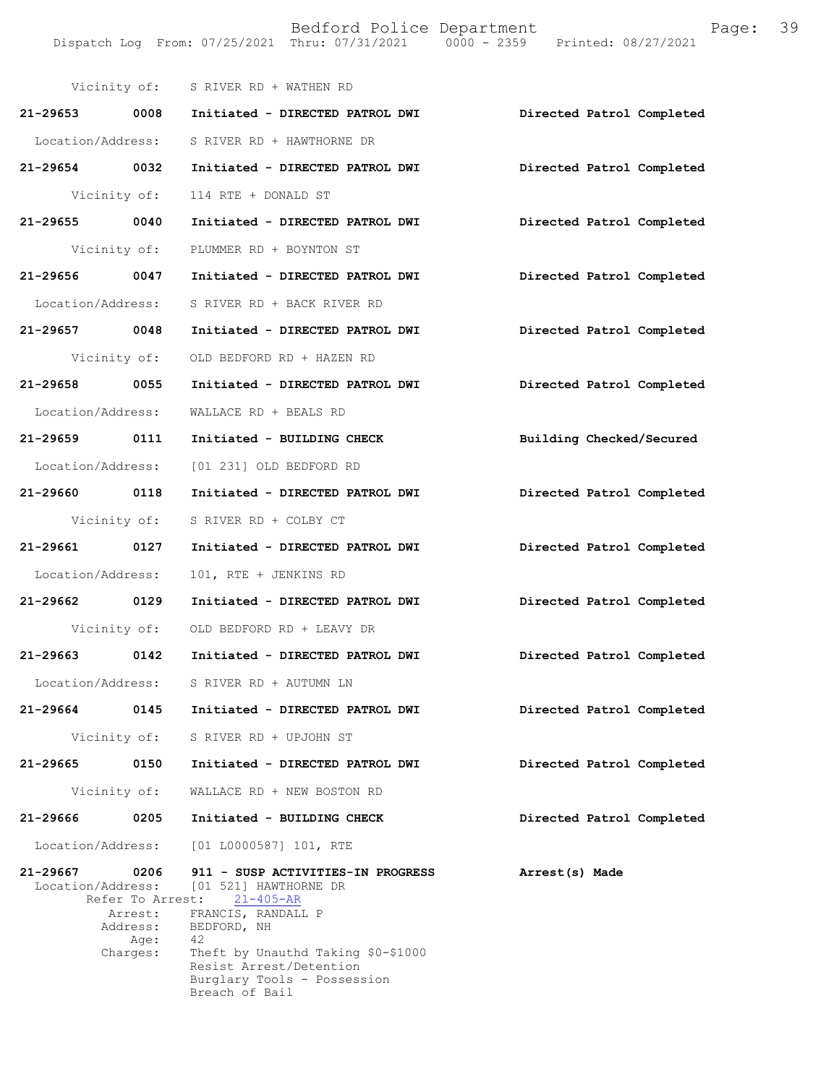| 21-29653 0008                                                                                        | Initiated - DIRECTED PATROL DWI                                                                                                                                                                                                            |                           |
|------------------------------------------------------------------------------------------------------|--------------------------------------------------------------------------------------------------------------------------------------------------------------------------------------------------------------------------------------------|---------------------------|
|                                                                                                      |                                                                                                                                                                                                                                            | Directed Patrol Completed |
| Location/Address:                                                                                    | S RIVER RD + HAWTHORNE DR                                                                                                                                                                                                                  |                           |
| 21-29654 0032                                                                                        | Initiated - DIRECTED PATROL DWI                                                                                                                                                                                                            | Directed Patrol Completed |
| Vicinity of:                                                                                         | 114 RTE + DONALD ST                                                                                                                                                                                                                        |                           |
| 21-29655 0040                                                                                        | Initiated - DIRECTED PATROL DWI                                                                                                                                                                                                            | Directed Patrol Completed |
| Vicinity of:                                                                                         | PLUMMER RD + BOYNTON ST                                                                                                                                                                                                                    |                           |
| 21-29656 0047                                                                                        | Initiated - DIRECTED PATROL DWI                                                                                                                                                                                                            | Directed Patrol Completed |
| Location/Address:                                                                                    | S RIVER RD + BACK RIVER RD                                                                                                                                                                                                                 |                           |
| 21-29657 0048                                                                                        | Initiated - DIRECTED PATROL DWI                                                                                                                                                                                                            | Directed Patrol Completed |
| Vicinity of:                                                                                         | OLD BEDFORD RD + HAZEN RD                                                                                                                                                                                                                  |                           |
| 21-29658 0055                                                                                        | Initiated - DIRECTED PATROL DWI                                                                                                                                                                                                            | Directed Patrol Completed |
| Location/Address:                                                                                    | WALLACE RD + BEALS RD                                                                                                                                                                                                                      |                           |
| 21-29659 0111                                                                                        | Initiated - BUILDING CHECK                                                                                                                                                                                                                 | Building Checked/Secured  |
| Location/Address:                                                                                    | [01 231] OLD BEDFORD RD                                                                                                                                                                                                                    |                           |
| 21-29660 0118                                                                                        | Initiated - DIRECTED PATROL DWI                                                                                                                                                                                                            | Directed Patrol Completed |
| Vicinity of:                                                                                         | S RIVER RD + COLBY CT                                                                                                                                                                                                                      |                           |
| 21-29661 0127                                                                                        | Initiated - DIRECTED PATROL DWI                                                                                                                                                                                                            | Directed Patrol Completed |
| Location/Address:                                                                                    | 101, RTE + JENKINS RD                                                                                                                                                                                                                      |                           |
| 21-29662 0129                                                                                        | Initiated - DIRECTED PATROL DWI                                                                                                                                                                                                            | Directed Patrol Completed |
| Vicinity of:                                                                                         | OLD BEDFORD RD + LEAVY DR                                                                                                                                                                                                                  |                           |
| 21-29663 0142                                                                                        | Initiated - DIRECTED PATROL DWI                                                                                                                                                                                                            | Directed Patrol Completed |
| Location/Address:                                                                                    | S RIVER RD + AUTUMN LN                                                                                                                                                                                                                     |                           |
| $21 - 29664$<br>0145                                                                                 | Initiated - DIRECTED PATROL DWI                                                                                                                                                                                                            | Directed Patrol Completed |
| Vicinity of:                                                                                         | S RIVER RD + UPJOHN ST                                                                                                                                                                                                                     |                           |
| 21-29665<br>0150                                                                                     | Initiated - DIRECTED PATROL DWI                                                                                                                                                                                                            | Directed Patrol Completed |
| Vicinity of:                                                                                         | WALLACE RD + NEW BOSTON RD                                                                                                                                                                                                                 |                           |
| 21-29666<br>0205                                                                                     | Initiated - BUILDING CHECK                                                                                                                                                                                                                 | Directed Patrol Completed |
| Location/Address:                                                                                    | [01 L0000587] 101, RTE                                                                                                                                                                                                                     |                           |
| 21-29667<br>0206<br>Location/Address:<br>Refer To Arrest:<br>Arrest:<br>Address:<br>Age:<br>Charges: | 911 - SUSP ACTIVITIES-IN PROGRESS<br>[01 521] HAWTHORNE DR<br>$21 - 405 - AR$<br>FRANCIS, RANDALL P<br>BEDFORD, NH<br>42<br>Theft by Unauthd Taking \$0-\$1000<br>Resist Arrest/Detention<br>Burglary Tools - Possession<br>Breach of Bail | Arrest(s) Made            |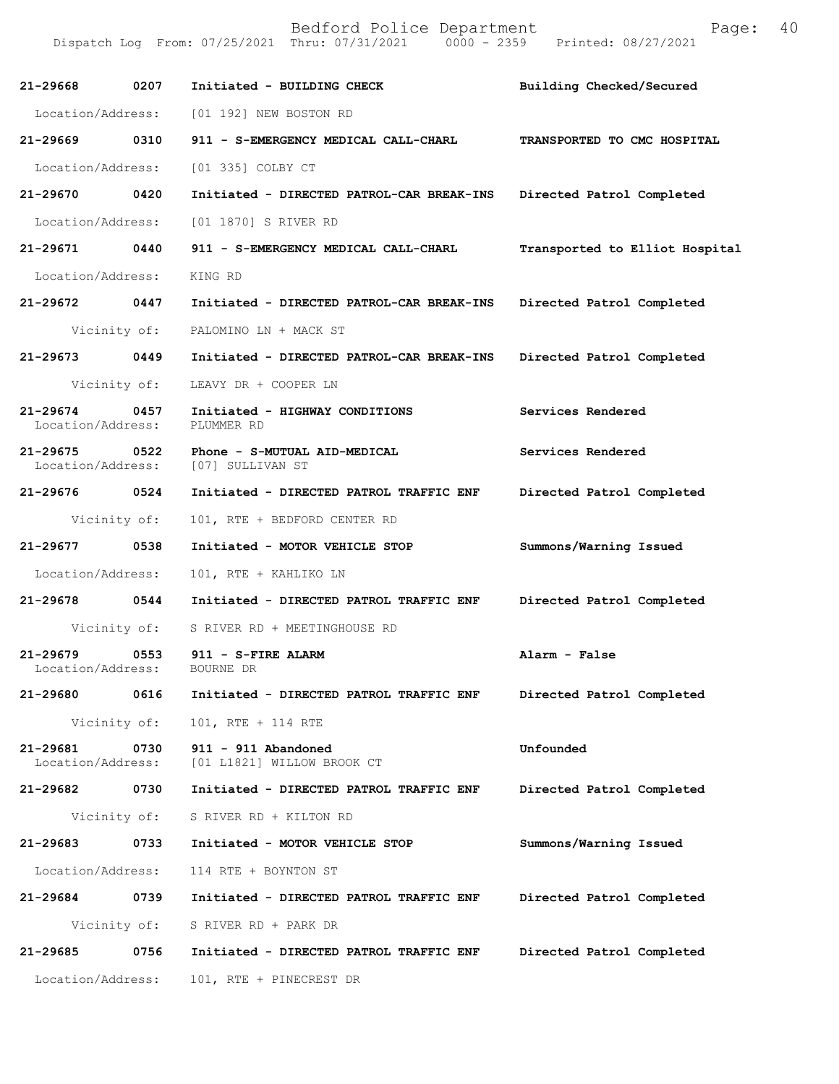Dispatch Log From: 07/25/2021 Thru: 07/31/2021 0000 - 2359 Printed: 08/27/2021

| 21-29668                      | 0207         | Initiated - BUILDING CHECK                                         | Building Checked/Secured       |
|-------------------------------|--------------|--------------------------------------------------------------------|--------------------------------|
| Location/Address:             |              | [01 192] NEW BOSTON RD                                             |                                |
| 21-29669 0310                 |              | 911 - S-EMERGENCY MEDICAL CALL-CHARL                               | TRANSPORTED TO CMC HOSPITAL    |
| Location/Address:             |              | [01 335] COLBY CT                                                  |                                |
| 21-29670 0420                 |              | Initiated - DIRECTED PATROL-CAR BREAK-INS                          | Directed Patrol Completed      |
| Location/Address:             |              | [01 1870] S RIVER RD                                               |                                |
| 21-29671 0440                 |              | 911 - S-EMERGENCY MEDICAL CALL-CHARL                               | Transported to Elliot Hospital |
| Location/Address:             |              | KING RD                                                            |                                |
| 21-29672 0447                 |              | Initiated - DIRECTED PATROL-CAR BREAK-INS                          | Directed Patrol Completed      |
|                               | Vicinity of: | PALOMINO LN + MACK ST                                              |                                |
| 21-29673 0449                 |              | Initiated - DIRECTED PATROL-CAR BREAK-INS                          | Directed Patrol Completed      |
|                               | Vicinity of: | LEAVY DR + COOPER LN                                               |                                |
| 21-29674<br>Location/Address: | 0457         | Initiated - HIGHWAY CONDITIONS<br>PLUMMER RD                       | Services Rendered              |
| 21-29675 0522                 |              | Phone - S-MUTUAL AID-MEDICAL<br>Location/Address: [07] SULLIVAN ST | Services Rendered              |
| 21-29676 0524                 |              | Initiated - DIRECTED PATROL TRAFFIC ENF                            | Directed Patrol Completed      |
|                               | Vicinity of: | 101, RTE + BEDFORD CENTER RD                                       |                                |
| 21-29677                      | 0538         | Initiated - MOTOR VEHICLE STOP                                     | Summons/Warning Issued         |
| Location/Address:             |              | 101, RTE + KAHLIKO LN                                              |                                |
| 21-29678 0544                 |              | Initiated - DIRECTED PATROL TRAFFIC ENF                            | Directed Patrol Completed      |
|                               |              | Vicinity of: S RIVER RD + MEETINGHOUSE RD                          |                                |
| 21-29679<br>Location/Address: | 0553         | 911 - S-FIRE ALARM<br>BOURNE DR                                    | Alarm - False                  |
| 21-29680                      | 0616         | Initiated - DIRECTED PATROL TRAFFIC ENF                            | Directed Patrol Completed      |
|                               | Vicinity of: | 101, RTE + 114 RTE                                                 |                                |
| 21-29681<br>Location/Address: | 0730         | 911 - 911 Abandoned<br>[01 L1821] WILLOW BROOK CT                  | Unfounded                      |
| 21-29682                      | 0730         | Initiated - DIRECTED PATROL TRAFFIC ENF                            | Directed Patrol Completed      |
|                               | Vicinity of: | S RIVER RD + KILTON RD                                             |                                |
| 21-29683                      | 0733         | Initiated - MOTOR VEHICLE STOP                                     | Summons/Warning Issued         |
| Location/Address:             |              | 114 RTE + BOYNTON ST                                               |                                |
| 21-29684                      | 0739         | Initiated - DIRECTED PATROL TRAFFIC ENF                            | Directed Patrol Completed      |
|                               | Vicinity of: | S RIVER RD + PARK DR                                               |                                |
| 21-29685                      | 0756         | Initiated - DIRECTED PATROL TRAFFIC ENF                            | Directed Patrol Completed      |
| Location/Address:             |              | 101, RTE + PINECREST DR                                            |                                |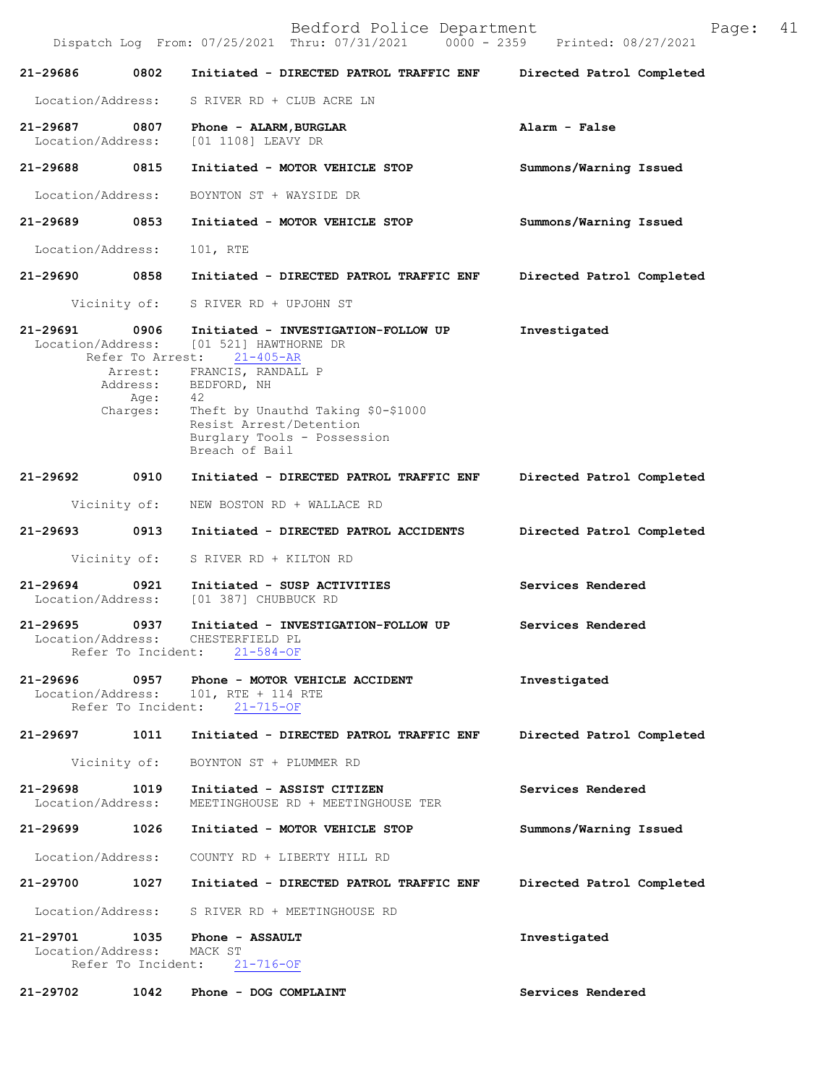| Bedford Police Department<br>Page:<br>Dispatch Log From: 07/25/2021 Thru: 07/31/2021 0000 - 2359 Printed: 08/27/2021 |                                                 |                                                                                                                                                                                                                                                         |                           |
|----------------------------------------------------------------------------------------------------------------------|-------------------------------------------------|---------------------------------------------------------------------------------------------------------------------------------------------------------------------------------------------------------------------------------------------------------|---------------------------|
| 21-29686                                                                                                             | 0802                                            | Initiated - DIRECTED PATROL TRAFFIC ENF                                                                                                                                                                                                                 | Directed Patrol Completed |
| Location/Address:                                                                                                    |                                                 | S RIVER RD + CLUB ACRE LN                                                                                                                                                                                                                               |                           |
| 21-29687<br>Location/Address:                                                                                        | 0807                                            | Phone - ALARM, BURGLAR<br>[01 1108] LEAVY DR                                                                                                                                                                                                            | Alarm - False             |
| 21-29688                                                                                                             | 0815                                            | Initiated - MOTOR VEHICLE STOP                                                                                                                                                                                                                          | Summons/Warning Issued    |
| Location/Address:                                                                                                    |                                                 | BOYNTON ST + WAYSIDE DR                                                                                                                                                                                                                                 |                           |
| 21-29689                                                                                                             | 0853                                            | Initiated - MOTOR VEHICLE STOP                                                                                                                                                                                                                          | Summons/Warning Issued    |
| Location/Address:                                                                                                    |                                                 | 101, RTE                                                                                                                                                                                                                                                |                           |
| 21-29690                                                                                                             | 0858                                            | Initiated - DIRECTED PATROL TRAFFIC ENF                                                                                                                                                                                                                 | Directed Patrol Completed |
| Vicinity of:                                                                                                         |                                                 | S RIVER RD + UPJOHN ST                                                                                                                                                                                                                                  |                           |
| 21-29691<br>Location/Address:                                                                                        | 0906<br>Refer To Arrest:<br>Age: 42<br>Charges: | Initiated - INVESTIGATION-FOLLOW UP<br>[01 521] HAWTHORNE DR<br>$21 - 405 - AR$<br>Arrest: FRANCIS, RANDALL P<br>Address: BEDFORD, NH<br>Theft by Unauthd Taking \$0-\$1000<br>Resist Arrest/Detention<br>Burglary Tools - Possession<br>Breach of Bail | Investigated              |
| 21-29692                                                                                                             | 0910                                            | Initiated - DIRECTED PATROL TRAFFIC ENF                                                                                                                                                                                                                 | Directed Patrol Completed |
| Vicinity of:                                                                                                         |                                                 | NEW BOSTON RD + WALLACE RD                                                                                                                                                                                                                              |                           |
| 21-29693                                                                                                             | 0913                                            | Initiated - DIRECTED PATROL ACCIDENTS                                                                                                                                                                                                                   | Directed Patrol Completed |
| Vicinity of:                                                                                                         |                                                 | S RIVER RD + KILTON RD                                                                                                                                                                                                                                  |                           |
| $21 - 29694$<br>Location/Address:                                                                                    | 0921                                            | Initiated - SUSP ACTIVITIES<br>[01 387] CHUBBUCK RD                                                                                                                                                                                                     | Services Rendered         |
| 21-29695<br>Location/Address:                                                                                        | 0937<br>Refer To Incident:                      | Initiated - INVESTIGATION-FOLLOW UP<br>CHESTERFIELD PL<br>$21 - 584 - OF$                                                                                                                                                                               | Services Rendered         |
| 21-29696<br>Location/Address:                                                                                        | 0957<br>Refer To Incident:                      | Phone - MOTOR VEHICLE ACCIDENT<br>101, RTE + 114 RTE<br>$21 - 715 - OF$                                                                                                                                                                                 | Investigated              |
| 21-29697                                                                                                             | 1011                                            | Initiated - DIRECTED PATROL TRAFFIC ENF                                                                                                                                                                                                                 | Directed Patrol Completed |
| Vicinity of:                                                                                                         |                                                 | BOYNTON ST + PLUMMER RD                                                                                                                                                                                                                                 |                           |
| 21-29698<br>Location/Address:                                                                                        | 1019                                            | Initiated - ASSIST CITIZEN<br>MEETINGHOUSE RD + MEETINGHOUSE TER                                                                                                                                                                                        | Services Rendered         |
| 21-29699                                                                                                             | 1026                                            | Initiated - MOTOR VEHICLE STOP                                                                                                                                                                                                                          | Summons/Warning Issued    |
| Location/Address:                                                                                                    |                                                 | COUNTY RD + LIBERTY HILL RD                                                                                                                                                                                                                             |                           |
| 21-29700                                                                                                             | 1027                                            | Initiated - DIRECTED PATROL TRAFFIC ENF                                                                                                                                                                                                                 | Directed Patrol Completed |
| Location/Address:                                                                                                    |                                                 | S RIVER RD + MEETINGHOUSE RD                                                                                                                                                                                                                            |                           |
| 21-29701<br>Location/Address:                                                                                        | 1035<br>Refer To Incident:                      | Phone - ASSAULT<br>MACK ST<br>$21 - 716 - OF$                                                                                                                                                                                                           | Investigated              |
| 21-29702                                                                                                             | 1042                                            | Phone - DOG COMPLAINT                                                                                                                                                                                                                                   | Services Rendered         |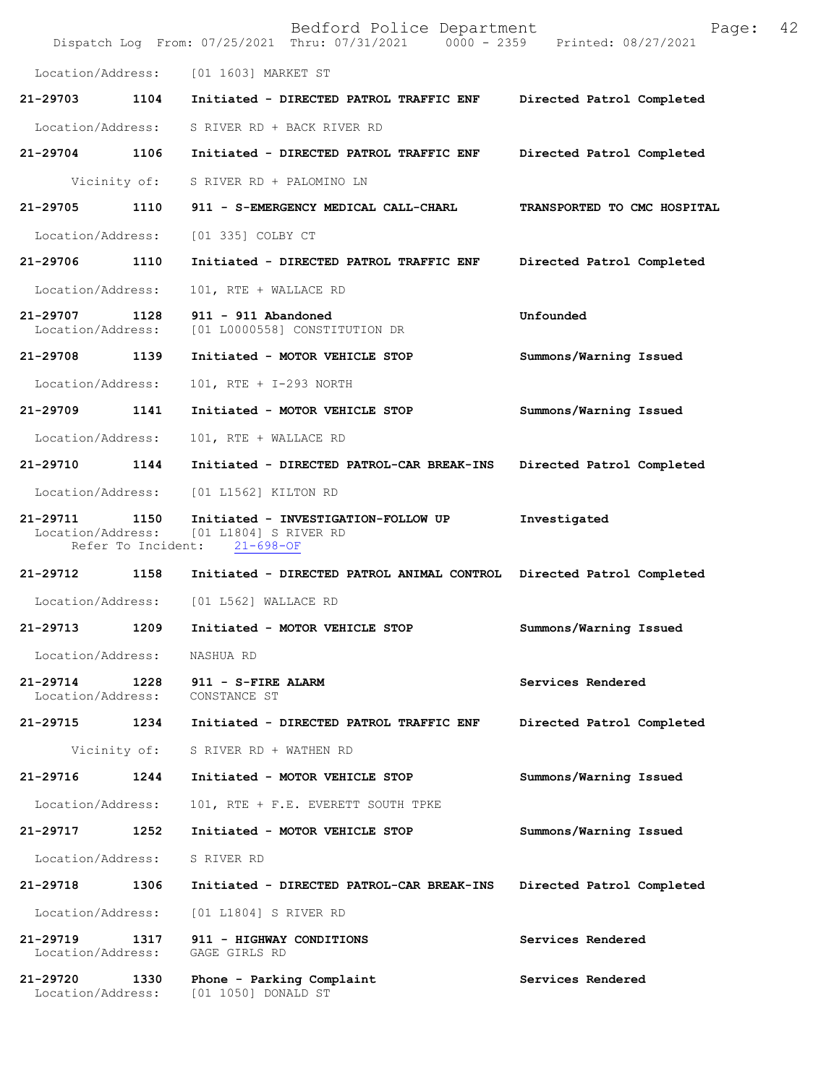|                               |                            | Bedford Police Department<br>Dispatch Log From: 07/25/2021 Thru: 07/31/2021 0000 - 2359 Printed: 08/27/2021 | 42<br>Page:                 |  |
|-------------------------------|----------------------------|-------------------------------------------------------------------------------------------------------------|-----------------------------|--|
| Location/Address:             |                            | [01 1603] MARKET ST                                                                                         |                             |  |
| 21-29703                      | 1104                       | Initiated - DIRECTED PATROL TRAFFIC ENF                                                                     | Directed Patrol Completed   |  |
| Location/Address:             |                            | S RIVER RD + BACK RIVER RD                                                                                  |                             |  |
| 21-29704                      | 1106                       | Initiated - DIRECTED PATROL TRAFFIC ENF                                                                     | Directed Patrol Completed   |  |
| Vicinity of:                  |                            | S RIVER RD + PALOMINO LN                                                                                    |                             |  |
| 21-29705                      | 1110                       | 911 - S-EMERGENCY MEDICAL CALL-CHARL                                                                        | TRANSPORTED TO CMC HOSPITAL |  |
| Location/Address:             |                            | [01 335] COLBY CT                                                                                           |                             |  |
| 21-29706                      | 1110                       | Initiated - DIRECTED PATROL TRAFFIC ENF                                                                     | Directed Patrol Completed   |  |
| Location/Address:             |                            | 101, RTE + WALLACE RD                                                                                       |                             |  |
| 21-29707<br>Location/Address: | 1128                       | 911 - 911 Abandoned<br>[01 L0000558] CONSTITUTION DR                                                        | Unfounded                   |  |
| 21-29708 1139                 |                            | Initiated - MOTOR VEHICLE STOP                                                                              | Summons/Warning Issued      |  |
| Location/Address:             |                            | 101, RTE + I-293 NORTH                                                                                      |                             |  |
| 21-29709                      | 1141                       | Initiated - MOTOR VEHICLE STOP                                                                              | Summons/Warning Issued      |  |
| Location/Address:             |                            | 101, RTE + WALLACE RD                                                                                       |                             |  |
| 21-29710                      | 1144                       | Initiated - DIRECTED PATROL-CAR BREAK-INS                                                                   | Directed Patrol Completed   |  |
| Location/Address:             |                            | [01 L1562] KILTON RD                                                                                        |                             |  |
| 21-29711<br>Location/Address: | 1150<br>Refer To Incident: | Initiated - INVESTIGATION-FOLLOW UP<br>[01 L1804] S RIVER RD<br>$21 - 698 - OF$                             | Investigated                |  |
| 21-29712                      | 1158                       | Initiated - DIRECTED PATROL ANIMAL CONTROL Directed Patrol Completed                                        |                             |  |
| Location/Address:             |                            | [01 L562] WALLACE RD                                                                                        |                             |  |
| 21-29713                      | 1209                       | Initiated - MOTOR VEHICLE STOP                                                                              | Summons/Warning Issued      |  |
| Location/Address:             |                            | NASHUA RD                                                                                                   |                             |  |
| 21-29714<br>Location/Address: | 1228                       | 911 - S-FIRE ALARM<br>CONSTANCE ST                                                                          | Services Rendered           |  |
| 21-29715                      | 1234                       | Initiated - DIRECTED PATROL TRAFFIC ENF                                                                     | Directed Patrol Completed   |  |
| Vicinity of:                  |                            | S RIVER RD + WATHEN RD                                                                                      |                             |  |
| 21-29716                      | 1244                       | Initiated - MOTOR VEHICLE STOP                                                                              | Summons/Warning Issued      |  |
| Location/Address:             |                            | 101, RTE + F.E. EVERETT SOUTH TPKE                                                                          |                             |  |
| 21-29717                      | 1252                       | Initiated - MOTOR VEHICLE STOP                                                                              | Summons/Warning Issued      |  |
| Location/Address:             |                            | S RIVER RD                                                                                                  |                             |  |
| 21-29718                      | 1306                       | Initiated - DIRECTED PATROL-CAR BREAK-INS                                                                   | Directed Patrol Completed   |  |
| Location/Address:             |                            | [01 L1804] S RIVER RD                                                                                       |                             |  |
| 21-29719<br>Location/Address: | 1317                       | 911 - HIGHWAY CONDITIONS<br>GAGE GIRLS RD                                                                   | Services Rendered           |  |
| 21-29720<br>Location/Address: | 1330                       | Phone - Parking Complaint<br>[01 1050] DONALD ST                                                            | Services Rendered           |  |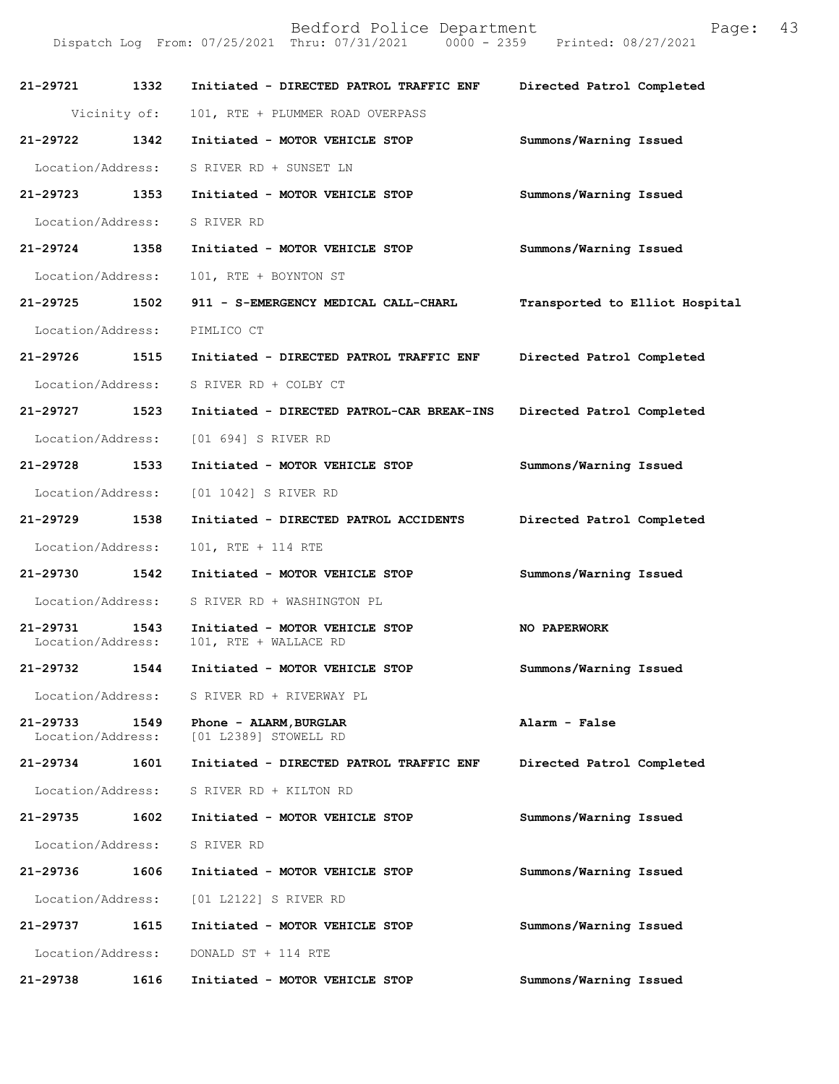| 21-29721 1332                 |              | Initiated - DIRECTED PATROL TRAFFIC ENF                 | Directed Patrol Completed      |
|-------------------------------|--------------|---------------------------------------------------------|--------------------------------|
|                               | Vicinity of: | 101, RTE + PLUMMER ROAD OVERPASS                        |                                |
| 21-29722 1342                 |              | Initiated - MOTOR VEHICLE STOP                          | Summons/Warning Issued         |
| Location/Address:             |              | S RIVER RD + SUNSET LN                                  |                                |
| 21-29723                      | 1353         | Initiated - MOTOR VEHICLE STOP                          | Summons/Warning Issued         |
|                               |              | Location/Address: S RIVER RD                            |                                |
| 21-29724 1358                 |              | Initiated - MOTOR VEHICLE STOP                          | Summons/Warning Issued         |
| Location/Address:             |              | 101, RTE + BOYNTON ST                                   |                                |
| 21-29725                      | 1502         | 911 - S-EMERGENCY MEDICAL CALL-CHARL                    | Transported to Elliot Hospital |
| Location/Address:             |              | PIMLICO CT                                              |                                |
| 21-29726                      | 1515         | Initiated - DIRECTED PATROL TRAFFIC ENF                 | Directed Patrol Completed      |
| Location/Address:             |              | S RIVER RD + COLBY CT                                   |                                |
| 21-29727 1523                 |              | Initiated - DIRECTED PATROL-CAR BREAK-INS               | Directed Patrol Completed      |
| Location/Address:             |              | [01 694] S RIVER RD                                     |                                |
| 21-29728                      | 1533         | Initiated - MOTOR VEHICLE STOP                          | Summons/Warning Issued         |
|                               |              | Location/Address: [01 1042] S RIVER RD                  |                                |
| 21-29729                      | 1538         | Initiated - DIRECTED PATROL ACCIDENTS                   | Directed Patrol Completed      |
| Location/Address:             |              | 101, RTE + 114 RTE                                      |                                |
| 21-29730 1542                 |              | Initiated - MOTOR VEHICLE STOP                          | Summons/Warning Issued         |
| Location/Address:             |              | S RIVER RD + WASHINGTON PL                              |                                |
| 21-29731<br>Location/Address: | 1543         | Initiated - MOTOR VEHICLE STOP<br>101, RTE + WALLACE RD | NO PAPERWORK                   |
| 21-29732                      | 1544         | Initiated - MOTOR VEHICLE STOP                          | Summons/Warning Issued         |
| Location/Address:             |              | S RIVER RD + RIVERWAY PL                                |                                |
| 21-29733<br>Location/Address: | 1549         | Phone - ALARM, BURGLAR<br>[01 L2389] STOWELL RD         | Alarm - False                  |
| 21-29734                      | 1601         | Initiated - DIRECTED PATROL TRAFFIC ENF                 | Directed Patrol Completed      |
| Location/Address:             |              | S RIVER RD + KILTON RD                                  |                                |
| 21-29735                      | 1602         | Initiated - MOTOR VEHICLE STOP                          | Summons/Warning Issued         |
| Location/Address:             |              | S RIVER RD                                              |                                |
| 21-29736                      | 1606         | Initiated - MOTOR VEHICLE STOP                          | Summons/Warning Issued         |
| Location/Address:             |              | [01 L2122] S RIVER RD                                   |                                |
| 21-29737                      | 1615         | Initiated - MOTOR VEHICLE STOP                          | Summons/Warning Issued         |
| Location/Address:             |              | DONALD ST + 114 RTE                                     |                                |
| 21-29738                      | 1616         | Initiated - MOTOR VEHICLE STOP                          | Summons/Warning Issued         |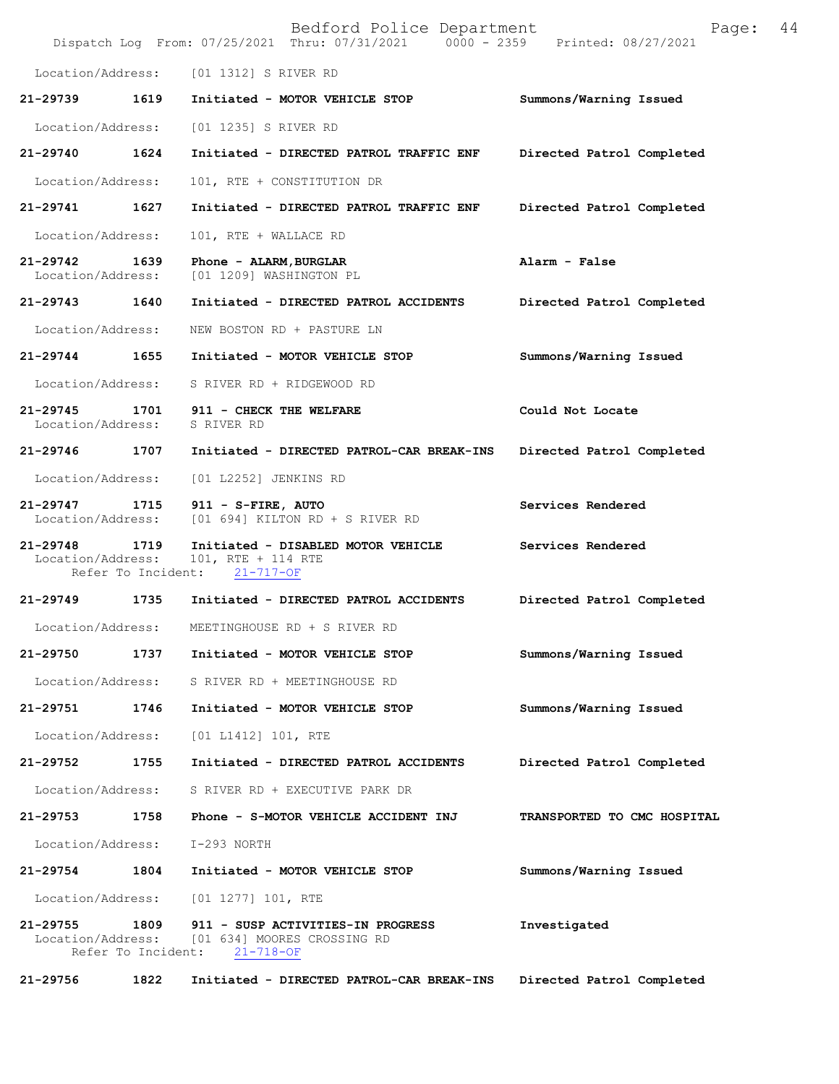|                               |                            | Bedford Police Department<br>Dispatch Log From: 07/25/2021 Thru: 07/31/2021 0000 - 2359 Printed: 08/27/2021 | 44<br>Page:                 |
|-------------------------------|----------------------------|-------------------------------------------------------------------------------------------------------------|-----------------------------|
| Location/Address:             |                            | [01 1312] S RIVER RD                                                                                        |                             |
| 21-29739                      | 1619                       | Initiated - MOTOR VEHICLE STOP                                                                              | Summons/Warning Issued      |
| Location/Address:             |                            | [01 1235] S RIVER RD                                                                                        |                             |
| 21-29740                      | 1624                       | Initiated - DIRECTED PATROL TRAFFIC ENF                                                                     | Directed Patrol Completed   |
| Location/Address:             |                            | 101, RTE + CONSTITUTION DR                                                                                  |                             |
| 21-29741                      | 1627                       | Initiated - DIRECTED PATROL TRAFFIC ENF                                                                     | Directed Patrol Completed   |
| Location/Address:             |                            | 101, RTE + WALLACE RD                                                                                       |                             |
| 21-29742<br>Location/Address: | 1639                       | Phone - ALARM, BURGLAR<br>[01 1209] WASHINGTON PL                                                           | Alarm - False               |
| 21-29743                      | 1640                       | Initiated - DIRECTED PATROL ACCIDENTS                                                                       | Directed Patrol Completed   |
| Location/Address:             |                            | NEW BOSTON RD + PASTURE LN                                                                                  |                             |
| $21 - 29744$                  | 1655                       | Initiated - MOTOR VEHICLE STOP                                                                              | Summons/Warning Issued      |
| Location/Address:             |                            | S RIVER RD + RIDGEWOOD RD                                                                                   |                             |
| 21-29745<br>Location/Address: | 1701                       | 911 - CHECK THE WELFARE<br>S RIVER RD                                                                       | Could Not Locate            |
| 21-29746                      | 1707                       | Initiated - DIRECTED PATROL-CAR BREAK-INS                                                                   | Directed Patrol Completed   |
| Location/Address:             |                            | [01 L2252] JENKINS RD                                                                                       |                             |
| 21-29747<br>Location/Address: | 1715                       | 911 - S-FIRE, AUTO<br>$[01 694]$ KILTON RD + S RIVER RD                                                     | Services Rendered           |
| 21-29748<br>Location/Address: | 1719<br>Refer To Incident: | Initiated - DISABLED MOTOR VEHICLE<br>101, RTE + 114 RTE<br>$21 - 717 - OF$                                 | Services Rendered           |
| 21-29749                      | 1735                       | Initiated - DIRECTED PATROL ACCIDENTS                                                                       | Directed Patrol Completed   |
| Location/Address:             |                            | MEETINGHOUSE RD + S RIVER RD                                                                                |                             |
| 21-29750                      | 1737                       | Initiated - MOTOR VEHICLE STOP                                                                              | Summons/Warning Issued      |
| Location/Address:             |                            | S RIVER RD + MEETINGHOUSE RD                                                                                |                             |
| 21-29751                      | 1746                       | Initiated - MOTOR VEHICLE STOP                                                                              | Summons/Warning Issued      |
| Location/Address:             |                            | [01 L1412] 101, RTE                                                                                         |                             |
| 21-29752                      | 1755                       | Initiated - DIRECTED PATROL ACCIDENTS                                                                       | Directed Patrol Completed   |
| Location/Address:             |                            | S RIVER RD + EXECUTIVE PARK DR                                                                              |                             |
| 21-29753                      | 1758                       | Phone - S-MOTOR VEHICLE ACCIDENT INJ                                                                        | TRANSPORTED TO CMC HOSPITAL |
| Location/Address:             |                            | I-293 NORTH                                                                                                 |                             |
| 21-29754                      | 1804                       | Initiated - MOTOR VEHICLE STOP                                                                              | Summons/Warning Issued      |
| Location/Address:             |                            | $[01 1277] 101$ , RTE                                                                                       |                             |
| 21-29755<br>Location/Address: | 1809<br>Refer To Incident: | 911 - SUSP ACTIVITIES-IN PROGRESS<br>[01 634] MOORES CROSSING RD<br>$21 - 718 - OF$                         | Investigated                |
| 21-29756                      | 1822                       | Initiated - DIRECTED PATROL-CAR BREAK-INS                                                                   | Directed Patrol Completed   |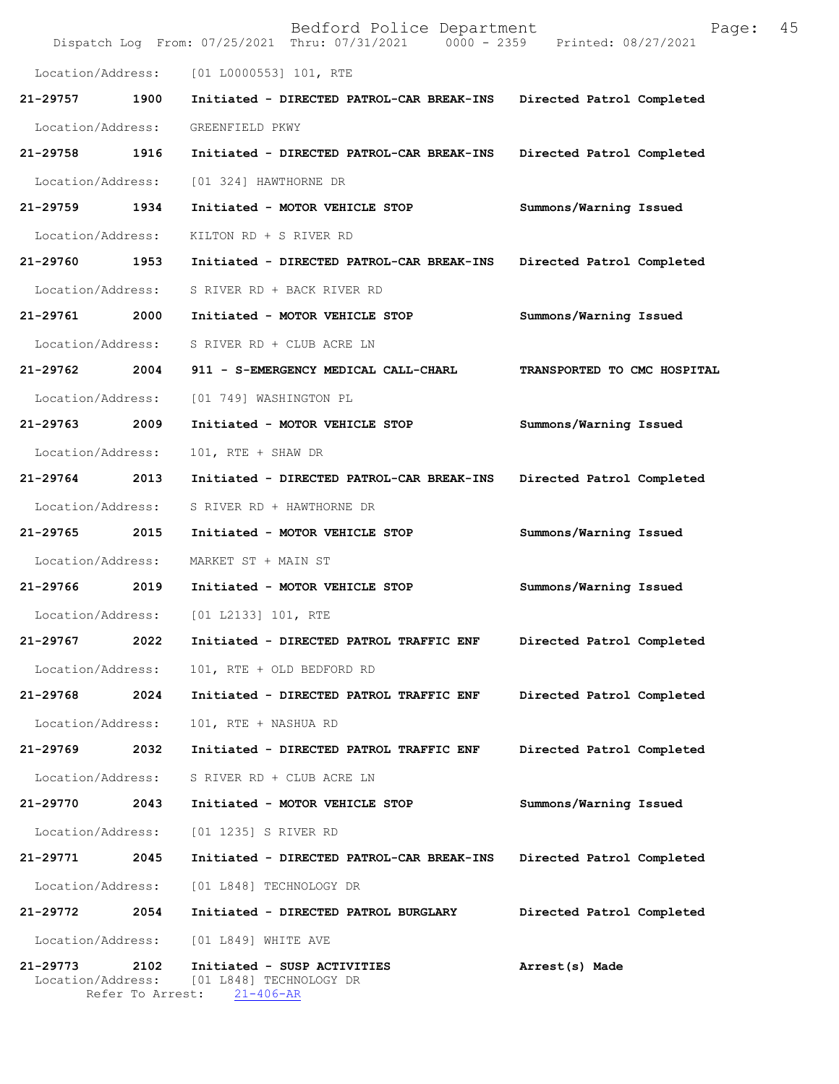|                               |                          | Bedford Police Department<br>Dispatch Log From: 07/25/2021 Thru: 07/31/2021 0000 - 2359 Printed: 08/27/2021 | 45<br>Page:                 |
|-------------------------------|--------------------------|-------------------------------------------------------------------------------------------------------------|-----------------------------|
| Location/Address:             |                          | [01 L0000553] 101, RTE                                                                                      |                             |
| 21-29757                      | 1900                     | Initiated - DIRECTED PATROL-CAR BREAK-INS                                                                   | Directed Patrol Completed   |
| Location/Address:             |                          | GREENFIELD PKWY                                                                                             |                             |
| 21-29758                      | 1916                     | Initiated - DIRECTED PATROL-CAR BREAK-INS                                                                   | Directed Patrol Completed   |
| Location/Address:             |                          | [01 324] HAWTHORNE DR                                                                                       |                             |
| 21-29759                      | 1934                     | Initiated - MOTOR VEHICLE STOP                                                                              | Summons/Warning Issued      |
| Location/Address:             |                          | KILTON RD + S RIVER RD                                                                                      |                             |
| 21-29760                      | 1953                     | Initiated - DIRECTED PATROL-CAR BREAK-INS                                                                   | Directed Patrol Completed   |
| Location/Address:             |                          | S RIVER RD + BACK RIVER RD                                                                                  |                             |
| 21-29761                      | 2000                     | Initiated - MOTOR VEHICLE STOP                                                                              | Summons/Warning Issued      |
| Location/Address:             |                          | S RIVER RD + CLUB ACRE LN                                                                                   |                             |
| 21-29762                      | 2004                     | 911 - S-EMERGENCY MEDICAL CALL-CHARL                                                                        | TRANSPORTED TO CMC HOSPITAL |
| Location/Address:             |                          | [01 749] WASHINGTON PL                                                                                      |                             |
| 21-29763                      | 2009                     | Initiated - MOTOR VEHICLE STOP                                                                              | Summons/Warning Issued      |
| Location/Address:             |                          | 101, RTE + SHAW DR                                                                                          |                             |
| 21-29764                      | 2013                     | Initiated - DIRECTED PATROL-CAR BREAK-INS                                                                   | Directed Patrol Completed   |
| Location/Address:             |                          | S RIVER RD + HAWTHORNE DR                                                                                   |                             |
| 21-29765                      | 2015                     | Initiated - MOTOR VEHICLE STOP                                                                              | Summons/Warning Issued      |
| Location/Address:             |                          | MARKET ST + MAIN ST                                                                                         |                             |
| 21-29766                      | 2019                     | Initiated - MOTOR VEHICLE STOP                                                                              | Summons/Warning Issued      |
| Location/Address:             |                          | [01 L2133] 101, RTE                                                                                         |                             |
| 21-29767                      | 2022                     | Initiated - DIRECTED PATROL TRAFFIC ENF                                                                     | Directed Patrol Completed   |
| Location/Address:             |                          | 101, RTE + OLD BEDFORD RD                                                                                   |                             |
| 21-29768                      | 2024                     | Initiated - DIRECTED PATROL TRAFFIC ENF                                                                     | Directed Patrol Completed   |
| Location/Address:             |                          | 101, RTE + NASHUA RD                                                                                        |                             |
| 21-29769                      | 2032                     | Initiated - DIRECTED PATROL TRAFFIC ENF                                                                     | Directed Patrol Completed   |
| Location/Address:             |                          | S RIVER RD + CLUB ACRE LN                                                                                   |                             |
| 21-29770                      | 2043                     | Initiated - MOTOR VEHICLE STOP                                                                              | Summons/Warning Issued      |
| Location/Address:             |                          | [01 1235] S RIVER RD                                                                                        |                             |
| 21-29771                      | 2045                     | Initiated - DIRECTED PATROL-CAR BREAK-INS                                                                   | Directed Patrol Completed   |
| Location/Address:             |                          | [01 L848] TECHNOLOGY DR                                                                                     |                             |
| 21-29772                      | 2054                     | Initiated - DIRECTED PATROL BURGLARY                                                                        | Directed Patrol Completed   |
| Location/Address:             |                          | [01 L849] WHITE AVE                                                                                         |                             |
| 21-29773<br>Location/Address: | 2102<br>Refer To Arrest: | Initiated - SUSP ACTIVITIES<br>[01 L848] TECHNOLOGY DR<br>$21 - 406 - AR$                                   | Arrest(s) Made              |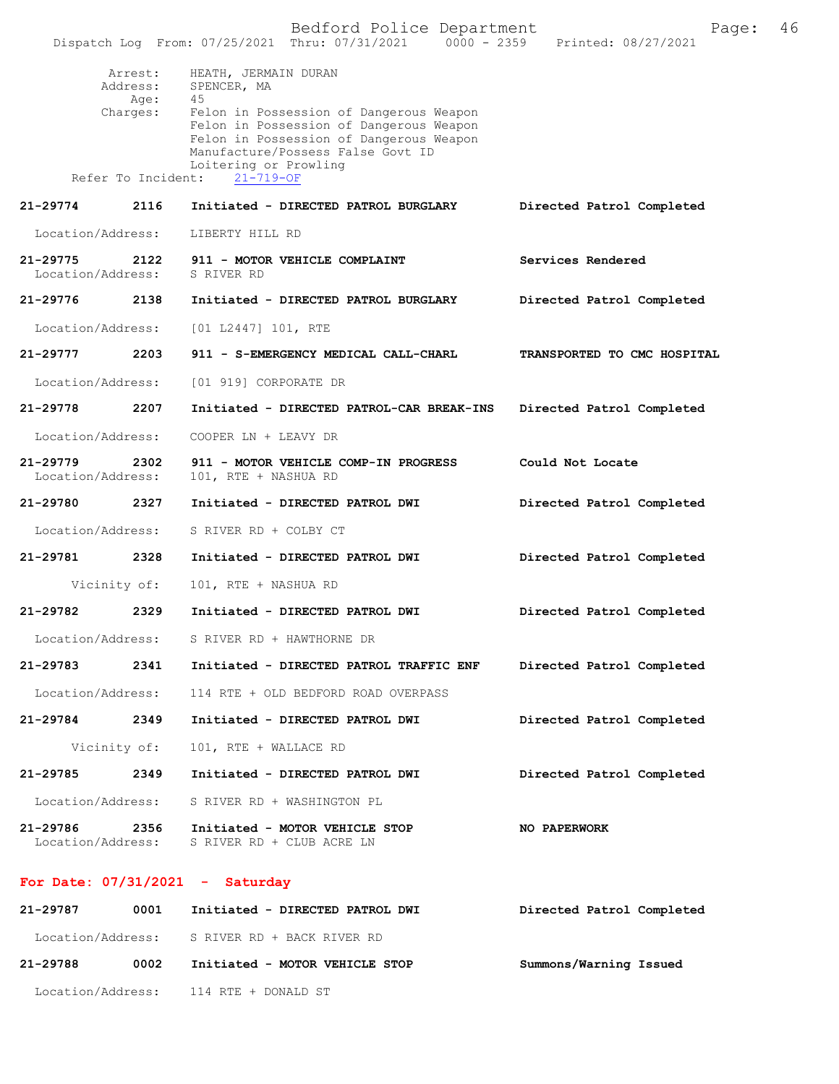|                               |                                         | Dispatch Log From: 07/25/2021 Thru: 07/31/2021<br>$0000 - 2359$                                                                                                                                                                          | Printed: 08/27/2021         |
|-------------------------------|-----------------------------------------|------------------------------------------------------------------------------------------------------------------------------------------------------------------------------------------------------------------------------------------|-----------------------------|
|                               | Arrest:<br>Address:<br>Age:<br>Charges: | HEATH, JERMAIN DURAN<br>SPENCER, MA<br>45<br>Felon in Possession of Dangerous Weapon<br>Felon in Possession of Dangerous Weapon<br>Felon in Possession of Dangerous Weapon<br>Manufacture/Possess False Govt ID<br>Loitering or Prowling |                             |
|                               |                                         | Refer To Incident: 21-719-OF                                                                                                                                                                                                             |                             |
| 21-29774                      | 2116                                    | Initiated - DIRECTED PATROL BURGLARY                                                                                                                                                                                                     | Directed Patrol Completed   |
| Location/Address:             |                                         | LIBERTY HILL RD                                                                                                                                                                                                                          |                             |
| 21-29775<br>Location/Address: | 2122                                    | 911 - MOTOR VEHICLE COMPLAINT<br>S RIVER RD                                                                                                                                                                                              | Services Rendered           |
| 21-29776                      | 2138                                    | Initiated - DIRECTED PATROL BURGLARY                                                                                                                                                                                                     | Directed Patrol Completed   |
| Location/Address:             |                                         | [01 L2447] 101, RTE                                                                                                                                                                                                                      |                             |
| 21-29777                      | 2203                                    | 911 - S-EMERGENCY MEDICAL CALL-CHARL                                                                                                                                                                                                     | TRANSPORTED TO CMC HOSPITAL |
| Location/Address:             |                                         | [01 919] CORPORATE DR                                                                                                                                                                                                                    |                             |
| 21-29778                      | 2207                                    | Initiated - DIRECTED PATROL-CAR BREAK-INS                                                                                                                                                                                                | Directed Patrol Completed   |
| Location/Address:             |                                         | COOPER LN + LEAVY DR                                                                                                                                                                                                                     |                             |
| 21-29779<br>Location/Address: | 2302                                    | 911 - MOTOR VEHICLE COMP-IN PROGRESS<br>101, RTE + NASHUA RD                                                                                                                                                                             | Could Not Locate            |
| 21-29780                      | 2327                                    | Initiated - DIRECTED PATROL DWI                                                                                                                                                                                                          | Directed Patrol Completed   |
| Location/Address:             |                                         | S RIVER RD + COLBY CT                                                                                                                                                                                                                    |                             |
| 21-29781                      | 2328                                    | Initiated - DIRECTED PATROL DWI                                                                                                                                                                                                          | Directed Patrol Completed   |
|                               | Vicinity of:                            | 101, RTE + NASHUA RD                                                                                                                                                                                                                     |                             |
| 21-29782                      | 2329                                    | Initiated - DIRECTED PATROL DWI                                                                                                                                                                                                          | Directed Patrol Completed   |
| Location/Address:             |                                         | S RIVER RD + HAWTHORNE DR                                                                                                                                                                                                                |                             |
| 21-29783                      | 2341                                    | Initiated - DIRECTED PATROL TRAFFIC ENF                                                                                                                                                                                                  | Directed Patrol Completed   |
|                               |                                         | Location/Address: 114 RTE + OLD BEDFORD ROAD OVERPASS                                                                                                                                                                                    |                             |
| 21-29784                      | 2349                                    | Initiated - DIRECTED PATROL DWI                                                                                                                                                                                                          | Directed Patrol Completed   |
|                               | Vicinity of:                            | 101, RTE + WALLACE RD                                                                                                                                                                                                                    |                             |
| 21-29785                      | 2349                                    | Initiated - DIRECTED PATROL DWI                                                                                                                                                                                                          | Directed Patrol Completed   |
|                               |                                         | Location/Address: S RIVER RD + WASHINGTON PL                                                                                                                                                                                             |                             |
| 21-29786                      | 2356<br>Location/Address:               | Initiated - MOTOR VEHICLE STOP<br>S RIVER RD + CLUB ACRE LN                                                                                                                                                                              | NO PAPERWORK                |
|                               | 07/21/0001                              |                                                                                                                                                                                                                                          |                             |

## **For Date: 07/31/2021 - Saturday**

| 21-29787 | 0001 | Initiated - DIRECTED PATROL DWI              | Directed Patrol Completed |
|----------|------|----------------------------------------------|---------------------------|
|          |      | Location/Address: S RIVER RD + BACK RIVER RD |                           |
| 21-29788 | 0002 | Initiated - MOTOR VEHICLE STOP               | Summons/Warning Issued    |
|          |      | Location/Address: 114 RTE + DONALD ST        |                           |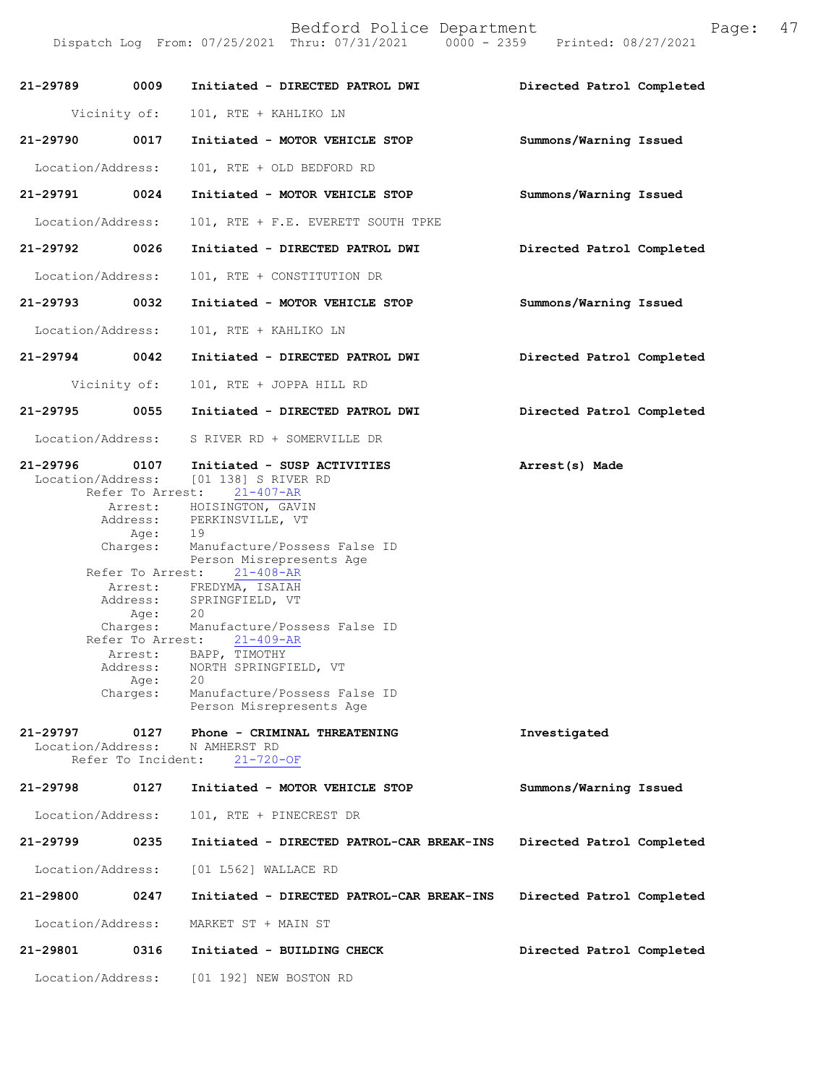Dispatch Log From: 07/25/2021 Thru: 07/31/2021 0000 - 2359 Printed: 08/27/2021

| 21-29789                      | 0009                                                                                                     | Initiated - DIRECTED PATROL DWI                                                                                                                                                                                                                                                                                                                                                                                                                                                                | Directed Patrol Completed |
|-------------------------------|----------------------------------------------------------------------------------------------------------|------------------------------------------------------------------------------------------------------------------------------------------------------------------------------------------------------------------------------------------------------------------------------------------------------------------------------------------------------------------------------------------------------------------------------------------------------------------------------------------------|---------------------------|
| Vicinity of:                  |                                                                                                          | 101, RTE + KAHLIKO LN                                                                                                                                                                                                                                                                                                                                                                                                                                                                          |                           |
| 21-29790                      | 0017                                                                                                     | Initiated - MOTOR VEHICLE STOP                                                                                                                                                                                                                                                                                                                                                                                                                                                                 | Summons/Warning Issued    |
| Location/Address:             |                                                                                                          | 101, RTE + OLD BEDFORD RD                                                                                                                                                                                                                                                                                                                                                                                                                                                                      |                           |
| 21-29791                      | 0024                                                                                                     | Initiated - MOTOR VEHICLE STOP                                                                                                                                                                                                                                                                                                                                                                                                                                                                 | Summons/Warning Issued    |
| Location/Address:             |                                                                                                          | 101, RTE + F.E. EVERETT SOUTH TPKE                                                                                                                                                                                                                                                                                                                                                                                                                                                             |                           |
| $21 - 29792$                  | 0026                                                                                                     | Initiated - DIRECTED PATROL DWI                                                                                                                                                                                                                                                                                                                                                                                                                                                                | Directed Patrol Completed |
| Location/Address:             |                                                                                                          | 101, RTE + CONSTITUTION DR                                                                                                                                                                                                                                                                                                                                                                                                                                                                     |                           |
| 21-29793                      | 0032                                                                                                     | Initiated - MOTOR VEHICLE STOP                                                                                                                                                                                                                                                                                                                                                                                                                                                                 | Summons/Warning Issued    |
| Location/Address:             |                                                                                                          | 101, RTE + KAHLIKO LN                                                                                                                                                                                                                                                                                                                                                                                                                                                                          |                           |
| 21-29794                      | 0042                                                                                                     | Initiated - DIRECTED PATROL DWI                                                                                                                                                                                                                                                                                                                                                                                                                                                                | Directed Patrol Completed |
| Vicinity of:                  |                                                                                                          | 101, RTE + JOPPA HILL RD                                                                                                                                                                                                                                                                                                                                                                                                                                                                       |                           |
| 21-29795                      | 0055                                                                                                     | Initiated - DIRECTED PATROL DWI                                                                                                                                                                                                                                                                                                                                                                                                                                                                | Directed Patrol Completed |
| Location/Address:             |                                                                                                          | S RIVER RD + SOMERVILLE DR                                                                                                                                                                                                                                                                                                                                                                                                                                                                     |                           |
| 21-29796                      | 0107<br>Refer To Arrest:<br>Age:<br>Charges:<br>Refer To Arrest:<br>Age:<br>Address:<br>Age:<br>Charges: | Initiated - SUSP ACTIVITIES<br>Location/Address: [01 138] S RIVER RD<br>$21 - 407 - AR$<br>Arrest: HOISINGTON, GAVIN<br>Address: PERKINSVILLE, VT<br>19<br>Manufacture/Possess False ID<br>Person Misrepresents Age<br>$21 - 408 - AR$<br>Arrest: FREDYMA, ISAIAH<br>Address: SPRINGFIELD, VT<br>20<br>Charges: Manufacture/Possess False ID<br>Refer To Arrest: 21-409-AR<br>Arrest: BAPP, TIMOTHY<br>NORTH SPRINGFIELD, VT<br>20<br>Manufacture/Possess False ID<br>Person Misrepresents Age | Arrest(s) Made            |
| 21-29797<br>Location/Address: | 0127<br>Refer To Incident:                                                                               | Phone - CRIMINAL THREATENING<br>N AMHERST RD<br>$21 - 720 - OF$                                                                                                                                                                                                                                                                                                                                                                                                                                | Investigated              |
| 21-29798                      | 0127                                                                                                     | Initiated - MOTOR VEHICLE STOP                                                                                                                                                                                                                                                                                                                                                                                                                                                                 | Summons/Warning Issued    |
| Location/Address:             |                                                                                                          | 101, RTE + PINECREST DR                                                                                                                                                                                                                                                                                                                                                                                                                                                                        |                           |
| 21-29799                      | 0235                                                                                                     | Initiated - DIRECTED PATROL-CAR BREAK-INS                                                                                                                                                                                                                                                                                                                                                                                                                                                      | Directed Patrol Completed |
| Location/Address:             |                                                                                                          | [01 L562] WALLACE RD                                                                                                                                                                                                                                                                                                                                                                                                                                                                           |                           |
| 21-29800                      | 0247                                                                                                     | Initiated - DIRECTED PATROL-CAR BREAK-INS                                                                                                                                                                                                                                                                                                                                                                                                                                                      | Directed Patrol Completed |
| Location/Address:             |                                                                                                          | MARKET ST + MAIN ST                                                                                                                                                                                                                                                                                                                                                                                                                                                                            |                           |
| 21-29801                      | 0316                                                                                                     | Initiated - BUILDING CHECK                                                                                                                                                                                                                                                                                                                                                                                                                                                                     | Directed Patrol Completed |
| Location/Address:             |                                                                                                          | [01 192] NEW BOSTON RD                                                                                                                                                                                                                                                                                                                                                                                                                                                                         |                           |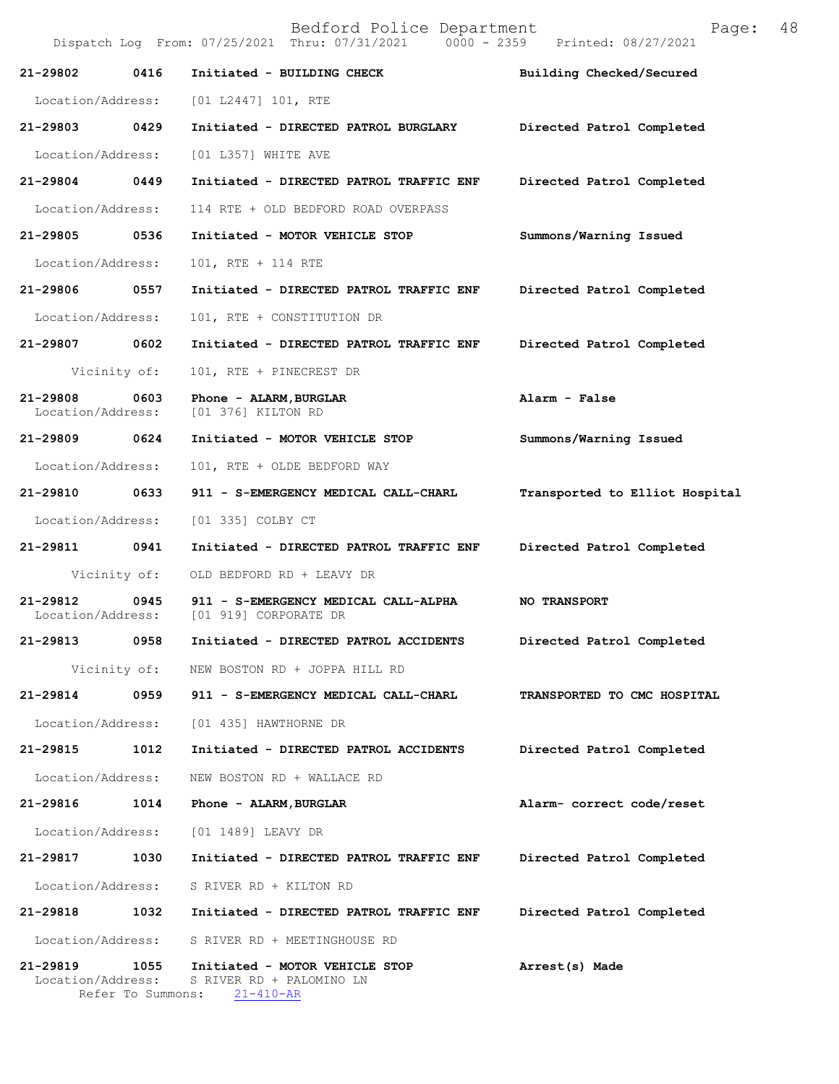Bedford Police Department Page: 48 Dispatch Log From: 07/25/2021 Thru: 07/31/2021 **21-29802 0416 Initiated - BUILDING CHECK Building Checked/Secured**  Location/Address: [01 L2447] 101, RTE **21-29803 0429 Initiated - DIRECTED PATROL BURGLARY Directed Patrol Completed**  Location/Address: [01 L357] WHITE AVE **21-29804 0449 Initiated - DIRECTED PATROL TRAFFIC ENF Directed Patrol Completed**  Location/Address: 114 RTE + OLD BEDFORD ROAD OVERPASS **21-29805 0536 Initiated - MOTOR VEHICLE STOP Summons/Warning Issued**  Location/Address: 101, RTE + 114 RTE **21-29806 0557 Initiated - DIRECTED PATROL TRAFFIC ENF Directed Patrol Completed**  Location/Address: 101, RTE + CONSTITUTION DR **21-29807 0602 Initiated - DIRECTED PATROL TRAFFIC ENF Directed Patrol Completed**  Vicinity of: 101, RTE + PINECREST DR **21-29808 0603 Phone - ALARM,BURGLAR Alarm - False**  Location/Address: [01 376] KILTON RD **21-29809 0624 Initiated - MOTOR VEHICLE STOP Summons/Warning Issued**  Location/Address: 101, RTE + OLDE BEDFORD WAY **21-29810 0633 911 - S-EMERGENCY MEDICAL CALL-CHARL Transported to Elliot Hospital** Location/Address: [01 335] COLBY CT **21-29811 0941 Initiated - DIRECTED PATROL TRAFFIC ENF Directed Patrol Completed**  Vicinity of: OLD BEDFORD RD + LEAVY DR **21-29812 0945 911 - S-EMERGENCY MEDICAL CALL-ALPHA NO TRANSPORT**  Location/Address: [01 919] CORPORATE DR **21-29813 0958 Initiated - DIRECTED PATROL ACCIDENTS Directed Patrol Completed**  Vicinity of: NEW BOSTON RD + JOPPA HILL RD **21-29814 0959 911 - S-EMERGENCY MEDICAL CALL-CHARL TRANSPORTED TO CMC HOSPITAL**  Location/Address: [01 435] HAWTHORNE DR **21-29815 1012 Initiated - DIRECTED PATROL ACCIDENTS Directed Patrol Completed**  Location/Address: NEW BOSTON RD + WALLACE RD **21-29816 1014 Phone - ALARM,BURGLAR Alarm- correct code/reset**  Location/Address: [01 1489] LEAVY DR **21-29817 1030 Initiated - DIRECTED PATROL TRAFFIC ENF Directed Patrol Completed**  Location/Address: S RIVER RD + KILTON RD **21-29818 1032 Initiated - DIRECTED PATROL TRAFFIC ENF Directed Patrol Completed**  Location/Address: S RIVER RD + MEETINGHOUSE RD **21-29819 1055 Initiated - MOTOR VEHICLE STOP Arrest(s) Made**  S RIVER RD + PALOMINO LN Refer To Summons: 21-410-AR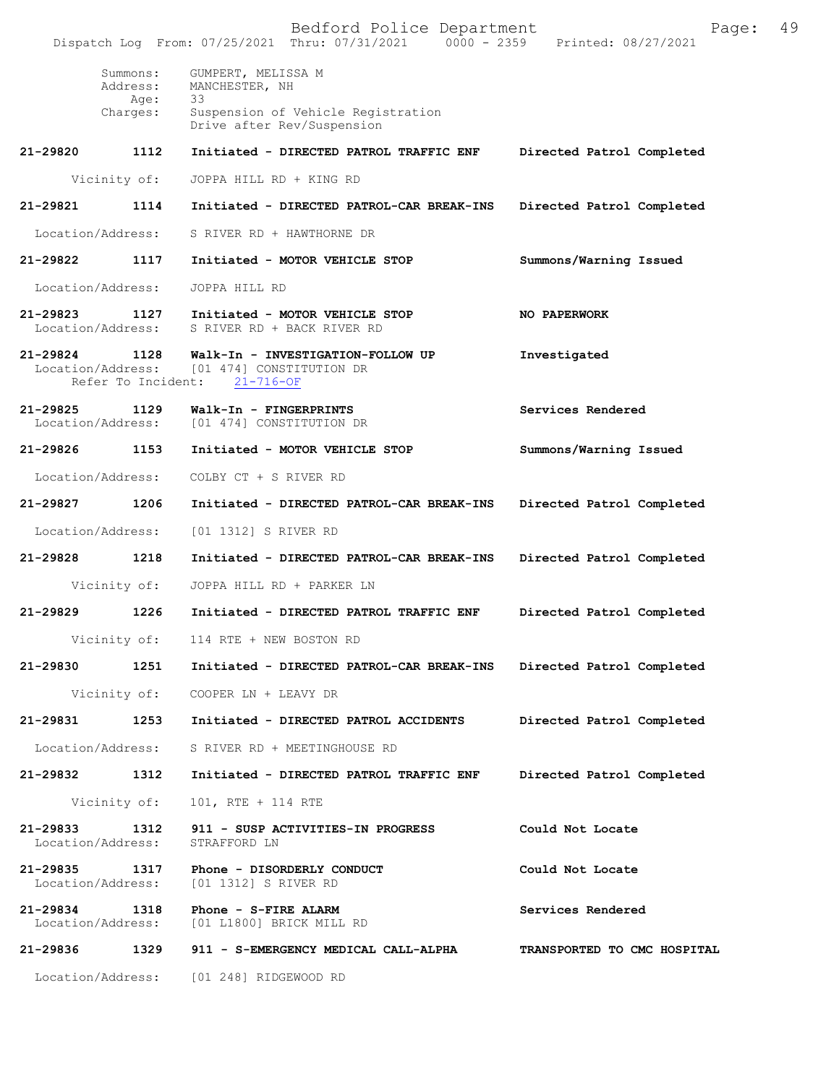**21-29824 1128 Walk-In - INVESTIGATION-FOLLOW UP Investigated**  Location/Address: [01 474] CONSTITUTION DR<br>Refer To Incident: 21-716-OF Refer To Incident: **21-29825 1129 Walk-In - FINGERPRINTS Services Rendered**  [01 474] CONSTITUTION DR **21-29826 1153 Initiated - MOTOR VEHICLE STOP Summons/Warning Issued**  Location/Address: COLBY CT + S RIVER RD **21-29827 1206 Initiated - DIRECTED PATROL-CAR BREAK-INS Directed Patrol Completed**  Location/Address: [01 1312] S RIVER RD **21-29828 1218 Initiated - DIRECTED PATROL-CAR BREAK-INS Directed Patrol Completed**  Vicinity of: JOPPA HILL RD + PARKER LN **21-29829 1226 Initiated - DIRECTED PATROL TRAFFIC ENF Directed Patrol Completed**  Vicinity of: 114 RTE + NEW BOSTON RD **21-29830 1251 Initiated - DIRECTED PATROL-CAR BREAK-INS Directed Patrol Completed**  Vicinity of: COOPER LN + LEAVY DR **21-29831 1253 Initiated - DIRECTED PATROL ACCIDENTS Directed Patrol Completed**  Location/Address: S RIVER RD + MEETINGHOUSE RD **21-29832 1312 Initiated - DIRECTED PATROL TRAFFIC ENF Directed Patrol Completed**  Vicinity of: 101, RTE + 114 RTE **21-29833 1312 911 - SUSP ACTIVITIES-IN PROGRESS Could Not Locate**  Location/Address: **21-29835 1317 Phone - DISORDERLY CONDUCT Could Not Locate**  Location/Address: [01 1312] S RIVER RD **21-29834 1318 Phone - S-FIRE ALARM Services Rendered**  Location/Address: [01 L1800] BRICK MILL RD **21-29836 1329 911 - S-EMERGENCY MEDICAL CALL-ALPHA TRANSPORTED TO CMC HOSPITAL**  Location/Address: [01 248] RIDGEWOOD RD Bedford Police Department Page: 49 Dispatch Log From: 07/25/2021 Thru: 07/31/2021 Summons: GUMPERT, MELISSA M Address: MANCHESTER, NH Age:<br>Charges: Suspension of Vehicle Registration Drive after Rev/Suspension **21-29820 1112 Initiated - DIRECTED PATROL TRAFFIC ENF Directed Patrol Completed** Vicinity of: JOPPA HILL RD + KING RD **21-29821 1114 Initiated - DIRECTED PATROL-CAR BREAK-INS Directed Patrol Completed** Location/Address: S RIVER RD + HAWTHORNE DR **21-29822 1117 Initiated - MOTOR VEHICLE STOP Summons/Warning Issued** Location/Address: JOPPA HILL RD **21-29823 1127 Initiated - MOTOR VEHICLE STOP NO PAPERWORK** Location/Address: S RIVER RD + BACK RIVER RD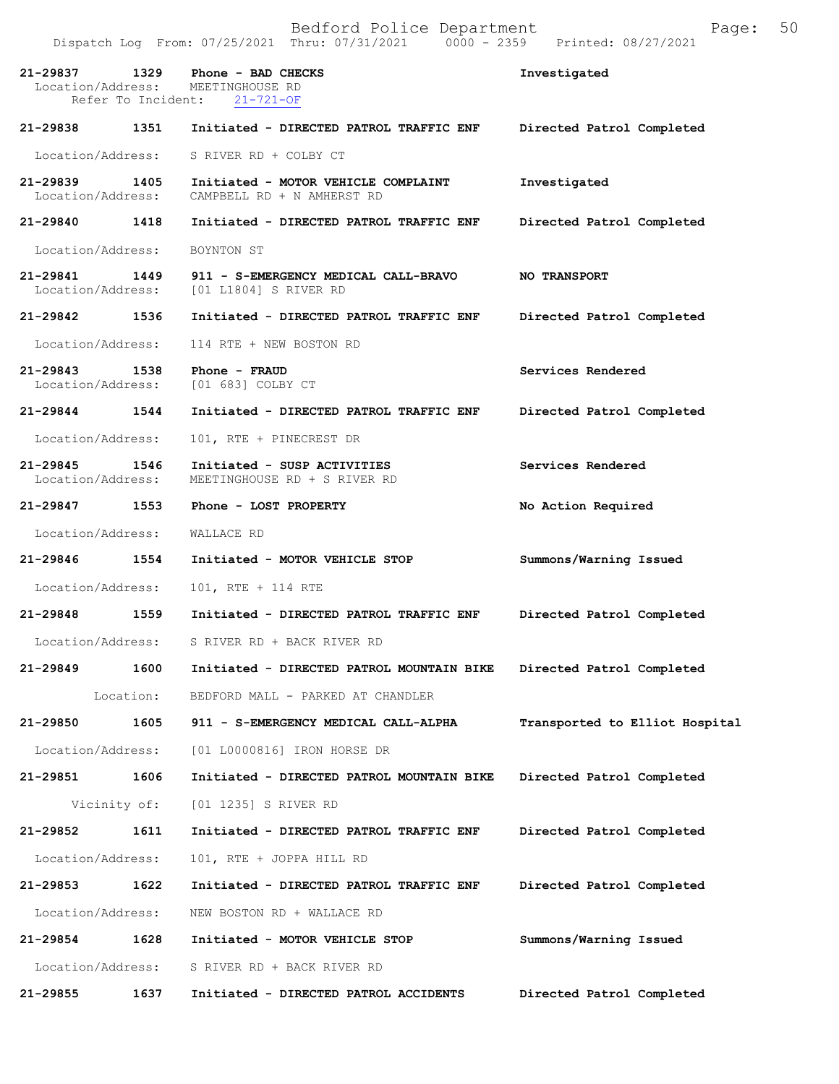|                                   |                            | Dispatch Log From: 07/25/2021 Thru: 07/31/2021<br>$0000 - 2359$   | Printed: 08/27/2021            |
|-----------------------------------|----------------------------|-------------------------------------------------------------------|--------------------------------|
| 21-29837<br>Location/Address:     | 1329<br>Refer To Incident: | Phone - BAD CHECKS<br>MEETINGHOUSE RD<br>$21 - 721 - OF$          | Investigated                   |
| 21-29838                          | 1351                       | Initiated - DIRECTED PATROL TRAFFIC ENF                           | Directed Patrol Completed      |
| Location/Address:                 |                            | S RIVER RD + COLBY CT                                             |                                |
| $21 - 29839$<br>Location/Address: | 1405                       | Initiated - MOTOR VEHICLE COMPLAINT<br>CAMPBELL RD + N AMHERST RD | Investigated                   |
| 21-29840                          | 1418                       | Initiated - DIRECTED PATROL TRAFFIC ENF                           | Directed Patrol Completed      |
| Location/Address:                 |                            | BOYNTON ST                                                        |                                |
| 21-29841<br>Location/Address:     | 1449                       | 911 - S-EMERGENCY MEDICAL CALL-BRAVO<br>[01 L1804] S RIVER RD     | <b>NO TRANSPORT</b>            |
| 21-29842                          | 1536                       | Initiated - DIRECTED PATROL TRAFFIC ENF                           | Directed Patrol Completed      |
| Location/Address:                 |                            | 114 RTE + NEW BOSTON RD                                           |                                |
| 21-29843<br>Location/Address:     | 1538                       | Phone - FRAUD<br>[01 683] COLBY CT                                | Services Rendered              |
| 21-29844                          | 1544                       | Initiated - DIRECTED PATROL TRAFFIC ENF                           | Directed Patrol Completed      |
| Location/Address:                 |                            | 101, RTE + PINECREST DR                                           |                                |
| $21 - 29845$<br>Location/Address: | 1546                       | Initiated - SUSP ACTIVITIES<br>MEETINGHOUSE RD + S RIVER RD       | Services Rendered              |
| 21-29847                          | 1553                       | Phone - LOST PROPERTY                                             | No Action Required             |
| Location/Address:                 |                            | WALLACE RD                                                        |                                |
| 21-29846                          | 1554                       | Initiated - MOTOR VEHICLE STOP                                    | Summons/Warning Issued         |
| Location/Address:                 |                            | 101, RTE + 114 RTE                                                |                                |
| 21-29848                          | 1559                       | Initiated - DIRECTED PATROL TRAFFIC ENF                           | Directed Patrol Completed      |
| Location/Address:                 |                            | S RIVER RD + BACK RIVER RD                                        |                                |
| 21-29849                          | 1600                       | Initiated - DIRECTED PATROL MOUNTAIN BIKE                         | Directed Patrol Completed      |
|                                   | Location:                  | BEDFORD MALL - PARKED AT CHANDLER                                 |                                |
| $21 - 29850$                      | 1605                       | 911 - S-EMERGENCY MEDICAL CALL-ALPHA                              | Transported to Elliot Hospital |
| Location/Address:                 |                            | [01 L0000816] IRON HORSE DR                                       |                                |
| 21-29851                          | 1606                       | Initiated - DIRECTED PATROL MOUNTAIN BIKE                         | Directed Patrol Completed      |
| Vicinity of:                      |                            | [01 1235] S RIVER RD                                              |                                |
| 21-29852                          | 1611                       | Initiated - DIRECTED PATROL TRAFFIC ENF                           | Directed Patrol Completed      |
| Location/Address:                 |                            | 101, RTE + JOPPA HILL RD                                          |                                |
| 21-29853                          | 1622                       | Initiated - DIRECTED PATROL TRAFFIC ENF                           | Directed Patrol Completed      |
| Location/Address:                 |                            | NEW BOSTON RD + WALLACE RD                                        |                                |
| 21-29854                          | 1628                       | Initiated - MOTOR VEHICLE STOP                                    | Summons/Warning Issued         |
| Location/Address:                 |                            | S RIVER RD + BACK RIVER RD                                        |                                |
| 21-29855                          | 1637                       | Initiated - DIRECTED PATROL ACCIDENTS                             | Directed Patrol Completed      |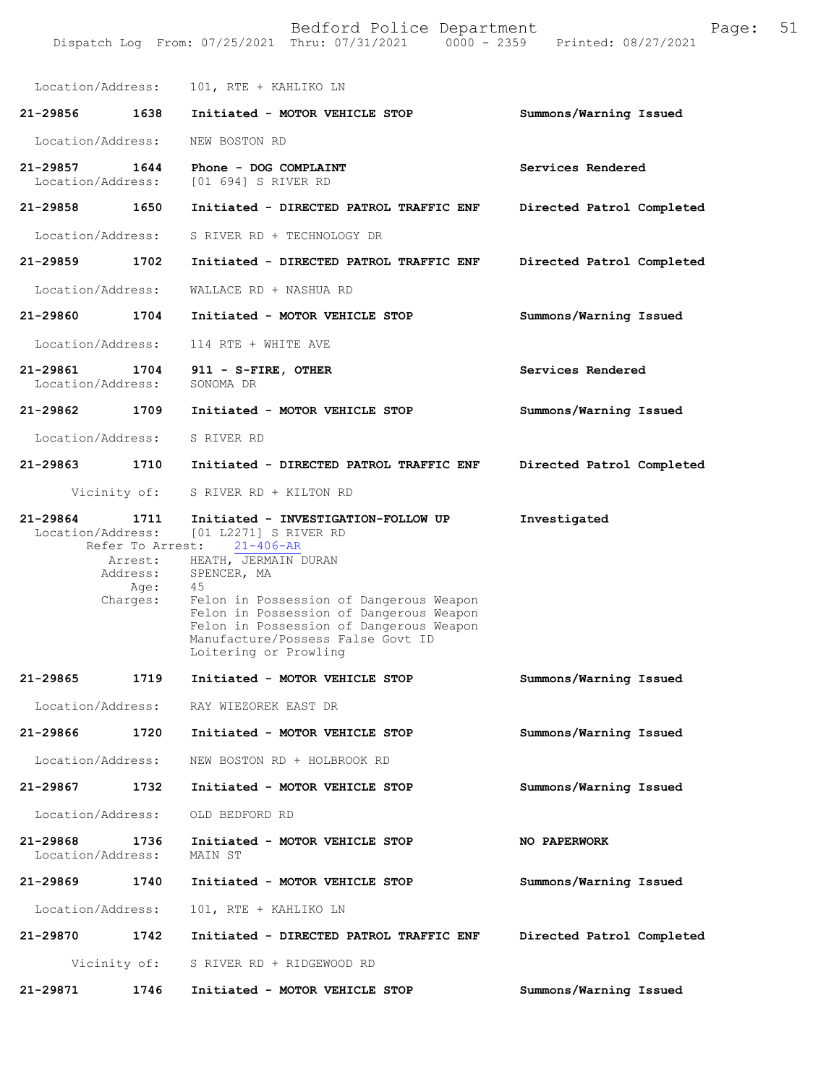| Location/Address:             |                                                                     | 101, RTE + KAHLIKO LN                                                                                                                                                                                                                                                                                                                         |                           |
|-------------------------------|---------------------------------------------------------------------|-----------------------------------------------------------------------------------------------------------------------------------------------------------------------------------------------------------------------------------------------------------------------------------------------------------------------------------------------|---------------------------|
| 21-29856                      | 1638                                                                | Initiated - MOTOR VEHICLE STOP                                                                                                                                                                                                                                                                                                                | Summons/Warning Issued    |
| Location/Address:             |                                                                     | NEW BOSTON RD                                                                                                                                                                                                                                                                                                                                 |                           |
| 21-29857<br>Location/Address: | 1644                                                                | Phone - DOG COMPLAINT<br>[01 694] S RIVER RD                                                                                                                                                                                                                                                                                                  | Services Rendered         |
| 21-29858                      | 1650                                                                | Initiated - DIRECTED PATROL TRAFFIC ENF                                                                                                                                                                                                                                                                                                       | Directed Patrol Completed |
| Location/Address:             |                                                                     | S RIVER RD + TECHNOLOGY DR                                                                                                                                                                                                                                                                                                                    |                           |
| 21-29859                      | 1702                                                                | Initiated - DIRECTED PATROL TRAFFIC ENF                                                                                                                                                                                                                                                                                                       | Directed Patrol Completed |
| Location/Address:             |                                                                     | WALLACE RD + NASHUA RD                                                                                                                                                                                                                                                                                                                        |                           |
| 21-29860                      | 1704                                                                | Initiated - MOTOR VEHICLE STOP                                                                                                                                                                                                                                                                                                                | Summons/Warning Issued    |
| Location/Address:             |                                                                     | 114 RTE + WHITE AVE                                                                                                                                                                                                                                                                                                                           |                           |
| 21-29861<br>Location/Address: | 1704                                                                | 911 - S-FIRE, OTHER<br>SONOMA DR                                                                                                                                                                                                                                                                                                              | Services Rendered         |
| 21-29862                      | 1709                                                                | Initiated - MOTOR VEHICLE STOP                                                                                                                                                                                                                                                                                                                | Summons/Warning Issued    |
| Location/Address:             |                                                                     | S RIVER RD                                                                                                                                                                                                                                                                                                                                    |                           |
| 21-29863 1710                 |                                                                     | Initiated - DIRECTED PATROL TRAFFIC ENF                                                                                                                                                                                                                                                                                                       | Directed Patrol Completed |
|                               | Vicinity of:                                                        | S RIVER RD + KILTON RD                                                                                                                                                                                                                                                                                                                        |                           |
| 21-29864                      | 1711<br>Refer To Arrest:<br>Arrest:<br>Address:<br>Age:<br>Charges: | Initiated - INVESTIGATION-FOLLOW UP<br>Location/Address: [01 L2271] S RIVER RD<br>$21 - 406 - AR$<br>HEATH, JERMAIN DURAN<br>SPENCER, MA<br>45<br>Felon in Possession of Dangerous Weapon<br>Felon in Possession of Dangerous Weapon<br>Felon in Possession of Dangerous Weapon<br>Manufacture/Possess False Govt ID<br>Loitering or Prowling | Investigated              |
| 21-29865                      | 1719                                                                | Initiated - MOTOR VEHICLE STOP                                                                                                                                                                                                                                                                                                                | Summons/Warning Issued    |
|                               |                                                                     | Location/Address: RAY WIEZOREK EAST DR                                                                                                                                                                                                                                                                                                        |                           |
| 21-29866                      | 1720                                                                | Initiated - MOTOR VEHICLE STOP                                                                                                                                                                                                                                                                                                                | Summons/Warning Issued    |
| Location/Address:             |                                                                     | NEW BOSTON RD + HOLBROOK RD                                                                                                                                                                                                                                                                                                                   |                           |
| 21-29867                      | 1732                                                                | Initiated - MOTOR VEHICLE STOP                                                                                                                                                                                                                                                                                                                | Summons/Warning Issued    |
| Location/Address:             |                                                                     | OLD BEDFORD RD                                                                                                                                                                                                                                                                                                                                |                           |
| 21-29868<br>Location/Address: | 1736                                                                | Initiated - MOTOR VEHICLE STOP<br>MAIN ST                                                                                                                                                                                                                                                                                                     | NO PAPERWORK              |
| 21-29869                      | 1740                                                                | Initiated - MOTOR VEHICLE STOP                                                                                                                                                                                                                                                                                                                | Summons/Warning Issued    |
| Location/Address:             |                                                                     | 101, RTE + KAHLIKO LN                                                                                                                                                                                                                                                                                                                         |                           |
| 21-29870                      | 1742                                                                | Initiated - DIRECTED PATROL TRAFFIC ENF                                                                                                                                                                                                                                                                                                       | Directed Patrol Completed |
|                               | Vicinity of:                                                        | S RIVER RD + RIDGEWOOD RD                                                                                                                                                                                                                                                                                                                     |                           |
| 21-29871                      | 1746                                                                | Initiated - MOTOR VEHICLE STOP                                                                                                                                                                                                                                                                                                                | Summons/Warning Issued    |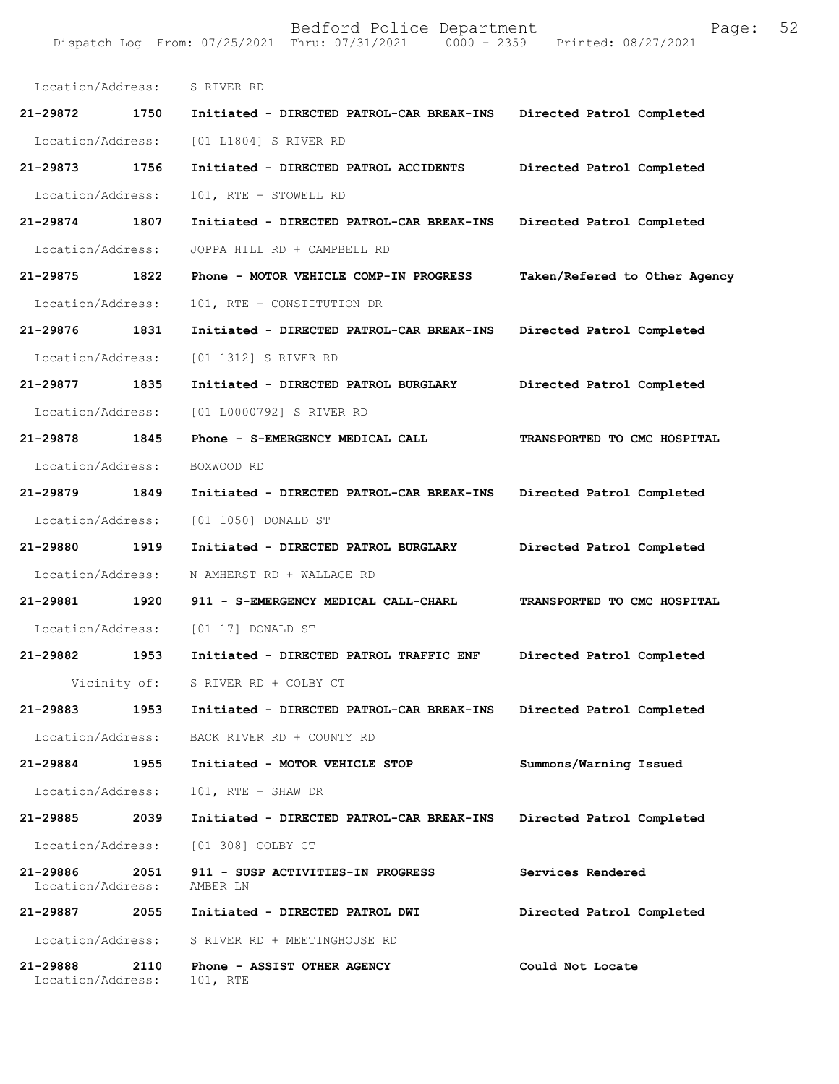| Location/Address:             |      | S RIVER RD                                    |                               |
|-------------------------------|------|-----------------------------------------------|-------------------------------|
| 21-29872                      | 1750 | Initiated - DIRECTED PATROL-CAR BREAK-INS     | Directed Patrol Completed     |
| Location/Address:             |      | [01 L1804] S RIVER RD                         |                               |
| 21-29873                      | 1756 | Initiated - DIRECTED PATROL ACCIDENTS         | Directed Patrol Completed     |
| Location/Address:             |      | 101, RTE + STOWELL RD                         |                               |
| $21 - 29874$                  | 1807 | Initiated - DIRECTED PATROL-CAR BREAK-INS     | Directed Patrol Completed     |
| Location/Address:             |      | JOPPA HILL RD + CAMPBELL RD                   |                               |
| 21-29875                      | 1822 | Phone - MOTOR VEHICLE COMP-IN PROGRESS        | Taken/Refered to Other Agency |
| Location/Address:             |      | 101, RTE + CONSTITUTION DR                    |                               |
| 21-29876                      | 1831 | Initiated - DIRECTED PATROL-CAR BREAK-INS     | Directed Patrol Completed     |
| Location/Address:             |      | [01 1312] S RIVER RD                          |                               |
| 21-29877                      | 1835 | Initiated - DIRECTED PATROL BURGLARY          | Directed Patrol Completed     |
| Location/Address:             |      | [01 L0000792] S RIVER RD                      |                               |
| 21-29878                      | 1845 | Phone - S-EMERGENCY MEDICAL CALL              | TRANSPORTED TO CMC HOSPITAL   |
| Location/Address:             |      | BOXWOOD RD                                    |                               |
| 21-29879                      | 1849 | Initiated - DIRECTED PATROL-CAR BREAK-INS     | Directed Patrol Completed     |
| Location/Address:             |      | [01 1050] DONALD ST                           |                               |
| 21-29880                      | 1919 | Initiated - DIRECTED PATROL BURGLARY          | Directed Patrol Completed     |
| Location/Address:             |      | N AMHERST RD + WALLACE RD                     |                               |
| 21-29881                      | 1920 | 911 - S-EMERGENCY MEDICAL CALL-CHARL          | TRANSPORTED TO CMC HOSPITAL   |
| Location/Address:             |      | [01 17] DONALD ST                             |                               |
| 21-29882                      | 1953 | Initiated - DIRECTED PATROL TRAFFIC ENF       | Directed Patrol Completed     |
| Vicinity of:                  |      | S RIVER RD + COLBY CT                         |                               |
| 21-29883                      | 1953 | Initiated - DIRECTED PATROL-CAR BREAK-INS     | Directed Patrol Completed     |
| Location/Address:             |      | BACK RIVER RD + COUNTY RD                     |                               |
| 21-29884                      | 1955 | Initiated - MOTOR VEHICLE STOP                | Summons/Warning Issued        |
| Location/Address:             |      | 101, RTE + SHAW DR                            |                               |
| 21-29885                      | 2039 | Initiated - DIRECTED PATROL-CAR BREAK-INS     | Directed Patrol Completed     |
| Location/Address:             |      | [01 308] COLBY CT                             |                               |
| 21-29886<br>Location/Address: | 2051 | 911 - SUSP ACTIVITIES-IN PROGRESS<br>AMBER LN | Services Rendered             |
| 21-29887                      | 2055 | Initiated - DIRECTED PATROL DWI               | Directed Patrol Completed     |
| Location/Address:             |      | S RIVER RD + MEETINGHOUSE RD                  |                               |
| 21-29888<br>Location/Address: | 2110 | Phone - ASSIST OTHER AGENCY<br>101, RTE       | Could Not Locate              |